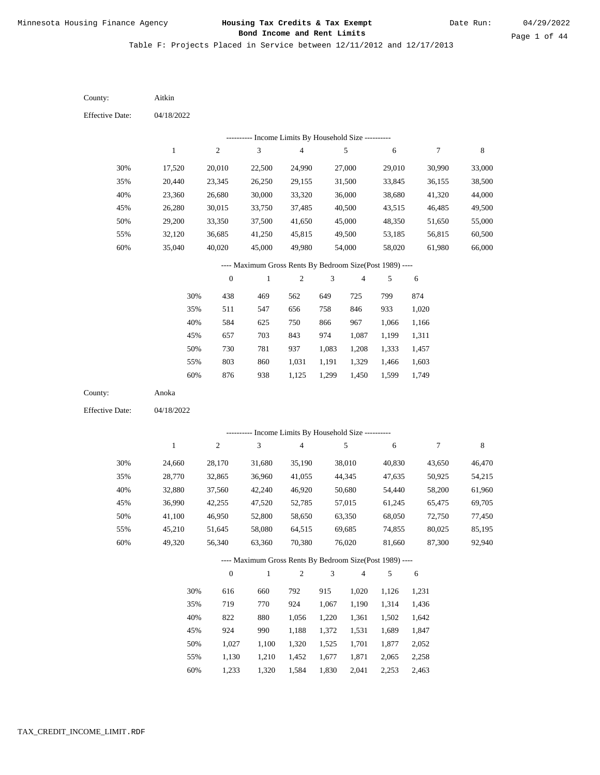Date Run:

Page 1 of 44

Table F: Projects Placed in Service between 12/11/2012 and 12/17/2013

| <b>Effective Date:</b><br>04/18/2022<br>--------- Income Limits By Household Size ----------<br>$\sqrt{4}$<br>$\,$ 8 $\,$<br>$\mathbf{1}$<br>$\overline{c}$<br>3<br>5<br>6<br>$\boldsymbol{7}$<br>30%<br>27,000<br>17,520<br>20,010<br>22,500<br>24,990<br>29,010<br>30,990<br>33,000<br>35%<br>20,440<br>31,500<br>38,500<br>23,345<br>26,250<br>29,155<br>33,845<br>36,155<br>40%<br>36,000<br>44,000<br>23,360<br>26,680<br>30,000<br>33,320<br>38,680<br>41,320<br>45%<br>26,280<br>30,015<br>37,485<br>40,500<br>43,515<br>46,485<br>49,500<br>33,750<br>50%<br>29,200<br>33,350<br>37,500<br>41,650<br>45,000<br>51,650<br>55,000<br>48,350<br>36,685<br>45,815<br>56,815<br>60,500<br>55%<br>32,120<br>41,250<br>49,500<br>53,185<br>60%<br>40,020<br>66,000<br>35,040<br>45,000<br>49,980<br>54,000<br>58,020<br>61,980<br>---- Maximum Gross Rents By Bedroom Size(Post 1989) ----<br>$\sqrt{2}$<br>$\boldsymbol{0}$<br>$\mathbf{1}$<br>$\mathfrak{Z}$<br>$\overline{4}$<br>5<br>6<br>30%<br>469<br>649<br>438<br>562<br>725<br>799<br>874<br>758<br>35%<br>511<br>547<br>656<br>846<br>933<br>1,020<br>40%<br>584<br>750<br>866<br>967<br>625<br>1,066<br>1,166<br>657<br>703<br>843<br>974<br>45%<br>1,087<br>1,199<br>1,311<br>50%<br>730<br>781<br>937<br>1,083<br>1,208<br>1,333<br>1,457<br>803<br>1,329<br>1,466<br>55%<br>860<br>1,031<br>1,191<br>1,603<br>876<br>1,125<br>1,599<br>60%<br>938<br>1,299<br>1,450<br>1,749<br>County:<br>Anoka<br><b>Effective Date:</b><br>04/18/2022<br>---------- Income Limits By Household Size ----------<br>$\sqrt{2}$<br>3<br>5<br>$\,$ 8 $\,$<br>$\mathbf{1}$<br>$\overline{4}$<br>6<br>$\boldsymbol{7}$<br>30%<br>38,010<br>24,660<br>28,170<br>31,680<br>35,190<br>40,830<br>43,650<br>46,470<br>54,215<br>35%<br>28,770<br>32,865<br>36,960<br>41,055<br>44,345<br>47,635<br>50,925<br>40%<br>32,880<br>37,560<br>46,920<br>50,680<br>54,440<br>58,200<br>61,960<br>42,240<br>45%<br>36,990<br>42,255<br>47,520<br>52,785<br>57,015<br>61,245<br>65,475<br>69,705<br>50%<br>52,800<br>63,350<br>68,050<br>41,100<br>46,950<br>58,650<br>72,750<br>77,450<br>55%<br>58,080<br>80,025<br>85,195<br>45,210<br>51,645<br>64,515<br>69,685<br>74,855<br>49,320<br>56,340<br>63,360<br>70,380<br>76,020<br>87,300<br>92,940<br>60%<br>81,660<br>---- Maximum Gross Rents By Bedroom Size(Post 1989) ----<br>$\overline{c}$<br>$\mathfrak{Z}$<br>$\overline{4}$<br>$\boldsymbol{0}$<br>$\mathbf{1}$<br>5<br>6<br>616<br>30%<br>660<br>792<br>915<br>1,020<br>1,126<br>1,231<br>719<br>35%<br>770<br>924<br>1,314<br>1,436<br>1,067<br>1,190<br>40%<br>822<br>880<br>1,056<br>1,502<br>1,642<br>1,220<br>1,361<br>924<br>45%<br>990<br>1,188<br>1,531<br>1,689<br>1,847<br>1,372 | County: | Aitkin |  |  |  |  |
|---------------------------------------------------------------------------------------------------------------------------------------------------------------------------------------------------------------------------------------------------------------------------------------------------------------------------------------------------------------------------------------------------------------------------------------------------------------------------------------------------------------------------------------------------------------------------------------------------------------------------------------------------------------------------------------------------------------------------------------------------------------------------------------------------------------------------------------------------------------------------------------------------------------------------------------------------------------------------------------------------------------------------------------------------------------------------------------------------------------------------------------------------------------------------------------------------------------------------------------------------------------------------------------------------------------------------------------------------------------------------------------------------------------------------------------------------------------------------------------------------------------------------------------------------------------------------------------------------------------------------------------------------------------------------------------------------------------------------------------------------------------------------------------------------------------------------------------------------------------------------------------------------------------------------------------------------------------------------------------------------------------------------------------------------------------------------------------------------------------------------------------------------------------------------------------------------------------------------------------------------------------------------------------------------------------------------------------------------------------------------------------------------------------------------------------------------------------------------------------------------------------------------------------------------------------------------------------------------------------------------------------------------------------------------------------------------------------------------------------|---------|--------|--|--|--|--|
|                                                                                                                                                                                                                                                                                                                                                                                                                                                                                                                                                                                                                                                                                                                                                                                                                                                                                                                                                                                                                                                                                                                                                                                                                                                                                                                                                                                                                                                                                                                                                                                                                                                                                                                                                                                                                                                                                                                                                                                                                                                                                                                                                                                                                                                                                                                                                                                                                                                                                                                                                                                                                                                                                                                                       |         |        |  |  |  |  |
|                                                                                                                                                                                                                                                                                                                                                                                                                                                                                                                                                                                                                                                                                                                                                                                                                                                                                                                                                                                                                                                                                                                                                                                                                                                                                                                                                                                                                                                                                                                                                                                                                                                                                                                                                                                                                                                                                                                                                                                                                                                                                                                                                                                                                                                                                                                                                                                                                                                                                                                                                                                                                                                                                                                                       |         |        |  |  |  |  |
|                                                                                                                                                                                                                                                                                                                                                                                                                                                                                                                                                                                                                                                                                                                                                                                                                                                                                                                                                                                                                                                                                                                                                                                                                                                                                                                                                                                                                                                                                                                                                                                                                                                                                                                                                                                                                                                                                                                                                                                                                                                                                                                                                                                                                                                                                                                                                                                                                                                                                                                                                                                                                                                                                                                                       |         |        |  |  |  |  |
|                                                                                                                                                                                                                                                                                                                                                                                                                                                                                                                                                                                                                                                                                                                                                                                                                                                                                                                                                                                                                                                                                                                                                                                                                                                                                                                                                                                                                                                                                                                                                                                                                                                                                                                                                                                                                                                                                                                                                                                                                                                                                                                                                                                                                                                                                                                                                                                                                                                                                                                                                                                                                                                                                                                                       |         |        |  |  |  |  |
|                                                                                                                                                                                                                                                                                                                                                                                                                                                                                                                                                                                                                                                                                                                                                                                                                                                                                                                                                                                                                                                                                                                                                                                                                                                                                                                                                                                                                                                                                                                                                                                                                                                                                                                                                                                                                                                                                                                                                                                                                                                                                                                                                                                                                                                                                                                                                                                                                                                                                                                                                                                                                                                                                                                                       |         |        |  |  |  |  |
|                                                                                                                                                                                                                                                                                                                                                                                                                                                                                                                                                                                                                                                                                                                                                                                                                                                                                                                                                                                                                                                                                                                                                                                                                                                                                                                                                                                                                                                                                                                                                                                                                                                                                                                                                                                                                                                                                                                                                                                                                                                                                                                                                                                                                                                                                                                                                                                                                                                                                                                                                                                                                                                                                                                                       |         |        |  |  |  |  |
|                                                                                                                                                                                                                                                                                                                                                                                                                                                                                                                                                                                                                                                                                                                                                                                                                                                                                                                                                                                                                                                                                                                                                                                                                                                                                                                                                                                                                                                                                                                                                                                                                                                                                                                                                                                                                                                                                                                                                                                                                                                                                                                                                                                                                                                                                                                                                                                                                                                                                                                                                                                                                                                                                                                                       |         |        |  |  |  |  |
|                                                                                                                                                                                                                                                                                                                                                                                                                                                                                                                                                                                                                                                                                                                                                                                                                                                                                                                                                                                                                                                                                                                                                                                                                                                                                                                                                                                                                                                                                                                                                                                                                                                                                                                                                                                                                                                                                                                                                                                                                                                                                                                                                                                                                                                                                                                                                                                                                                                                                                                                                                                                                                                                                                                                       |         |        |  |  |  |  |
|                                                                                                                                                                                                                                                                                                                                                                                                                                                                                                                                                                                                                                                                                                                                                                                                                                                                                                                                                                                                                                                                                                                                                                                                                                                                                                                                                                                                                                                                                                                                                                                                                                                                                                                                                                                                                                                                                                                                                                                                                                                                                                                                                                                                                                                                                                                                                                                                                                                                                                                                                                                                                                                                                                                                       |         |        |  |  |  |  |
|                                                                                                                                                                                                                                                                                                                                                                                                                                                                                                                                                                                                                                                                                                                                                                                                                                                                                                                                                                                                                                                                                                                                                                                                                                                                                                                                                                                                                                                                                                                                                                                                                                                                                                                                                                                                                                                                                                                                                                                                                                                                                                                                                                                                                                                                                                                                                                                                                                                                                                                                                                                                                                                                                                                                       |         |        |  |  |  |  |
|                                                                                                                                                                                                                                                                                                                                                                                                                                                                                                                                                                                                                                                                                                                                                                                                                                                                                                                                                                                                                                                                                                                                                                                                                                                                                                                                                                                                                                                                                                                                                                                                                                                                                                                                                                                                                                                                                                                                                                                                                                                                                                                                                                                                                                                                                                                                                                                                                                                                                                                                                                                                                                                                                                                                       |         |        |  |  |  |  |
|                                                                                                                                                                                                                                                                                                                                                                                                                                                                                                                                                                                                                                                                                                                                                                                                                                                                                                                                                                                                                                                                                                                                                                                                                                                                                                                                                                                                                                                                                                                                                                                                                                                                                                                                                                                                                                                                                                                                                                                                                                                                                                                                                                                                                                                                                                                                                                                                                                                                                                                                                                                                                                                                                                                                       |         |        |  |  |  |  |
|                                                                                                                                                                                                                                                                                                                                                                                                                                                                                                                                                                                                                                                                                                                                                                                                                                                                                                                                                                                                                                                                                                                                                                                                                                                                                                                                                                                                                                                                                                                                                                                                                                                                                                                                                                                                                                                                                                                                                                                                                                                                                                                                                                                                                                                                                                                                                                                                                                                                                                                                                                                                                                                                                                                                       |         |        |  |  |  |  |
|                                                                                                                                                                                                                                                                                                                                                                                                                                                                                                                                                                                                                                                                                                                                                                                                                                                                                                                                                                                                                                                                                                                                                                                                                                                                                                                                                                                                                                                                                                                                                                                                                                                                                                                                                                                                                                                                                                                                                                                                                                                                                                                                                                                                                                                                                                                                                                                                                                                                                                                                                                                                                                                                                                                                       |         |        |  |  |  |  |
|                                                                                                                                                                                                                                                                                                                                                                                                                                                                                                                                                                                                                                                                                                                                                                                                                                                                                                                                                                                                                                                                                                                                                                                                                                                                                                                                                                                                                                                                                                                                                                                                                                                                                                                                                                                                                                                                                                                                                                                                                                                                                                                                                                                                                                                                                                                                                                                                                                                                                                                                                                                                                                                                                                                                       |         |        |  |  |  |  |
|                                                                                                                                                                                                                                                                                                                                                                                                                                                                                                                                                                                                                                                                                                                                                                                                                                                                                                                                                                                                                                                                                                                                                                                                                                                                                                                                                                                                                                                                                                                                                                                                                                                                                                                                                                                                                                                                                                                                                                                                                                                                                                                                                                                                                                                                                                                                                                                                                                                                                                                                                                                                                                                                                                                                       |         |        |  |  |  |  |
|                                                                                                                                                                                                                                                                                                                                                                                                                                                                                                                                                                                                                                                                                                                                                                                                                                                                                                                                                                                                                                                                                                                                                                                                                                                                                                                                                                                                                                                                                                                                                                                                                                                                                                                                                                                                                                                                                                                                                                                                                                                                                                                                                                                                                                                                                                                                                                                                                                                                                                                                                                                                                                                                                                                                       |         |        |  |  |  |  |
|                                                                                                                                                                                                                                                                                                                                                                                                                                                                                                                                                                                                                                                                                                                                                                                                                                                                                                                                                                                                                                                                                                                                                                                                                                                                                                                                                                                                                                                                                                                                                                                                                                                                                                                                                                                                                                                                                                                                                                                                                                                                                                                                                                                                                                                                                                                                                                                                                                                                                                                                                                                                                                                                                                                                       |         |        |  |  |  |  |
|                                                                                                                                                                                                                                                                                                                                                                                                                                                                                                                                                                                                                                                                                                                                                                                                                                                                                                                                                                                                                                                                                                                                                                                                                                                                                                                                                                                                                                                                                                                                                                                                                                                                                                                                                                                                                                                                                                                                                                                                                                                                                                                                                                                                                                                                                                                                                                                                                                                                                                                                                                                                                                                                                                                                       |         |        |  |  |  |  |
|                                                                                                                                                                                                                                                                                                                                                                                                                                                                                                                                                                                                                                                                                                                                                                                                                                                                                                                                                                                                                                                                                                                                                                                                                                                                                                                                                                                                                                                                                                                                                                                                                                                                                                                                                                                                                                                                                                                                                                                                                                                                                                                                                                                                                                                                                                                                                                                                                                                                                                                                                                                                                                                                                                                                       |         |        |  |  |  |  |
|                                                                                                                                                                                                                                                                                                                                                                                                                                                                                                                                                                                                                                                                                                                                                                                                                                                                                                                                                                                                                                                                                                                                                                                                                                                                                                                                                                                                                                                                                                                                                                                                                                                                                                                                                                                                                                                                                                                                                                                                                                                                                                                                                                                                                                                                                                                                                                                                                                                                                                                                                                                                                                                                                                                                       |         |        |  |  |  |  |
|                                                                                                                                                                                                                                                                                                                                                                                                                                                                                                                                                                                                                                                                                                                                                                                                                                                                                                                                                                                                                                                                                                                                                                                                                                                                                                                                                                                                                                                                                                                                                                                                                                                                                                                                                                                                                                                                                                                                                                                                                                                                                                                                                                                                                                                                                                                                                                                                                                                                                                                                                                                                                                                                                                                                       |         |        |  |  |  |  |
|                                                                                                                                                                                                                                                                                                                                                                                                                                                                                                                                                                                                                                                                                                                                                                                                                                                                                                                                                                                                                                                                                                                                                                                                                                                                                                                                                                                                                                                                                                                                                                                                                                                                                                                                                                                                                                                                                                                                                                                                                                                                                                                                                                                                                                                                                                                                                                                                                                                                                                                                                                                                                                                                                                                                       |         |        |  |  |  |  |
|                                                                                                                                                                                                                                                                                                                                                                                                                                                                                                                                                                                                                                                                                                                                                                                                                                                                                                                                                                                                                                                                                                                                                                                                                                                                                                                                                                                                                                                                                                                                                                                                                                                                                                                                                                                                                                                                                                                                                                                                                                                                                                                                                                                                                                                                                                                                                                                                                                                                                                                                                                                                                                                                                                                                       |         |        |  |  |  |  |
|                                                                                                                                                                                                                                                                                                                                                                                                                                                                                                                                                                                                                                                                                                                                                                                                                                                                                                                                                                                                                                                                                                                                                                                                                                                                                                                                                                                                                                                                                                                                                                                                                                                                                                                                                                                                                                                                                                                                                                                                                                                                                                                                                                                                                                                                                                                                                                                                                                                                                                                                                                                                                                                                                                                                       |         |        |  |  |  |  |
|                                                                                                                                                                                                                                                                                                                                                                                                                                                                                                                                                                                                                                                                                                                                                                                                                                                                                                                                                                                                                                                                                                                                                                                                                                                                                                                                                                                                                                                                                                                                                                                                                                                                                                                                                                                                                                                                                                                                                                                                                                                                                                                                                                                                                                                                                                                                                                                                                                                                                                                                                                                                                                                                                                                                       |         |        |  |  |  |  |
|                                                                                                                                                                                                                                                                                                                                                                                                                                                                                                                                                                                                                                                                                                                                                                                                                                                                                                                                                                                                                                                                                                                                                                                                                                                                                                                                                                                                                                                                                                                                                                                                                                                                                                                                                                                                                                                                                                                                                                                                                                                                                                                                                                                                                                                                                                                                                                                                                                                                                                                                                                                                                                                                                                                                       |         |        |  |  |  |  |
|                                                                                                                                                                                                                                                                                                                                                                                                                                                                                                                                                                                                                                                                                                                                                                                                                                                                                                                                                                                                                                                                                                                                                                                                                                                                                                                                                                                                                                                                                                                                                                                                                                                                                                                                                                                                                                                                                                                                                                                                                                                                                                                                                                                                                                                                                                                                                                                                                                                                                                                                                                                                                                                                                                                                       |         |        |  |  |  |  |
|                                                                                                                                                                                                                                                                                                                                                                                                                                                                                                                                                                                                                                                                                                                                                                                                                                                                                                                                                                                                                                                                                                                                                                                                                                                                                                                                                                                                                                                                                                                                                                                                                                                                                                                                                                                                                                                                                                                                                                                                                                                                                                                                                                                                                                                                                                                                                                                                                                                                                                                                                                                                                                                                                                                                       |         |        |  |  |  |  |
|                                                                                                                                                                                                                                                                                                                                                                                                                                                                                                                                                                                                                                                                                                                                                                                                                                                                                                                                                                                                                                                                                                                                                                                                                                                                                                                                                                                                                                                                                                                                                                                                                                                                                                                                                                                                                                                                                                                                                                                                                                                                                                                                                                                                                                                                                                                                                                                                                                                                                                                                                                                                                                                                                                                                       |         |        |  |  |  |  |
|                                                                                                                                                                                                                                                                                                                                                                                                                                                                                                                                                                                                                                                                                                                                                                                                                                                                                                                                                                                                                                                                                                                                                                                                                                                                                                                                                                                                                                                                                                                                                                                                                                                                                                                                                                                                                                                                                                                                                                                                                                                                                                                                                                                                                                                                                                                                                                                                                                                                                                                                                                                                                                                                                                                                       |         |        |  |  |  |  |
|                                                                                                                                                                                                                                                                                                                                                                                                                                                                                                                                                                                                                                                                                                                                                                                                                                                                                                                                                                                                                                                                                                                                                                                                                                                                                                                                                                                                                                                                                                                                                                                                                                                                                                                                                                                                                                                                                                                                                                                                                                                                                                                                                                                                                                                                                                                                                                                                                                                                                                                                                                                                                                                                                                                                       |         |        |  |  |  |  |
|                                                                                                                                                                                                                                                                                                                                                                                                                                                                                                                                                                                                                                                                                                                                                                                                                                                                                                                                                                                                                                                                                                                                                                                                                                                                                                                                                                                                                                                                                                                                                                                                                                                                                                                                                                                                                                                                                                                                                                                                                                                                                                                                                                                                                                                                                                                                                                                                                                                                                                                                                                                                                                                                                                                                       |         |        |  |  |  |  |
|                                                                                                                                                                                                                                                                                                                                                                                                                                                                                                                                                                                                                                                                                                                                                                                                                                                                                                                                                                                                                                                                                                                                                                                                                                                                                                                                                                                                                                                                                                                                                                                                                                                                                                                                                                                                                                                                                                                                                                                                                                                                                                                                                                                                                                                                                                                                                                                                                                                                                                                                                                                                                                                                                                                                       |         |        |  |  |  |  |
|                                                                                                                                                                                                                                                                                                                                                                                                                                                                                                                                                                                                                                                                                                                                                                                                                                                                                                                                                                                                                                                                                                                                                                                                                                                                                                                                                                                                                                                                                                                                                                                                                                                                                                                                                                                                                                                                                                                                                                                                                                                                                                                                                                                                                                                                                                                                                                                                                                                                                                                                                                                                                                                                                                                                       |         |        |  |  |  |  |
|                                                                                                                                                                                                                                                                                                                                                                                                                                                                                                                                                                                                                                                                                                                                                                                                                                                                                                                                                                                                                                                                                                                                                                                                                                                                                                                                                                                                                                                                                                                                                                                                                                                                                                                                                                                                                                                                                                                                                                                                                                                                                                                                                                                                                                                                                                                                                                                                                                                                                                                                                                                                                                                                                                                                       |         |        |  |  |  |  |
| 50%<br>1,027<br>1,100<br>1,701<br>1,877<br>1,320<br>1,525<br>2,052                                                                                                                                                                                                                                                                                                                                                                                                                                                                                                                                                                                                                                                                                                                                                                                                                                                                                                                                                                                                                                                                                                                                                                                                                                                                                                                                                                                                                                                                                                                                                                                                                                                                                                                                                                                                                                                                                                                                                                                                                                                                                                                                                                                                                                                                                                                                                                                                                                                                                                                                                                                                                                                                    |         |        |  |  |  |  |
| 55%<br>1,130<br>1,210<br>1,452<br>1,677<br>1,871<br>2,065<br>2,258                                                                                                                                                                                                                                                                                                                                                                                                                                                                                                                                                                                                                                                                                                                                                                                                                                                                                                                                                                                                                                                                                                                                                                                                                                                                                                                                                                                                                                                                                                                                                                                                                                                                                                                                                                                                                                                                                                                                                                                                                                                                                                                                                                                                                                                                                                                                                                                                                                                                                                                                                                                                                                                                    |         |        |  |  |  |  |

1,233 1,320 1,584 1,830 2,041 2,253 2,463 60%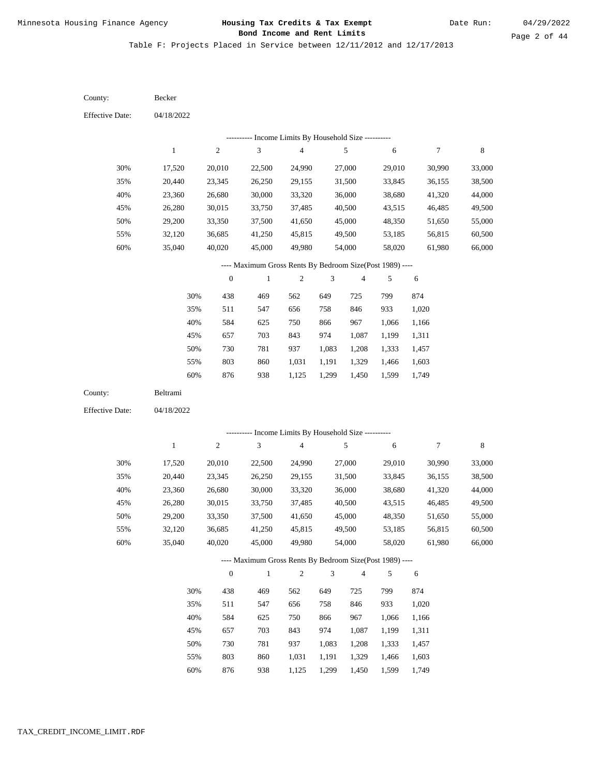Date Run:

Page 2 of 44

Table F: Projects Placed in Service between 12/11/2012 and 12/17/2013

| County:                | Becker           |                  |                                                          |                                            |                |                         |                  |                  |                  |
|------------------------|------------------|------------------|----------------------------------------------------------|--------------------------------------------|----------------|-------------------------|------------------|------------------|------------------|
| <b>Effective Date:</b> | 04/18/2022       |                  |                                                          |                                            |                |                         |                  |                  |                  |
|                        |                  |                  | --------- Income Limits By Household Size ----------     |                                            |                |                         |                  |                  |                  |
|                        | $\mathbf{1}$     | $\mathfrak{2}$   | $\mathfrak{Z}$                                           | 4                                          |                | 5                       | 6                | 7                | 8                |
| 30%                    | 17,520           | 20,010           | 22,500                                                   | 24,990                                     |                | 27,000                  | 29,010           | 30,990           | 33,000           |
| 35%                    | 20,440           | 23,345           | 26,250                                                   | 29,155                                     |                | 31,500                  | 33,845           | 36,155           | 38,500           |
| 40%                    | 23,360           | 26,680           | 30,000                                                   | 33,320                                     |                | 36,000                  | 38,680           | 41,320           | 44,000           |
| 45%                    | 26,280           | 30,015           | 33,750                                                   | 37,485                                     |                | 40,500                  | 43,515           | 46,485           | 49,500           |
| 50%                    | 29,200           | 33,350           | 37,500                                                   | 41,650                                     |                | 45,000                  | 48,350           | 51,650           | 55,000           |
| 55%                    | 32,120           | 36,685           | 41,250                                                   | 45,815                                     |                | 49,500                  | 53,185           | 56,815           | 60,500           |
| 60%                    | 35,040           | 40,020           | 45,000                                                   | 49,980                                     |                | 54,000                  | 58,020           | 61,980           | 66,000           |
|                        |                  |                  | ---- Maximum Gross Rents By Bedroom Size(Post 1989) ---- |                                            |                |                         |                  |                  |                  |
|                        |                  | $\boldsymbol{0}$ | $\mathbf{1}$                                             | $\mathfrak{2}$                             | 3              | 4                       | 5                | 6                |                  |
|                        | 30%              | 438              | 469                                                      | 562                                        | 649            | 725                     | 799              | 874              |                  |
|                        | 35%              | 511              | 547                                                      | 656                                        | 758            | 846                     | 933              | 1,020            |                  |
|                        | 40%              | 584              | 625                                                      | 750                                        | 866            | 967                     | 1,066            | 1,166            |                  |
|                        | 45%              | 657              | 703                                                      | 843                                        | 974            | 1,087                   | 1,199            | 1,311            |                  |
|                        | 50%              | 730              | 781                                                      | 937                                        | 1,083          | 1,208                   | 1,333            | 1,457            |                  |
|                        | 55%              | 803              | 860                                                      | 1,031                                      | 1,191          | 1,329                   | 1,466            | 1,603            |                  |
|                        | 60%              | 876              | 938                                                      | 1,125                                      | 1,299          | 1,450                   | 1,599            | 1,749            |                  |
| County:                | Beltrami         |                  |                                                          |                                            |                |                         |                  |                  |                  |
| <b>Effective Date:</b> | 04/18/2022       |                  |                                                          |                                            |                |                         |                  |                  |                  |
|                        |                  | ----------       |                                                          | Income Limits By Household Size ---------- |                |                         |                  |                  |                  |
|                        | $\mathbf{1}$     | $\mathfrak{2}$   | $\mathfrak{Z}$                                           | 4                                          |                | 5                       | 6                | $\boldsymbol{7}$ | 8                |
|                        |                  |                  |                                                          |                                            |                |                         |                  |                  |                  |
| 30%                    | 17,520           | 20,010           | 22,500                                                   | 24,990                                     |                | 27,000                  | 29,010           | 30,990           | 33,000           |
| 35%<br>40%             | 20,440           | 23,345           | 26,250                                                   | 29,155<br>33,320                           |                | 31,500                  | 33,845<br>38,680 | 36,155           | 38,500           |
| 45%                    | 23,360<br>26,280 | 26,680<br>30,015 | 30,000<br>33,750                                         | 37,485                                     |                | 36,000<br>40,500        | 43,515           | 41,320<br>46,485 | 44,000<br>49,500 |
| 50%                    | 29,200           | 33,350           | 37,500                                                   | 41,650                                     |                | 45,000                  | 48,350           | 51,650           | 55,000           |
| 55%                    | 32,120           | 36,685           | 41,250                                                   | 45,815                                     |                | 49,500                  | 53,185           | 56,815           | 60,500           |
| 60%                    | 35,040           | 40,020           | 45,000                                                   | 49,980                                     |                | 54,000                  | 58,020           | 61,980           | 66,000           |
|                        |                  |                  | ---- Maximum Gross Rents By Bedroom Size(Post 1989) ---- |                                            |                |                         |                  |                  |                  |
|                        |                  | $\boldsymbol{0}$ | $\mathbf{1}$                                             | $\overline{c}$                             | $\mathfrak{Z}$ | $\overline{\mathbf{4}}$ | 5                | 6                |                  |
|                        | 30%              | 438              | 469                                                      | 562                                        | 649            | 725                     | 799              | 874              |                  |
|                        | 35%              | 511              | 547                                                      | 656                                        | 758            | 846                     | 933              | 1,020            |                  |
|                        | 40%              | 584              | 625                                                      | 750                                        | 866            | 967                     | 1,066            | 1,166            |                  |
|                        | 45%              | 657              | 703                                                      | 843                                        | 974            | 1,087                   | 1,199            | 1,311            |                  |
|                        | 50%              | 730              | 781                                                      | 937                                        | 1,083          | 1,208                   | 1,333            | 1,457            |                  |
|                        | 55%              | 803              | 860                                                      | 1,031                                      | 1,191          | 1,329                   | 1,466            | 1,603            |                  |
|                        |                  |                  |                                                          |                                            |                |                         |                  |                  |                  |

876 938 1,125 1,299 1,450 1,599 1,749 60%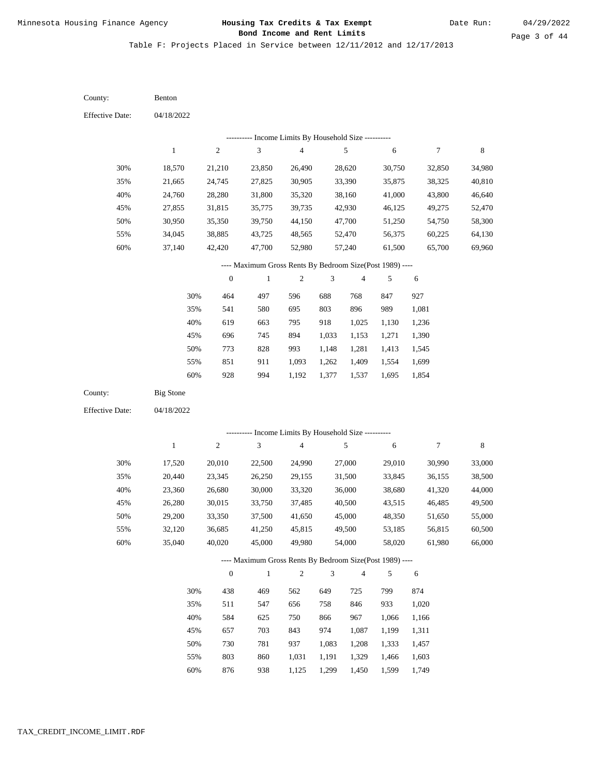Date Run:

Page 3 of 44

| County:                | Benton           |                  |                                                          |                                            |                |                |                |                  |             |
|------------------------|------------------|------------------|----------------------------------------------------------|--------------------------------------------|----------------|----------------|----------------|------------------|-------------|
| <b>Effective Date:</b> | 04/18/2022       |                  |                                                          |                                            |                |                |                |                  |             |
|                        |                  |                  | ---------- Income Limits By Household Size ----------    |                                            |                |                |                |                  |             |
|                        | $\mathbf{1}$     | $\sqrt{2}$       | 3                                                        | $\overline{\mathbf{4}}$                    |                | 5              | 6              | $\boldsymbol{7}$ | 8           |
| 30%                    | 18,570           | 21,210           | 23,850                                                   | 26,490                                     |                | 28,620         | 30,750         | 32,850           | 34,980      |
| 35%                    | 21,665           | 24,745           | 27,825                                                   | 30,905                                     |                | 33,390         | 35,875         | 38,325           | 40,810      |
| 40%                    | 24,760           | 28,280           | 31,800                                                   | 35,320                                     |                | 38,160         | 41,000         | 43,800           | 46,640      |
| 45%                    | 27,855           | 31,815           | 35,775                                                   | 39,735                                     |                | 42,930         | 46,125         | 49,275           | 52,470      |
| 50%                    | 30,950           | 35,350           | 39,750                                                   | 44,150                                     |                | 47,700         | 51,250         | 54,750           | 58,300      |
| 55%                    | 34,045           | 38,885           | 43,725                                                   | 48,565                                     |                | 52,470         | 56,375         | 60,225           | 64,130      |
| $60\%$                 | 37,140           | 42,420           | 47,700                                                   | 52,980                                     |                | 57,240         | 61,500         | 65,700           | 69,960      |
|                        |                  |                  | ---- Maximum Gross Rents By Bedroom Size(Post 1989) ---- |                                            |                |                |                |                  |             |
|                        |                  | $\boldsymbol{0}$ | $\mathbf{1}$                                             | 2                                          | 3              | $\overline{4}$ | 5              | 6                |             |
|                        | 30%              | 464              | 497                                                      | 596                                        | 688            | 768            | 847            | 927              |             |
|                        | 35%              | 541              | 580                                                      | 695                                        | 803            | 896            | 989            | 1,081            |             |
|                        | 40%              | 619              | 663                                                      | 795                                        | 918            | 1,025          | 1,130          | 1,236            |             |
|                        | 45%              | 696              | 745                                                      | 894                                        | 1,033          | 1,153          | 1,271          | 1,390            |             |
|                        | 50%              | 773              | 828                                                      | 993                                        | 1,148          | 1,281          | 1,413          | 1,545            |             |
|                        | 55%              | 851              | 911                                                      | 1,093                                      | 1,262          | 1,409          | 1,554          | 1,699            |             |
|                        | 60%              | 928              | 994                                                      | 1,192                                      | 1,377          | 1,537          | 1,695          | 1,854            |             |
|                        |                  |                  |                                                          |                                            |                |                |                |                  |             |
| County:                | <b>Big Stone</b> |                  |                                                          |                                            |                |                |                |                  |             |
| <b>Effective Date:</b> | 04/18/2022       |                  |                                                          |                                            |                |                |                |                  |             |
|                        |                  |                  |                                                          |                                            |                |                |                |                  |             |
|                        |                  |                  |                                                          | Income Limits By Household Size ---------- |                |                |                |                  |             |
|                        | $\mathbf 1$      | $\sqrt{2}$       | $\mathfrak{Z}$                                           | $\overline{4}$                             |                | 5              | 6              | $\boldsymbol{7}$ | $\,$ 8 $\,$ |
| 30%                    | 17,520           | 20,010           | 22,500                                                   | 24,990                                     |                | 27,000         | 29,010         | 30,990           | 33,000      |
| 35%                    | 20,440           | 23,345           | 26,250                                                   | 29,155                                     |                | 31,500         | 33,845         | 36,155           | 38,500      |
| 40%                    | 23,360           | 26,680           | 30,000                                                   | 33,320                                     |                | 36,000         | 38,680         | 41,320           | 44,000      |
| 45%                    | 26,280           | 30,015           | 33,750                                                   | 37,485                                     |                | 40,500         | 43,515         | 46,485           | 49,500      |
| 50%                    | 29,200           | 33,350           | 37,500                                                   | 41,650                                     |                | 45,000         | 48,350         | 51,650           | 55,000      |
| 55%                    | 32,120           | 36,685           | 41,250                                                   | 45,815                                     |                | 49,500         | 53,185         | 56,815           | 60,500      |
| $60\%$                 | 35,040           | 40,020           | 45,000                                                   | 49,980                                     |                | 54,000         | 58,020         | 61,980           | 66,000      |
|                        |                  |                  | ---- Maximum Gross Rents By Bedroom Size(Post 1989) ---- |                                            |                |                |                |                  |             |
|                        |                  | $\boldsymbol{0}$ | $\mathbf{1}$                                             | $\overline{c}$                             | $\mathfrak{Z}$ | $\overline{4}$ | 5              | $\sqrt{6}$       |             |
|                        | 30%              | 438              | 469                                                      | 562                                        | 649            | 725            | 799            | 874              |             |
|                        | 35%              | 511              | 547                                                      | 656                                        | 758            | 846            | 933            | 1,020            |             |
|                        | 40%              | 584              | 625                                                      | 750                                        | 866            | 967            | 1,066          | 1,166            |             |
|                        | 45%              | 657              | 703                                                      | 843                                        | 974            | 1,087          | 1,199          | 1,311            |             |
|                        | 50%<br>55%       | 730<br>803       | 781<br>860                                               | 937<br>1,031                               | 1,083<br>1,191 | 1,208<br>1,329 | 1,333<br>1,466 | 1,457<br>1,603   |             |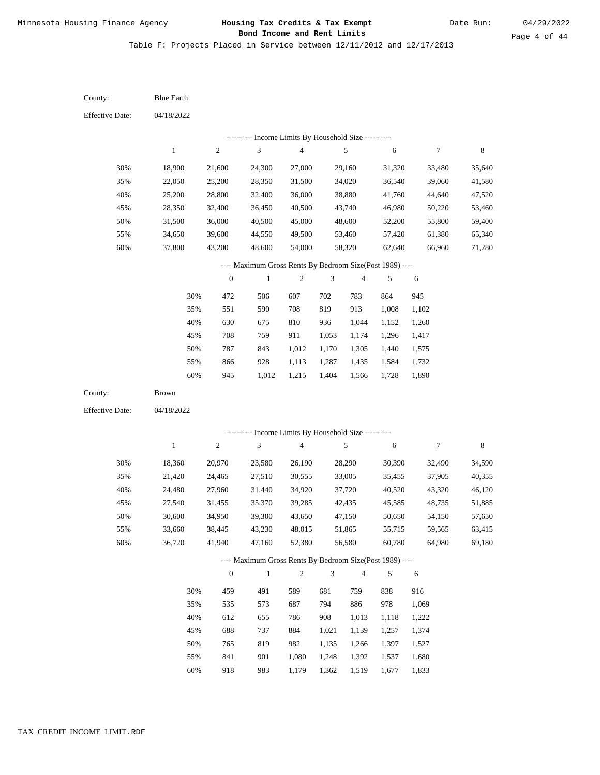Table F: Projects Placed in Service between 12/11/2012 and 12/17/2013

04/18/2022 04/18/2022 Blue Earth Brown 30% 35% 40% 45% 50% 55% 60% 30% 35% 40% 45% 50% 55% 60% 18,900 22,050 25,200 28,350 31,500 34,650 37,800 18,360 21,420 24,480 27,540 30,600 33,660 36,720 21,600 25,200 28,800 32,400 36,000 39,600 43,200 20,970 24,465 27,960 31,455 34,950 38,445 41,940 24,300 28,350 32,400 36,450 40,500 44,550 48,600 23,580 27,510 31,440 35,370 39,300 43,230 47,160 27,000 31,500 36,000 40,500 45,000 49,500 54,000 26,190 30,555 34,920 39,285 43,650 48,015 52,380 29,160 34,020 38,880 43,740 48,600 53,460 58,320 28,290 33,005 37,720 42,435 47,150 51,865 56,580 31,320 36,540 41,760 46,980 52,200 57,420 62,640 30,390 35,455 40,520 45,585 50,650 55,715 60,780 33,480 39,060 44,640 50,220 55,800 61,380 66,960 32,490 37,905 43,320 48,735 54,150 59,565 64,980 35,640 41,580 47,520 53,460 59,400 65,340 71,280 34,590 40,355 46,120 51,885 57,650 63,415 69,180 472 551 630 708 787 866 945 459 535 612 688 765 841 918 506 590 675 759 843 928 1,012 491 573 655 737 819 901 983 607 708 810 911 1,012 1,113 1,215 589 687 786 884 982 1,080 1,179 702 819 936 1,053 1,170 1,287 1,404 681 794 908 1,021 1,135 1,248 1,362 783 913 1,044 1,174 1,305 1,435 1,566 759 886 1,013 1,139 1,266 1,392 1,519 864 1,008 1,152 1,296 1,440 1,584 1,728 838 978 1,118 1,257 1,397 1,537 1,677 945 1,102 1,260 1,417 1,575 1,732 1,890 916 1,069 1,222 1,374 1,527 1,680 1,833 County: County: Effective Date: Effective Date: 1 1 2 2 3 3 4 4 5 5 6 6 7 7 8 8 0 0 1 1 2 2 3 3 4 4 5 5 6 6 ---------- Income Limits By Household Size ---------- ---------- Income Limits By Household Size ---------- ---- Maximum Gross Rents By Bedroom Size(Post 1989) ---- ---- Maximum Gross Rents By Bedroom Size(Post 1989) ---- 30% 35% 40% 45% 50% 55% 60% 30% 35% 40% 45% 50% 55% 60%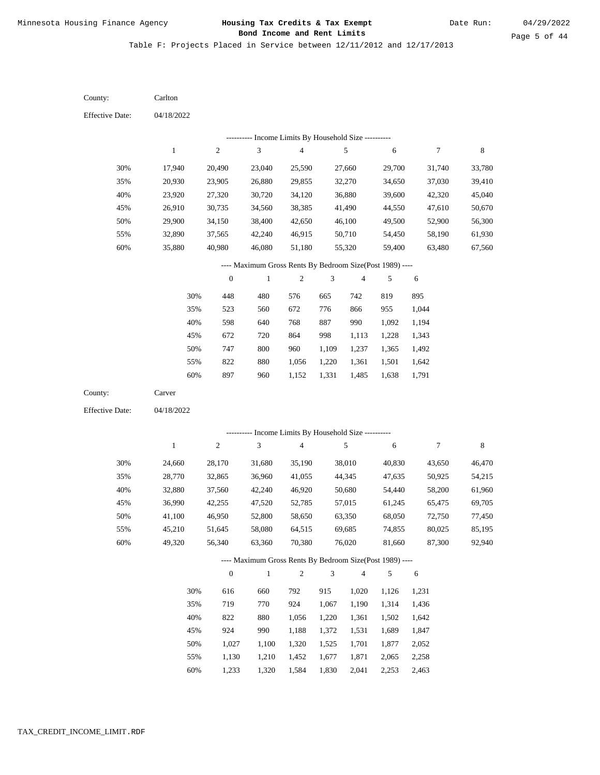Date Run:

Page 5 of 44

Table F: Projects Placed in Service between 12/11/2012 and 12/17/2013

| County:                | Carlton          |                  |                                                          |                         |       |                  |                  |                  |                  |
|------------------------|------------------|------------------|----------------------------------------------------------|-------------------------|-------|------------------|------------------|------------------|------------------|
| <b>Effective Date:</b> | 04/18/2022       |                  |                                                          |                         |       |                  |                  |                  |                  |
|                        |                  |                  | --------- Income Limits By Household Size ----------     |                         |       |                  |                  |                  |                  |
|                        | $\mathbf{1}$     | $\boldsymbol{2}$ | $\ensuremath{\mathfrak{Z}}$                              | $\overline{\mathbf{4}}$ |       | 5                | 6                | $\tau$           | $\,8\,$          |
| 30%                    |                  |                  |                                                          |                         |       | 27,660           |                  |                  |                  |
| 35%                    | 17,940           | 20,490           | 23,040                                                   | 25,590                  |       |                  | 29,700           | 31,740           | 33,780           |
| 40%                    | 20,930           | 23,905           | 26,880                                                   | 29,855                  |       | 32,270<br>36,880 | 34,650<br>39,600 | 37,030           | 39,410<br>45,040 |
| 45%                    | 23,920<br>26,910 | 27,320<br>30,735 | 30,720<br>34,560                                         | 34,120<br>38,385        |       | 41,490           | 44,550           | 42,320<br>47,610 | 50,670           |
| 50%                    | 29,900           | 34,150           | 38,400                                                   | 42,650                  |       | 46,100           | 49,500           | 52,900           | 56,300           |
| 55%                    | 32,890           | 37,565           | 42,240                                                   | 46,915                  |       | 50,710           | 54,450           | 58,190           | 61,930           |
| 60%                    | 35,880           | 40,980           | 46,080                                                   | 51,180                  |       | 55,320           | 59,400           | 63,480           | 67,560           |
|                        |                  |                  | ---- Maximum Gross Rents By Bedroom Size(Post 1989) ---- |                         |       |                  |                  |                  |                  |
|                        |                  | $\boldsymbol{0}$ | $\mathbf{1}$                                             | $\sqrt{2}$              | 3     | $\overline{4}$   | 5                | 6                |                  |
|                        | 30%              | 448              | 480                                                      | 576                     | 665   | 742              | 819              | 895              |                  |
|                        | 35%              | 523              | 560                                                      | 672                     | 776   | 866              | 955              | 1,044            |                  |
|                        | 40%              | 598              | 640                                                      | 768                     | 887   | 990              | 1,092            | 1,194            |                  |
|                        | 45%              | 672              | 720                                                      | 864                     | 998   | 1,113            | 1,228            | 1,343            |                  |
|                        | 50%              | 747              | $800\,$                                                  | 960                     | 1,109 | 1,237            | 1,365            | 1,492            |                  |
|                        | 55%              | 822              | 880                                                      | 1,056                   | 1,220 | 1,361            | 1,501            | 1,642            |                  |
|                        | 60%              | 897              | 960                                                      | 1,152                   | 1,331 | 1,485            | 1,638            | 1,791            |                  |
| County:                | Carver           |                  |                                                          |                         |       |                  |                  |                  |                  |
| <b>Effective Date:</b> | 04/18/2022       |                  |                                                          |                         |       |                  |                  |                  |                  |
|                        |                  |                  |                                                          |                         |       |                  |                  |                  |                  |
|                        |                  |                  | --------- Income Limits By Household Size ----------     |                         |       |                  |                  |                  |                  |
|                        | $\mathbf{1}$     | $\overline{c}$   | $\ensuremath{\mathfrak{Z}}$                              | 4                       |       | 5                | 6                | 7                | $\,$ 8 $\,$      |
| 30%                    | 24,660           | 28,170           | 31,680                                                   | 35,190                  |       | 38,010           | 40,830           | 43,650           | 46,470           |
| 35%                    | 28,770           | 32,865           | 36,960                                                   | 41,055                  |       | 44,345           | 47,635           | 50,925           | 54,215           |
| 40%                    | 32,880           | 37,560           | 42,240                                                   | 46,920                  |       | 50,680           | 54,440           | 58,200           | 61,960           |
| 45%                    | 36,990           | 42,255           | 47,520                                                   | 52,785                  |       | 57,015           | 61,245           | 65,475           | 69,705           |
| 50%                    | 41,100           | 46,950           | 52,800                                                   | 58,650                  |       | 63,350           | 68,050           | 72,750           | 77,450           |
| 55%                    | 45,210           | 51,645           | 58,080                                                   | 64,515                  |       | 69,685           | 74,855           | 80,025           | 85,195           |
| 60%                    | 49,320           | 56,340           | 63,360                                                   | 70,380                  |       | 76,020           | 81,660           | 87,300           | 92,940           |
|                        |                  |                  | ---- Maximum Gross Rents By Bedroom Size(Post 1989) ---- |                         |       |                  |                  |                  |                  |
|                        |                  | $\boldsymbol{0}$ | $\mathbf{1}$                                             | $\overline{c}$          | 3     | $\overline{4}$   | 5                | 6                |                  |
|                        | 30%              | 616              | 660                                                      | 792                     | 915   | 1,020            | 1,126            | 1,231            |                  |
|                        | 35%              | 719              | 770                                                      | 924                     | 1,067 | 1,190            | 1,314            | 1,436            |                  |
|                        |                  |                  |                                                          |                         |       |                  |                  | 1,642            |                  |
|                        | 40%              | 822              | 880                                                      | 1,056                   | 1,220 | 1,361            | 1,502            |                  |                  |
|                        | 45%              | 924              | 990                                                      | 1,188                   | 1,372 | 1,531            | 1,689            | 1,847            |                  |
|                        | 50%              | 1,027            | 1,100                                                    | 1,320                   | 1,525 | 1,701            | 1,877            | 2,052            |                  |

1,233 1,320 1,584 1,830 2,041 2,253 2,463 60%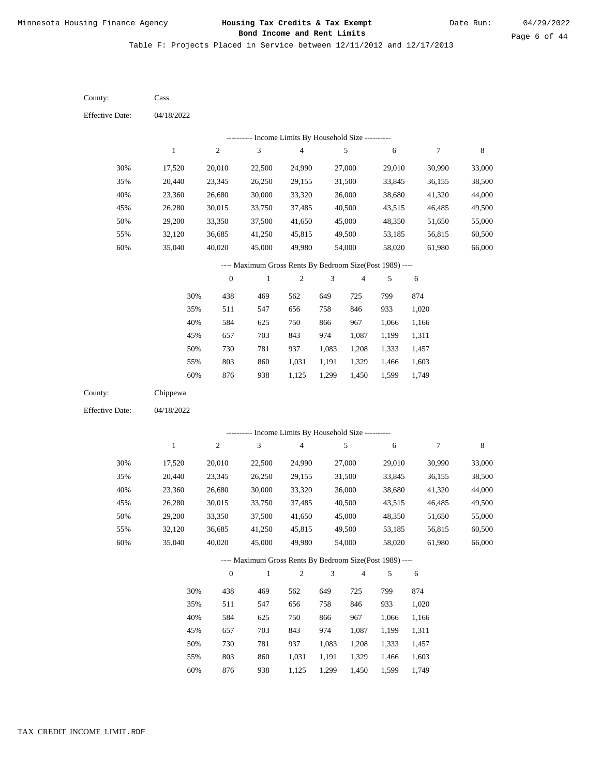Date Run:

Page 6 of 44

Table F: Projects Placed in Service between 12/11/2012 and 12/17/2013

| County:                | Cass         |                  |                                                          |                         |                |                          |            |        |             |
|------------------------|--------------|------------------|----------------------------------------------------------|-------------------------|----------------|--------------------------|------------|--------|-------------|
| <b>Effective Date:</b> | 04/18/2022   |                  |                                                          |                         |                |                          |            |        |             |
|                        |              |                  | --------- Income Limits By Household Size ----------     |                         |                |                          |            |        |             |
|                        | $\,1$        | $\boldsymbol{2}$ | $\ensuremath{\mathfrak{Z}}$                              | $\overline{\mathbf{4}}$ |                | 5                        | 6          | 7      | $\,8\,$     |
| 30%                    | 17,520       | 20,010           | 22,500                                                   | 24,990                  |                | 27,000                   | 29,010     | 30,990 | 33,000      |
| 35%                    | 20,440       | 23,345           | 26,250                                                   | 29,155                  |                | 31,500                   | 33,845     | 36,155 | 38,500      |
| 40%                    | 23,360       | 26,680           | 30,000                                                   | 33,320                  |                | 36,000                   | 38,680     | 41,320 | 44,000      |
| 45%                    | 26,280       | 30,015           | 33,750                                                   | 37,485                  |                | 40,500                   | 43,515     | 46,485 | 49,500      |
| 50%                    | 29,200       | 33,350           | 37,500                                                   | 41,650                  |                | 45,000                   | 48,350     | 51,650 | 55,000      |
| 55%                    | 32,120       | 36,685           | 41,250                                                   | 45,815                  |                | 49,500                   | 53,185     | 56,815 | 60,500      |
| 60%                    | 35,040       | 40,020           | 45,000                                                   | 49,980                  |                | 54,000                   | 58,020     | 61,980 | 66,000      |
|                        |              |                  | ---- Maximum Gross Rents By Bedroom Size(Post 1989) ---- |                         |                |                          |            |        |             |
|                        |              | $\boldsymbol{0}$ | $\mathbf{1}$                                             | $\sqrt{2}$              | $\mathfrak{Z}$ | $\overline{\mathcal{A}}$ | 5          | 6      |             |
|                        | 30%          | 438              | 469                                                      | 562                     | 649            | 725                      | 799        | 874    |             |
|                        | 35%          | 511              | 547                                                      | 656                     | 758            | 846                      | 933        | 1,020  |             |
|                        | 40%          | 584              | 625                                                      | 750                     | 866            | 967                      | 1,066      | 1,166  |             |
|                        | 45%          | 657              | 703                                                      | 843                     | 974            | 1,087                    | 1,199      | 1,311  |             |
|                        | 50%          | 730              | 781                                                      | 937                     | 1,083          | 1,208                    | 1,333      | 1,457  |             |
|                        | 55%          | 803              | 860                                                      | 1,031                   | 1,191          | 1,329                    | 1,466      | 1,603  |             |
|                        | 60%          | 876              | 938                                                      | 1,125                   | 1,299          | 1,450                    | 1,599      | 1,749  |             |
| County:                | Chippewa     |                  |                                                          |                         |                |                          |            |        |             |
| <b>Effective Date:</b> | 04/18/2022   |                  |                                                          |                         |                |                          |            |        |             |
|                        |              |                  | --------- Income Limits By Household Size ----------     |                         |                |                          |            |        |             |
|                        | $\mathbf{1}$ | $\boldsymbol{2}$ | 3                                                        | $\overline{\mathbf{4}}$ |                | 5                        | $\sqrt{6}$ | 7      | $\,$ 8 $\,$ |
| 30%                    | 17,520       | 20,010           | 22,500                                                   | 24,990                  |                | 27,000                   | 29,010     | 30,990 | 33,000      |
| 35%                    | 20,440       | 23,345           | 26,250                                                   | 29,155                  |                | 31,500                   | 33,845     | 36,155 | 38,500      |
| 40%                    | 23,360       | 26,680           | 30,000                                                   | 33,320                  |                | 36,000                   | 38,680     | 41,320 | 44,000      |
| 45%                    | 26,280       | 30,015           | 33,750                                                   | 37,485                  |                | 40,500                   | 43,515     | 46,485 | 49,500      |
| 50%                    | 29,200       | 33,350           | 37,500                                                   | 41,650                  |                | 45,000                   | 48,350     | 51,650 | 55,000      |
| 55%                    | 32,120       | 36,685           | 41,250                                                   | 45,815                  |                | 49,500                   | 53,185     | 56,815 | 60,500      |
| 60%                    | 35,040       | 40,020           | 45,000                                                   | 49,980                  |                | 54,000                   | 58,020     | 61,980 | 66,000      |
|                        |              |                  | ---- Maximum Gross Rents By Bedroom Size(Post 1989) ---- |                         |                |                          |            |        |             |
|                        |              | $\mathbf{0}$     | $\mathbf{1}$                                             | $\sqrt{2}$              | $\mathfrak{Z}$ | $\sqrt{4}$               | $\sqrt{5}$ | 6      |             |
|                        | 30%          | 438              | 469                                                      | 562                     | 649            | 725                      | 799        | 874    |             |
|                        | 35%          | 511              | 547                                                      | 656                     | 758            | 846                      | 933        | 1,020  |             |
|                        | 40%          | 584              | 625                                                      | 750                     | 866            | 967                      | 1,066      | 1,166  |             |
|                        | 45%          | 657              | 703                                                      | 843                     | 974            | 1,087                    | 1,199      | 1,311  |             |
|                        | 50%          | 730              | 781                                                      | 937                     | 1,083          | 1,208                    | 1,333      | 1,457  |             |
|                        | 55%          | 803              | 860                                                      | 1,031                   | 1,191          | 1,329                    | 1,466      | 1,603  |             |

876 938 1,125 1,299 1,450 1,599 1,749 60%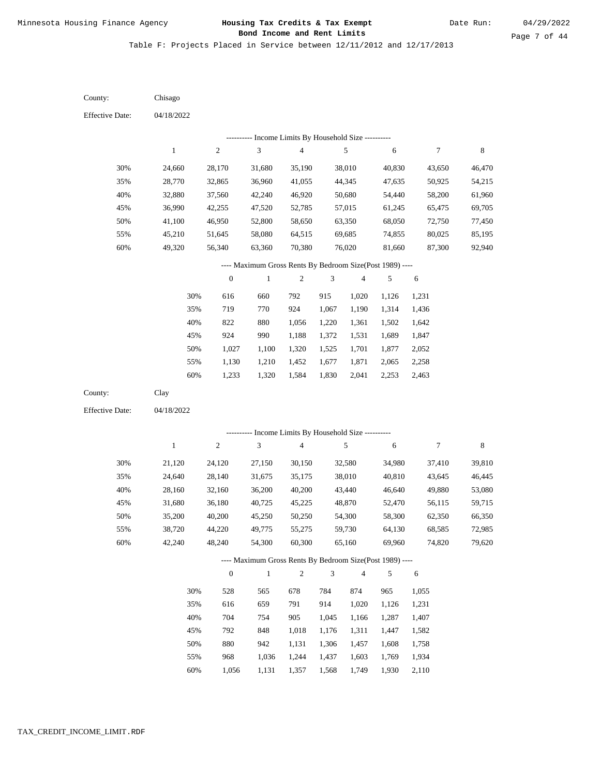Date Run:

Page 7 of 44

Table F: Projects Placed in Service between 12/11/2012 and 12/17/2013

| County:                | Chisago      |                  |                                                                        |                         |       |                          |        |                |        |
|------------------------|--------------|------------------|------------------------------------------------------------------------|-------------------------|-------|--------------------------|--------|----------------|--------|
| <b>Effective Date:</b> | 04/18/2022   |                  |                                                                        |                         |       |                          |        |                |        |
|                        |              |                  | --------- Income Limits By Household Size ----------                   |                         |       |                          |        |                |        |
|                        | $\mathbf{1}$ | $\sqrt{2}$       | $\ensuremath{\mathfrak{Z}}$                                            | $\overline{\mathbf{4}}$ |       | 5                        | 6      | $\overline{7}$ | 8      |
| 30%                    | 24,660       | 28,170           | 31,680                                                                 | 35,190                  |       | 38,010                   | 40,830 | 43,650         | 46,470 |
| 35%                    | 28,770       | 32,865           | 36,960                                                                 | 41,055                  |       | 44,345                   | 47,635 | 50,925         | 54,215 |
| 40%                    | 32,880       | 37,560           | 42,240                                                                 | 46,920                  |       | 50,680                   | 54,440 | 58,200         | 61,960 |
| 45%                    | 36,990       | 42,255           | 47,520                                                                 | 52,785                  |       | 57,015                   | 61,245 | 65,475         | 69,705 |
| 50%                    | 41,100       | 46,950           | 52,800                                                                 | 58,650                  |       | 63,350                   | 68,050 | 72,750         | 77,450 |
| 55%                    | 45,210       | 51,645           | 58,080                                                                 | 64,515                  |       | 69,685                   | 74,855 | 80,025         | 85,195 |
| 60%                    | 49,320       | 56,340           | 63,360                                                                 | 70,380                  |       | 76,020                   | 81,660 | 87,300         | 92,940 |
|                        |              |                  | ---- Maximum Gross Rents By Bedroom Size(Post 1989) ----               |                         |       |                          |        |                |        |
|                        |              | $\boldsymbol{0}$ | $\mathbf{1}$                                                           | $\boldsymbol{2}$        | 3     | $\overline{\mathcal{A}}$ | 5      | 6              |        |
|                        | 30%          | 616              | 660                                                                    | 792                     | 915   | 1,020                    | 1,126  | 1,231          |        |
|                        | 35%          | 719              | 770                                                                    | 924                     | 1,067 | 1,190                    | 1,314  | 1,436          |        |
|                        | 40%          | 822              | 880                                                                    | 1,056                   | 1,220 | 1,361                    | 1,502  | 1,642          |        |
|                        | 45%          | 924              | 990                                                                    | 1,188                   | 1,372 | 1,531                    | 1,689  | 1,847          |        |
|                        | 50%          | 1,027            | 1,100                                                                  | 1,320                   | 1,525 | 1,701                    | 1,877  | 2,052          |        |
|                        | 55%          | 1,130            | 1,210                                                                  | 1,452                   | 1,677 | 1,871                    | 2,065  | 2,258          |        |
|                        | $60\%$       | 1,233            | 1,320                                                                  | 1,584                   | 1,830 | 2,041                    | 2,253  | 2,463          |        |
| County:                | Clay         |                  |                                                                        |                         |       |                          |        |                |        |
| <b>Effective Date:</b> | 04/18/2022   |                  |                                                                        |                         |       |                          |        |                |        |
|                        |              |                  |                                                                        |                         |       |                          |        |                |        |
|                        | $\mathbf{1}$ | $\sqrt{2}$       | --------- Income Limits By Household Size ----------<br>$\mathfrak{Z}$ | 4                       |       | 5                        | 6      | $\overline{7}$ | 8      |
|                        |              |                  |                                                                        |                         |       |                          |        |                |        |
| 30%                    | 21,120       | 24,120           | 27,150                                                                 | 30,150                  |       | 32,580                   | 34,980 | 37,410         | 39,810 |
| 35%                    | 24,640       | 28,140           | 31,675                                                                 | 35,175                  |       | 38,010                   | 40,810 | 43,645         | 46,445 |
| 40%                    | 28,160       | 32,160           | 36,200                                                                 | 40,200                  |       | 43,440                   | 46,640 | 49,880         | 53,080 |
| 45%                    | 31,680       | 36,180           | 40,725                                                                 | 45,225                  |       | 48,870                   | 52,470 | 56,115         | 59,715 |
| 50%                    | 35,200       | 40,200           | 45,250                                                                 | 50,250                  |       | 54,300                   | 58,300 | 62,350         | 66,350 |
| 55%                    | 38,720       | 44,220           | 49,775                                                                 | 55,275                  |       | 59,730                   | 64,130 | 68,585         | 72,985 |
| 60%                    | 42,240       | 48,240           | 54,300                                                                 | 60,300                  |       | 65,160                   | 69,960 | 74,820         | 79,620 |
|                        |              |                  | ---- Maximum Gross Rents By Bedroom Size(Post 1989) ----               |                         |       |                          |        |                |        |
|                        |              | $\boldsymbol{0}$ | $\,1\,$                                                                | $\sqrt{2}$              | 3     | $\overline{\mathbf{4}}$  | 5      | 6              |        |
|                        | 30%          | 528              | 565                                                                    | 678                     | 784   | 874                      | 965    | 1,055          |        |
|                        | 35%          | 616              | 659                                                                    | 791                     | 914   | 1,020                    | 1,126  | 1,231          |        |
|                        | 40%          | 704              | 754                                                                    | 905                     | 1,045 | 1,166                    | 1,287  | 1,407          |        |
|                        | 45%          | 792              | 848                                                                    | 1,018                   | 1,176 | 1,311                    | 1,447  | 1,582          |        |
|                        | 50%          | 880              | 942                                                                    | 1,131                   | 1,306 | 1,457                    | 1,608  | 1,758          |        |
|                        | 55%          | 968              | 1,036                                                                  | 1,244                   | 1,437 | 1,603                    | 1,769  | 1,934          |        |

1,056 1,131 1,357 1,568 1,749 1,930 2,110 60%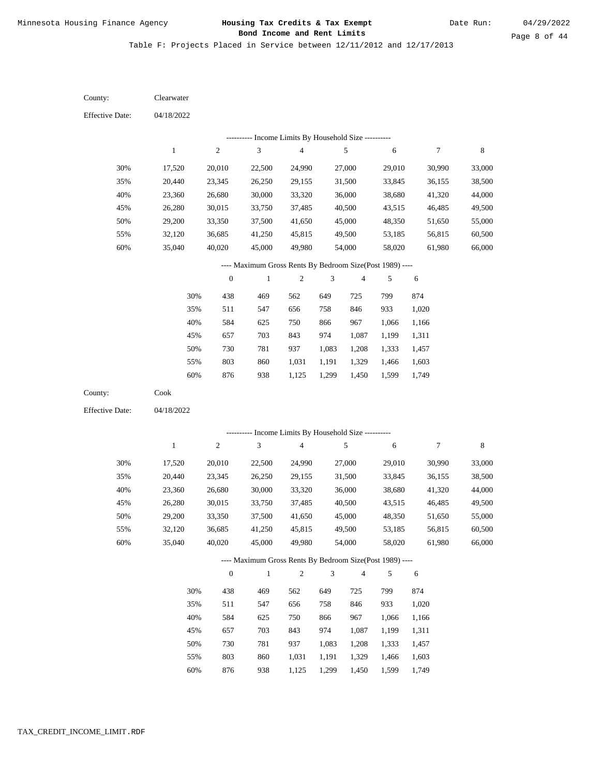Date Run:

Page 8 of 44

Table F: Projects Placed in Service between 12/11/2012 and 12/17/2013

| County:                | Clearwater   |                  |                                                          |                |                |                |        |            |             |
|------------------------|--------------|------------------|----------------------------------------------------------|----------------|----------------|----------------|--------|------------|-------------|
| <b>Effective Date:</b> | 04/18/2022   |                  |                                                          |                |                |                |        |            |             |
|                        |              |                  | --------- Income Limits By Household Size ----------     |                |                |                |        |            |             |
|                        | $\mathbf{1}$ | $\sqrt{2}$       | 3                                                        | $\overline{4}$ |                | 5              | 6      | 7          | $\,$ 8 $\,$ |
| 30%                    | 17,520       | 20,010           | 22,500                                                   | 24,990         |                | 27,000         | 29,010 | 30,990     | 33,000      |
| 35%                    | 20,440       | 23,345           | 26,250                                                   | 29,155         |                | 31,500         | 33,845 | 36,155     | 38,500      |
| 40%                    | 23,360       | 26,680           | 30,000                                                   | 33,320         |                | 36,000         | 38,680 | 41,320     | 44,000      |
| 45%                    | 26,280       | 30,015           | 33,750                                                   | 37,485         |                | 40,500         | 43,515 | 46,485     | 49,500      |
| 50%                    | 29,200       | 33,350           | 37,500                                                   | 41,650         |                | 45,000         | 48,350 | 51,650     | 55,000      |
| 55%                    | 32,120       | 36,685           | 41,250                                                   | 45,815         |                | 49,500         | 53,185 | 56,815     | 60,500      |
| 60%                    | 35,040       | 40,020           | 45,000                                                   | 49,980         |                | 54,000         | 58,020 | 61,980     | 66,000      |
|                        |              |                  | ---- Maximum Gross Rents By Bedroom Size(Post 1989) ---- |                |                |                |        |            |             |
|                        |              | $\boldsymbol{0}$ | $\mathbf{1}$                                             | $\sqrt{2}$     | 3              | $\overline{4}$ | 5      | 6          |             |
|                        | 30%          | 438              | 469                                                      | 562            | 649            | 725            | 799    | 874        |             |
|                        | 35%          | 511              | 547                                                      | 656            | 758            | 846            | 933    | 1,020      |             |
|                        | 40%          | 584              | 625                                                      | 750            | 866            | 967            | 1,066  | 1,166      |             |
|                        | 45%          | 657              | 703                                                      | 843            | 974            | 1,087          | 1,199  | 1,311      |             |
|                        | 50%          | 730              | 781                                                      | 937            | 1,083          | 1,208          | 1,333  | 1,457      |             |
|                        | 55%          | 803              | 860                                                      | 1,031          | 1,191          | 1,329          | 1,466  | 1,603      |             |
|                        | 60%          | 876              | 938                                                      | 1,125          | 1,299          | 1,450          | 1,599  | 1,749      |             |
| County:                | Cook         |                  |                                                          |                |                |                |        |            |             |
| <b>Effective Date:</b> | 04/18/2022   |                  |                                                          |                |                |                |        |            |             |
|                        |              |                  | ---------- Income Limits By Household Size ----------    |                |                |                |        |            |             |
|                        | $\mathbf{1}$ | $\sqrt{2}$       | 3                                                        | $\sqrt{4}$     |                | 5              | 6      | 7          | $\,$ 8 $\,$ |
| 30%                    | 17,520       | 20,010           | 22,500                                                   | 24,990         |                | 27,000         | 29,010 | 30,990     | 33,000      |
| 35%                    | 20,440       | 23,345           | 26,250                                                   | 29,155         |                | 31,500         | 33,845 | 36,155     | 38,500      |
| 40%                    | 23,360       | 26,680           | 30,000                                                   | 33,320         |                | 36,000         | 38,680 | 41,320     | 44,000      |
| 45%                    | 26,280       | 30,015           | 33,750                                                   | 37,485         |                | 40,500         | 43,515 | 46,485     | 49,500      |
| 50%                    | 29,200       | 33,350           | 37,500                                                   | 41,650         |                | 45,000         | 48,350 | 51,650     | 55,000      |
| 55%                    | 32,120       | 36,685           | 41,250                                                   | 45,815         |                | 49,500         | 53,185 | 56,815     | 60,500      |
| 60%                    | 35,040       | 40,020           | 45,000                                                   | 49,980         |                | 54,000         | 58,020 | 61,980     | 66,000      |
|                        |              |                  | ---- Maximum Gross Rents By Bedroom Size(Post 1989) ---- |                |                |                |        |            |             |
|                        |              | $\boldsymbol{0}$ | $\mathbf{1}$                                             | $\sqrt{2}$     | $\mathfrak{Z}$ | $\overline{4}$ | 5      | $\sqrt{6}$ |             |
|                        | 30%          | 438              | 469                                                      | 562            | 649            | 725            | 799    | 874        |             |
|                        | 35%          | 511              | 547                                                      | 656            | 758            | 846            | 933    | 1,020      |             |
|                        | 40%          | 584              | 625                                                      | 750            | 866            | 967            | 1,066  | 1,166      |             |
|                        | 45%          | 657              | 703                                                      | 843            | 974            | 1,087          | 1,199  | 1,311      |             |
|                        | 50%          | 730              | 781                                                      | 937            | 1,083          | 1,208          | 1,333  | 1,457      |             |
|                        | 55%          | 803              | 860                                                      | 1,031          | 1,191          | 1,329          | 1,466  | 1,603      |             |

876 938 1,125 1,299 1,450 1,599 1,749 60%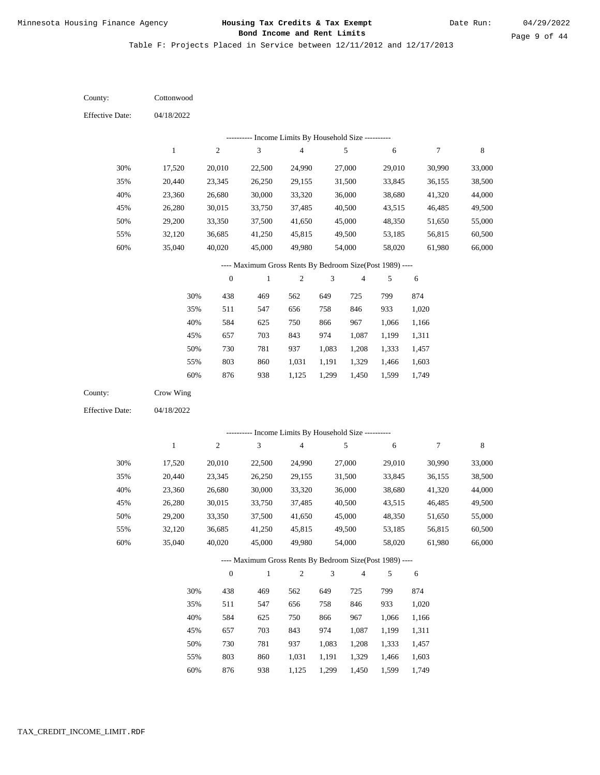Date Run:

Page 9 of 44

| County:                | Cottonwood    |                  |                                                          |                          |                             |                         |                |                |             |
|------------------------|---------------|------------------|----------------------------------------------------------|--------------------------|-----------------------------|-------------------------|----------------|----------------|-------------|
| <b>Effective Date:</b> | 04/18/2022    |                  |                                                          |                          |                             |                         |                |                |             |
|                        |               |                  | --------- Income Limits By Household Size ----------     |                          |                             |                         |                |                |             |
|                        | $\mathbf{1}$  | $\sqrt{2}$       | 3                                                        | $\overline{\mathcal{A}}$ |                             | 5                       | 6              | 7              | 8           |
| 30%                    | 17,520        | 20,010           | 22,500                                                   | 24,990                   |                             | 27,000                  | 29,010         | 30,990         | 33,000      |
| 35%                    | 20,440        | 23,345           | 26,250                                                   | 29,155                   |                             | 31,500                  | 33,845         | 36,155         | 38,500      |
| 40%                    | 23,360        | 26,680           | 30,000                                                   | 33,320                   |                             | 36,000                  | 38,680         | 41,320         | 44,000      |
| 45%                    | 26,280        | 30,015           | 33,750                                                   | 37,485                   |                             | 40,500                  | 43,515         | 46,485         | 49,500      |
| 50%                    | 29,200        | 33,350           | 37,500                                                   | 41,650                   |                             | 45,000                  | 48,350         | 51,650         | 55,000      |
| 55%                    | 32,120        | 36,685           | 41,250                                                   | 45,815                   |                             | 49,500                  | 53,185         | 56,815         | 60,500      |
| 60%                    | 35,040        | 40,020           | 45,000                                                   | 49,980                   |                             | 54,000                  | 58,020         | 61,980         | 66,000      |
|                        |               |                  | ---- Maximum Gross Rents By Bedroom Size(Post 1989) ---- |                          |                             |                         |                |                |             |
|                        |               | $\boldsymbol{0}$ | $\mathbf{1}$                                             | $\boldsymbol{2}$         | 3                           | $\overline{4}$          | 5              | 6              |             |
|                        | 30%           | 438              | 469                                                      | 562                      | 649                         | 725                     | 799            | 874            |             |
|                        | 35%           | 511              | 547                                                      | 656                      | 758                         | 846                     | 933            | 1,020          |             |
|                        | 40%           | 584              | 625                                                      | 750                      | 866                         | 967                     | 1,066          | 1,166          |             |
|                        | 45%           | 657              | 703                                                      | 843                      | 974                         | 1,087                   | 1,199          | 1,311          |             |
|                        | 50%           | 730              | 781                                                      | 937                      | 1,083                       | 1,208                   | 1,333          | 1,457          |             |
|                        | 55%           | 803              | 860                                                      | 1,031                    | 1,191                       | 1,329                   | 1,466          | 1,603          |             |
|                        | 60%           | 876              | 938                                                      | 1,125                    | 1,299                       | 1,450                   | 1,599          | 1,749          |             |
| County:                | Crow Wing     |                  |                                                          |                          |                             |                         |                |                |             |
| <b>Effective Date:</b> | 04/18/2022    |                  |                                                          |                          |                             |                         |                |                |             |
|                        |               |                  | ---------- Income Limits By Household Size ----------    |                          |                             |                         |                |                |             |
|                        | $\mathbf{1}$  | $\sqrt{2}$       | $\mathfrak{Z}$                                           | $\overline{\mathbf{4}}$  |                             | 5                       | 6              | 7              | $\,$ 8 $\,$ |
|                        |               |                  |                                                          |                          |                             |                         |                |                |             |
| 30%                    | 17,520        | 20,010           | 22,500                                                   | 24,990                   |                             | 27,000                  | 29,010         | 30,990         | 33,000      |
| 35%                    | 20,440        | 23,345           | 26,250                                                   | 29,155                   |                             | 31,500                  | 33,845         | 36,155         | 38,500      |
| 40%                    | 23,360        | 26,680           | 30,000                                                   | 33,320                   |                             | 36,000                  | 38,680         | 41,320         | 44,000      |
| 45%                    | 26,280        | 30,015           | 33,750                                                   | 37,485                   |                             | 40,500                  | 43,515         | 46,485         | 49,500      |
| 50%                    | 29,200        | 33,350           | 37,500                                                   | 41,650                   |                             | 45,000                  | 48,350         | 51,650         | 55,000      |
| 55%                    | 32,120        | 36,685           | 41,250                                                   | 45,815                   |                             | 49,500                  | 53,185         | 56,815         | 60,500      |
| 60%                    | 35,040        | 40,020           | 45,000                                                   | 49,980                   |                             | 54,000                  | 58,020         | 61,980         | 66,000      |
|                        |               |                  | ---- Maximum Gross Rents By Bedroom Size(Post 1989) ---- |                          |                             |                         |                |                |             |
|                        |               | $\boldsymbol{0}$ | $\mathbf{1}$                                             | $\sqrt{2}$               | $\ensuremath{\mathfrak{Z}}$ | $\overline{\mathbf{4}}$ | 5              | $\sqrt{6}$     |             |
|                        | 30%           | 438              | 469                                                      | 562                      | 649                         | 725                     | 799            | 874            |             |
|                        | 35%           | 511              | 547                                                      | 656                      | 758                         | 846                     | 933            | 1,020          |             |
|                        | 40%           | 584              | 625                                                      | 750                      | 866                         | 967                     | 1,066          | 1,166          |             |
|                        |               |                  |                                                          |                          |                             |                         |                |                |             |
|                        | 45%           | 657              | 703                                                      | 843                      | 974                         | 1,087                   | 1,199          | 1,311          |             |
|                        | 50%           | 730              | 781                                                      | 937                      | 1,083                       | 1,208                   | 1,333          | 1,457          |             |
|                        | 55%<br>$60\%$ | 803<br>876       | 860<br>938                                               | 1,031<br>1,125           | 1,191<br>1,299              | 1,329<br>1,450          | 1,466<br>1,599 | 1,603<br>1,749 |             |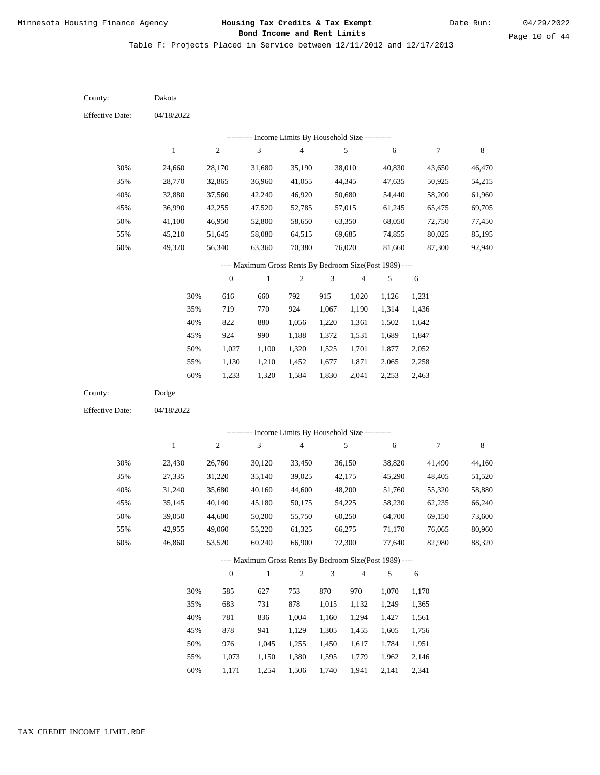| County:                | Dakota       |                  |                                                          |                          |                |                |        |        |        |
|------------------------|--------------|------------------|----------------------------------------------------------|--------------------------|----------------|----------------|--------|--------|--------|
| <b>Effective Date:</b> | 04/18/2022   |                  |                                                          |                          |                |                |        |        |        |
|                        |              |                  | --------- Income Limits By Household Size ----------     |                          |                |                |        |        |        |
|                        | $\mathbf{1}$ | $\boldsymbol{2}$ | $\mathfrak{Z}$                                           | $\overline{\mathbf{4}}$  |                | 5              | 6      | 7      | 8      |
| 30%                    | 24,660       | 28,170           | 31,680                                                   | 35,190                   |                | 38,010         | 40,830 | 43,650 | 46,470 |
| 35%                    | 28,770       | 32,865           | 36,960                                                   | 41,055                   |                | 44,345         | 47,635 | 50,925 | 54,215 |
| 40%                    | 32,880       | 37,560           | 42,240                                                   | 46,920                   |                | 50,680         | 54,440 | 58,200 | 61,960 |
| 45%                    | 36,990       | 42,255           | 47,520                                                   | 52,785                   |                | 57,015         | 61,245 | 65,475 | 69,705 |
| 50%                    | 41,100       | 46,950           | 52,800                                                   | 58,650                   |                | 63,350         | 68,050 | 72,750 | 77,450 |
| 55%                    | 45,210       | 51,645           | 58,080                                                   | 64,515                   |                | 69,685         | 74,855 | 80,025 | 85,195 |
| 60%                    | 49,320       | 56,340           | 63,360                                                   | 70,380                   |                | 76,020         | 81,660 | 87,300 | 92,940 |
|                        |              |                  | ---- Maximum Gross Rents By Bedroom Size(Post 1989) ---- |                          |                |                |        |        |        |
|                        |              | $\boldsymbol{0}$ | $\mathbf{1}$                                             | $\boldsymbol{2}$         | 3              | $\overline{4}$ | 5      | 6      |        |
|                        | 30%          | 616              | 660                                                      | 792                      | 915            | 1,020          | 1,126  | 1,231  |        |
|                        | 35%          | 719              | 770                                                      | 924                      | 1,067          | 1,190          | 1,314  | 1,436  |        |
|                        | 40%          | 822              | 880                                                      | 1,056                    | 1,220          | 1,361          | 1,502  | 1,642  |        |
|                        | 45%          | 924              | 990                                                      | 1,188                    | 1,372          | 1,531          | 1,689  | 1,847  |        |
|                        | 50%          | 1,027            | 1,100                                                    | 1,320                    | 1,525          | 1,701          | 1,877  | 2,052  |        |
|                        | 55%          | 1,130            | 1,210                                                    | 1,452                    | 1,677          | 1,871          | 2,065  | 2,258  |        |
|                        | 60%          | 1,233            | 1,320                                                    | 1,584                    | 1,830          | 2,041          | 2,253  | 2,463  |        |
| County:                | Dodge        |                  |                                                          |                          |                |                |        |        |        |
| <b>Effective Date:</b> | 04/18/2022   |                  |                                                          |                          |                |                |        |        |        |
|                        |              |                  | --------- Income Limits By Household Size ----------     |                          |                |                |        |        |        |
|                        | $\mathbf{1}$ | $\sqrt{2}$       | $\mathfrak{Z}$                                           | $\overline{\mathcal{A}}$ |                | 5              | 6      | $\tau$ | 8      |
|                        |              |                  |                                                          |                          |                |                |        |        |        |
| 30%                    | 23,430       | 26,760           | 30,120                                                   | 33,450                   |                | 36,150         | 38,820 | 41,490 | 44,160 |
| 35%                    | 27,335       | 31,220           | 35,140                                                   | 39,025                   |                | 42,175         | 45,290 | 48,405 | 51,520 |
| 40%                    | 31,240       | 35,680           | 40,160                                                   | 44,600                   |                | 48,200         | 51,760 | 55,320 | 58,880 |
| 45%                    | 35,145       | 40,140           | 45,180                                                   | 50,175                   |                | 54,225         | 58,230 | 62,235 | 66,240 |
| 50%                    | 39,050       | 44,600           | 50,200                                                   | 55,750                   |                | 60,250         | 64,700 | 69,150 | 73,600 |
| 55%                    | 42,955       | 49,060           | 55,220                                                   | 61,325                   |                | 66,275         | 71,170 | 76,065 | 80,960 |
| 60%                    | 46,860       | 53,520           | 60,240                                                   | 66,900                   |                | 72,300         | 77,640 | 82,980 | 88,320 |
|                        |              |                  | ---- Maximum Gross Rents By Bedroom Size(Post 1989) ---- |                          |                |                |        |        |        |
|                        |              | $\boldsymbol{0}$ | $\,1$                                                    | $\sqrt{2}$               | $\mathfrak{Z}$ | $\overline{4}$ | 5      | 6      |        |
|                        | 30%          | 585              | 627                                                      | 753                      | 870            | 970            | 1,070  | 1,170  |        |
|                        | 35%          | 683              | 731                                                      | 878                      | 1,015          | 1,132          | 1,249  | 1,365  |        |
|                        | $40\%$       | 781              | 836                                                      | 1,004                    | 1,160          | 1,294          | 1,427  | 1,561  |        |
|                        | 45%          | 878              | 941                                                      | 1,129                    | 1,305          | 1,455          | 1,605  | 1,756  |        |
|                        | 50%          | 976              | 1,045                                                    | 1,255                    | 1,450          | 1,617          | 1,784  | 1,951  |        |
|                        | 55%          | 1,073            | 1,150                                                    | 1,380                    | 1,595          | 1,779          | 1,962  | 2,146  |        |
|                        | 60%          | 1,171            | 1,254                                                    | 1,506                    | 1,740          | 1,941          | 2,141  | 2,341  |        |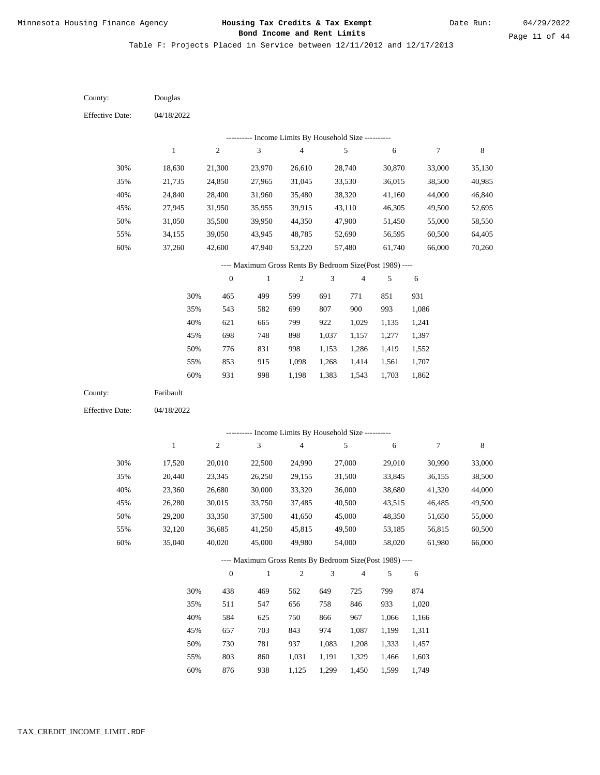| County:                | Douglas      |                  |                                                          |                                              |                |                         |        |                  |             |
|------------------------|--------------|------------------|----------------------------------------------------------|----------------------------------------------|----------------|-------------------------|--------|------------------|-------------|
| <b>Effective Date:</b> | 04/18/2022   |                  |                                                          |                                              |                |                         |        |                  |             |
|                        |              |                  |                                                          | - Income Limits By Household Size ---------- |                |                         |        |                  |             |
|                        | $\mathbf 1$  | $\sqrt{2}$       | $\mathfrak{Z}$                                           | $\overline{\mathcal{L}}$                     |                | $\sqrt{5}$              | 6      | $\boldsymbol{7}$ | $\,$ 8 $\,$ |
| 30%                    | 18,630       | 21,300           | 23,970                                                   | 26,610                                       |                | 28,740                  | 30,870 | 33,000           | 35,130      |
| 35%                    | 21,735       | 24,850           | 27,965                                                   | 31,045                                       |                | 33,530                  | 36,015 | 38,500           | 40,985      |
| 40%                    | 24,840       | 28,400           | 31,960                                                   | 35,480                                       |                | 38,320                  | 41,160 | 44,000           | 46,840      |
| 45%                    | 27,945       | 31,950           | 35,955                                                   | 39,915                                       |                | 43,110                  | 46,305 | 49,500           | 52,695      |
| 50%                    | 31,050       | 35,500           | 39,950                                                   | 44,350                                       |                | 47,900                  | 51,450 | 55,000           | 58,550      |
| 55%                    | 34,155       | 39,050           | 43,945                                                   | 48,785                                       |                | 52,690                  | 56,595 | 60,500           | 64,405      |
| 60%                    | 37,260       | 42,600           | 47,940                                                   | 53,220                                       |                | 57,480                  | 61,740 | 66,000           | 70,260      |
|                        |              |                  | ---- Maximum Gross Rents By Bedroom Size(Post 1989) ---- |                                              |                |                         |        |                  |             |
|                        |              | $\boldsymbol{0}$ | $\,1$                                                    | $\overline{c}$                               | 3              | $\overline{\mathbf{4}}$ | 5      | $\sqrt{6}$       |             |
|                        | 30%          | 465              | 499                                                      | 599                                          | 691            | 771                     | 851    | 931              |             |
|                        | 35%          | 543              | 582                                                      | 699                                          | 807            | 900                     | 993    | 1,086            |             |
|                        | 40%          | 621              | 665                                                      | 799                                          | 922            | 1,029                   | 1,135  | 1,241            |             |
|                        | 45%          | 698              | 748                                                      | 898                                          | 1,037          | 1,157                   | 1,277  | 1,397            |             |
|                        | 50%          | 776              | 831                                                      | 998                                          | 1,153          | 1,286                   | 1,419  | 1,552            |             |
|                        | 55%          | 853              | 915                                                      | 1,098                                        | 1,268          | 1,414                   | 1,561  | 1,707            |             |
|                        | 60%          | 931              | 998                                                      | 1,198                                        | 1,383          | 1,543                   | 1,703  | 1,862            |             |
| County:                | Faribault    |                  |                                                          |                                              |                |                         |        |                  |             |
| <b>Effective Date:</b> | 04/18/2022   |                  |                                                          |                                              |                |                         |        |                  |             |
|                        |              |                  |                                                          |                                              |                |                         |        |                  |             |
|                        |              |                  | ---------- Income Limits By Household Size ----------    |                                              |                |                         |        |                  |             |
|                        | $\mathbf{1}$ | $\sqrt{2}$       | 3                                                        | $\overline{\mathcal{L}}$                     |                | $\sqrt{5}$              | 6      | $\boldsymbol{7}$ | $\,$ 8 $\,$ |
| 30%                    | 17,520       | 20,010           | 22,500                                                   | 24,990                                       |                | 27,000                  | 29,010 | 30,990           | 33,000      |
| 35%                    | 20,440       | 23,345           | 26,250                                                   | 29,155                                       |                | 31,500                  | 33,845 | 36,155           | 38,500      |
| 40%                    | 23,360       | 26,680           | 30,000                                                   | 33,320                                       |                | 36,000                  | 38,680 | 41,320           | 44,000      |
| 45%                    | 26,280       | 30,015           | 33,750                                                   | 37,485                                       |                | 40,500                  | 43,515 | 46,485           | 49,500      |
| 50%                    | 29,200       | 33,350           | 37,500                                                   | 41,650                                       |                | 45,000                  | 48,350 | 51,650           | 55,000      |
| 55%                    | 32,120       | 36,685           | 41,250                                                   | 45,815                                       |                | 49,500                  | 53,185 | 56,815           | 60,500      |
| $60\%$                 | 35,040       | 40,020           | 45,000                                                   | 49,980                                       |                | 54,000                  | 58,020 | 61,980           | 66,000      |
|                        |              |                  | ---- Maximum Gross Rents By Bedroom Size(Post 1989) ---- |                                              |                |                         |        |                  |             |
|                        |              | $\boldsymbol{0}$ | $\,1\,$                                                  | $\mathfrak{2}$                               | $\mathfrak{Z}$ | 4                       | 5      | $\sqrt{6}$       |             |
|                        | 30%          | 438              | 469                                                      | 562                                          | 649            | 725                     | 799    | 874              |             |
|                        |              |                  | 547                                                      | 656                                          | 758            | 846                     | 933    | 1,020            |             |
|                        | 35%          | 511              |                                                          |                                              |                |                         |        |                  |             |
|                        | 40%          | 584              | 625                                                      | 750                                          | 866            | 967                     | 1,066  | 1,166            |             |
|                        | 45%          | 657              | 703                                                      | 843                                          | 974            | 1,087                   | 1,199  | 1,311            |             |
|                        | 50%          | 730              | 781                                                      | 937                                          | 1,083          | 1,208                   | 1,333  | 1,457            |             |
|                        | 55%          | 803              | 860                                                      | 1,031                                        | 1,191          | 1,329                   | 1,466  | 1,603            |             |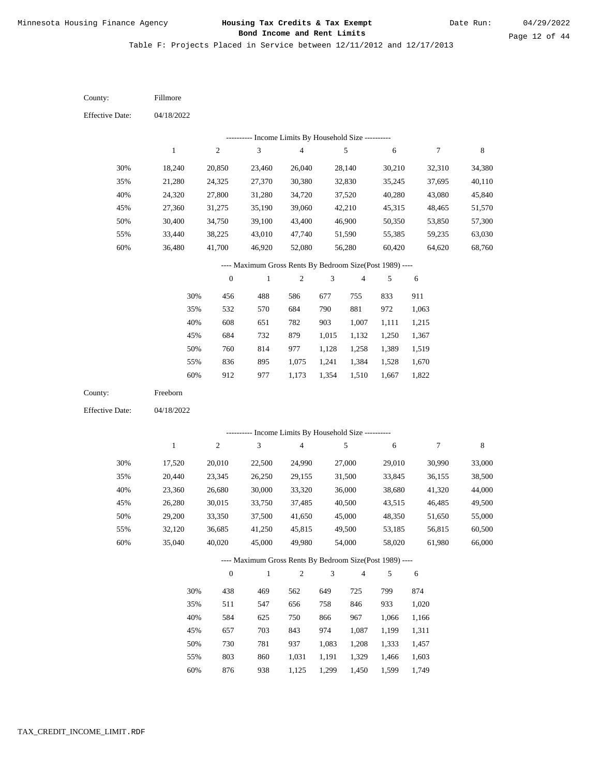| County:                | Fillmore     |                  |                                                                          |                |                             |                          |                |                |             |
|------------------------|--------------|------------------|--------------------------------------------------------------------------|----------------|-----------------------------|--------------------------|----------------|----------------|-------------|
| <b>Effective Date:</b> | 04/18/2022   |                  |                                                                          |                |                             |                          |                |                |             |
|                        |              |                  | --------- Income Limits By Household Size ----------                     |                |                             |                          |                |                |             |
|                        | $\mathbf{1}$ | $\boldsymbol{2}$ | $\mathfrak{Z}$                                                           | 4              |                             | 5                        | 6              | 7              | $\,$ 8 $\,$ |
| 30%                    | 18,240       | 20,850           | 23,460                                                                   | 26,040         |                             | 28,140                   | 30,210         | 32,310         | 34,380      |
| 35%                    | 21,280       | 24,325           | 27,370                                                                   | 30,380         |                             | 32,830                   | 35,245         | 37,695         | 40,110      |
| 40%                    | 24,320       | 27,800           | 31,280                                                                   | 34,720         |                             | 37,520                   | 40,280         | 43,080         | 45,840      |
| 45%                    | 27,360       | 31,275           | 35,190                                                                   | 39,060         |                             | 42,210                   | 45,315         | 48,465         | 51,570      |
| 50%                    | 30,400       | 34,750           | 39,100                                                                   | 43,400         |                             | 46,900                   | 50,350         | 53,850         | 57,300      |
| 55%                    | 33,440       | 38,225           | 43,010                                                                   | 47,740         |                             | 51,590                   | 55,385         | 59,235         | 63,030      |
| 60%                    | 36,480       | 41,700           | 46,920                                                                   | 52,080         |                             | 56,280                   | 60,420         | 64,620         | 68,760      |
|                        |              |                  | ---- Maximum Gross Rents By Bedroom Size(Post 1989) ----                 |                |                             |                          |                |                |             |
|                        |              | $\boldsymbol{0}$ | $\mathbf{1}$                                                             | $\mathfrak{2}$ | 3                           | $\overline{\mathcal{A}}$ | 5              | 6              |             |
|                        | 30%          | 456              | 488                                                                      | 586            | 677                         | 755                      | 833            | 911            |             |
|                        | 35%          | 532              | 570                                                                      | 684            | 790                         | 881                      | 972            | 1,063          |             |
|                        | 40%          | 608              | 651                                                                      | 782            | 903                         | 1,007                    | 1,111          | 1,215          |             |
|                        | 45%          | 684              | 732                                                                      | 879            | 1,015                       | 1,132                    | 1,250          | 1,367          |             |
|                        | 50%          | 760              | 814                                                                      | 977            | 1,128                       | 1,258                    | 1,389          | 1,519          |             |
|                        | 55%          | 836              | 895                                                                      | 1,075          | 1,241                       | 1,384                    | 1,528          | 1,670          |             |
|                        | 60%          | 912              | 977                                                                      | 1,173          | 1,354                       | 1,510                    | 1,667          | 1,822          |             |
| County:                |              |                  |                                                                          |                |                             |                          |                |                |             |
|                        | Freeborn     |                  |                                                                          |                |                             |                          |                |                |             |
| <b>Effective Date:</b> | 04/18/2022   |                  |                                                                          |                |                             |                          |                |                |             |
|                        |              |                  |                                                                          |                |                             |                          |                |                |             |
|                        |              |                  | --------- Income Limits By Household Size ----------                     |                |                             |                          |                |                |             |
|                        | $\mathbf{1}$ | $\sqrt{2}$       | $\mathfrak{Z}$                                                           | 4              |                             | 5                        | 6              | 7              | $\,8\,$     |
| 30%                    | 17,520       | 20,010           | 22,500                                                                   | 24,990         |                             | 27,000                   | 29,010         | 30,990         | 33,000      |
| 35%                    | 20,440       | 23,345           | 26,250                                                                   | 29,155         |                             | 31,500                   | 33,845         | 36,155         | 38,500      |
| 40%                    | 23,360       | 26,680           | 30,000                                                                   | 33,320         |                             | 36,000                   | 38,680         | 41,320         | 44,000      |
| 45%                    | 26,280       | 30,015           | 33,750                                                                   | 37,485         |                             | 40,500                   | 43,515         | 46,485         | 49,500      |
| 50%                    | 29,200       | 33,350           | 37,500                                                                   | 41,650         |                             | 45,000                   | 48,350         | 51,650         | 55,000      |
| 55%                    | 32,120       | 36,685           | 41,250                                                                   | 45,815         |                             | 49,500                   | 53,185         | 56,815         | 60,500      |
| 60%                    | 35,040       | 40,020           | 45,000                                                                   | 49,980         |                             | 54,000                   | 58,020         | 61,980         | 66,000      |
|                        |              | $\boldsymbol{0}$ | ---- Maximum Gross Rents By Bedroom Size(Post 1989) ----<br>$\mathbf{1}$ | $\overline{c}$ | $\ensuremath{\mathfrak{Z}}$ | $\overline{4}$           | 5              | 6              |             |
|                        |              |                  |                                                                          |                |                             |                          |                |                |             |
|                        | 30%          | 438              | 469                                                                      | 562            | 649                         | 725                      | 799            | 874            |             |
|                        | 35%          | 511              | 547                                                                      | 656            | 758                         | 846                      | 933            | 1,020          |             |
|                        | 40%          | 584              | 625                                                                      | 750            | 866                         | 967                      | 1,066          | 1,166          |             |
|                        | 45%<br>50%   | 657<br>730       | 703                                                                      | 843            | 974                         | 1,087                    | 1,199          | 1,311          |             |
|                        | 55%          | 803              | 781<br>860                                                               | 937<br>1,031   | 1,083<br>1,191              | 1,208<br>1,329           | 1,333<br>1,466 | 1,457<br>1,603 |             |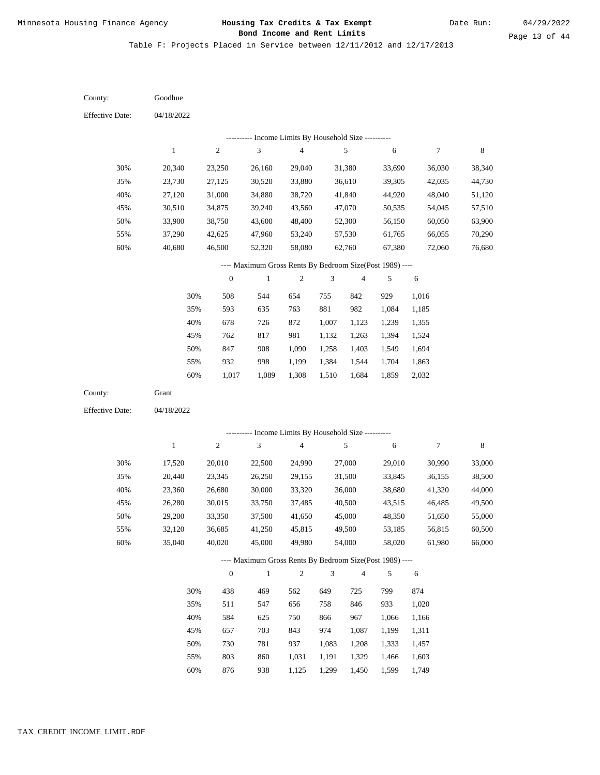Table F: Projects Placed in Service between 12/11/2012 and 12/17/2013

04/18/2022 04/18/2022 Goodhue Grant 30% 35% 40% 45% 50% 55% 60% 30% 35% 40% 45% 50% 55% 60% 20,340 23,730 27,120 30,510 33,900 37,290 40,680 17,520 20,440 23,360 26,280 29,200 32,120 35,040 23,250 27,125 31,000 34,875 38,750 42,625 46,500 20,010 23,345 26,680 30,015 33,350 36,685 40,020 26,160 30,520 34,880 39,240 43,600 47,960 52,320 22,500 26,250 30,000 33,750 37,500 41,250 45,000 29,040 33,880 38,720 43,560 48,400 53,240 58,080 24,990 29,155 33,320 37,485 41,650 45,815 49,980 31,380 36,610 41,840 47,070 52,300 57,530 62,760 27,000 31,500 36,000 40,500 45,000 49,500 54,000 33,690 39,305 44,920 50,535 56,150 61,765 67,380 29,010 33,845 38,680 43,515 48,350 53,185 58,020 36,030 42,035 48,040 54,045 60,050 66,055 72,060 30,990 36,155 41,320 46,485 51,650 56,815 61,980 38,340 44,730 51,120 57,510 63,900 70,290 76,680 33,000 38,500 44,000 49,500 55,000 60,500 66,000 508 593 678 762 847 932 1,017 438 511 584 657 730 803 876 544 635 726 817 908 998 1,089 469 547 625 703 781 860 938 654 763 872 981 1,090 1,199 1,308 562 656 750 843 937 1,031 1,125 755 881 1,007 1,132 1,258 1,384 1,510 649 758 866 974 1,083 1,191 1,299 842 982 1,123 1,263 1,403 1,544 1,684 725 846 967 1,087 1,208 1,329 1,450 929 1,084 1,239 1,394 1,549 1,704 1,859 799 933 1,066 1,199 1,333 1,466 1,599 1,016 1,185 1,355 1,524 1,694 1,863 2,032 874 1,020 1,166 1,311 1,457 1,603 1,749 County: County: Effective Date: Effective Date: 1 1 2 2 3 3 4 4 5 5 6 6 7 7 8 8 0 0 1 1 2 2 3 3 4 4 5 5 6 6 ---------- Income Limits By Household Size ---------- ---------- Income Limits By Household Size ---------- ---- Maximum Gross Rents By Bedroom Size(Post 1989) ---- ---- Maximum Gross Rents By Bedroom Size(Post 1989) ---- 30% 35% 40% 45% 50% 55% 60% 30% 35% 40% 45% 50% 55% 60%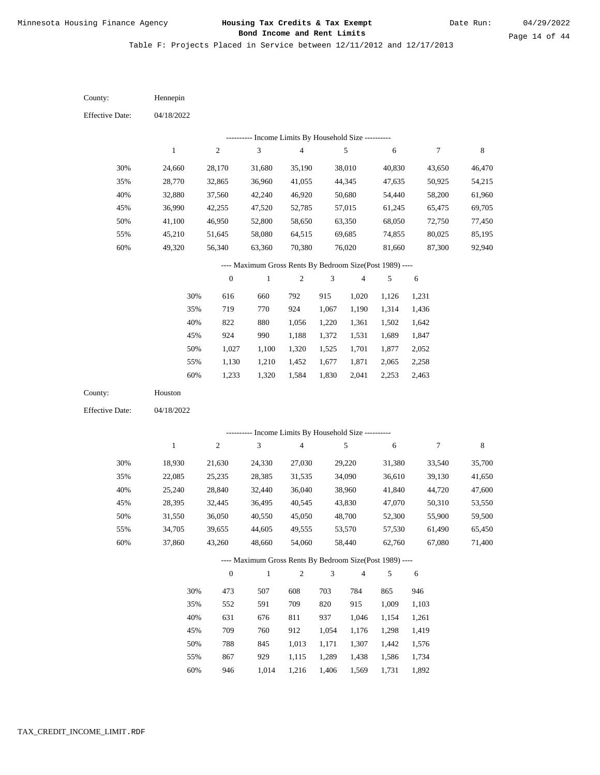Table F: Projects Placed in Service between 12/11/2012 and 12/17/2013

04/18/2022 04/18/2022 Hennepin Houston 30% 35% 40% 45% 50% 55% 60% 30% 35% 40% 45% 50% 55% 60% 24,660 28,770 32,880 36,990 41,100 45,210 49,320 18,930 22,085 25,240 28,395 31,550 34,705 37,860 28,170 32,865 37,560 42,255 46,950 51,645 56,340 21,630 25,235 28,840 32,445 36,050 39,655 43,260 31,680 36,960 42,240 47,520 52,800 58,080 63,360 24,330 28,385 32,440 36,495 40,550 44,605 48,660 35,190 41,055 46,920 52,785 58,650 64,515 70,380 27,030 31,535 36,040 40,545 45,050 49,555 54,060 38,010 44,345 50,680 57,015 63,350 69,685 76,020 29,220 34,090 38,960 43,830 48,700 53,570 58,440 40,830 47,635 54,440 61,245 68,050 74,855 81,660 31,380 36,610 41,840 47,070 52,300 57,530 62,760 43,650 50,925 58,200 65,475 72,750 80,025 87,300 33,540 39,130 44,720 50,310 55,900 61,490 67,080 46,470 54,215 61,960 69,705 77,450 85,195 92,940 35,700 41,650 47,600 53,550 59,500 65,450 71,400 616 719 822 924 1,027 1,130 1,233 473 552 631 709 788 867 946 660 770 880 990 1,100 1,210 1,320 507 591 676 760 845 929 1,014 792 924 1,056 1,188 1,320 1,452 1,584 608 709 811 912 1,013 1,115 1,216 915 1,067 1,220 1,372 1,525 1,677 1,830 703 820 937 1,054 1,171 1,289 1,406 1,020 1,190 1,361 1,531 1,701 1,871 2,041 784 915 1,046 1,176 1,307 1,438 1,569 1,126 1,314 1,502 1,689 1,877 2,065 2,253 865 1,009 1,154 1,298 1,442 1,586 1,731 1,231 1,436 1,642 1,847 2,052 2,258 2,463 946 1,103 1,261 1,419 1,576 1,734 1,892 County: County: Effective Date: Effective Date: 1 1 2 2 3 3 4 4 5 5 6 6 7 7 8 8 0 0 1 1 2 2 3 3 4 4 5 5 6 6 ---------- Income Limits By Household Size ---------- ---------- Income Limits By Household Size ---------- ---- Maximum Gross Rents By Bedroom Size(Post 1989) ---- ---- Maximum Gross Rents By Bedroom Size(Post 1989) ---- 30% 35% 40% 45% 50% 55% 60% 30% 35% 40% 45% 50% 55% 60%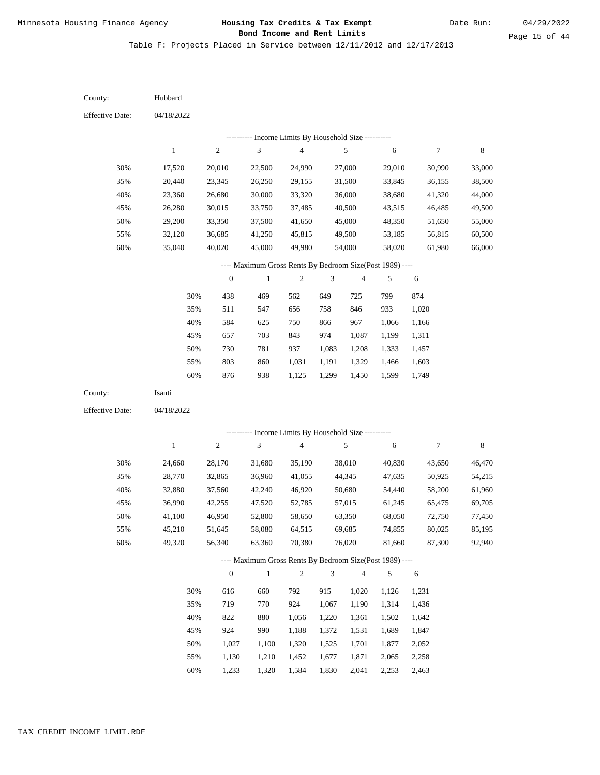Table F: Projects Placed in Service between 12/11/2012 and 12/17/2013

04/18/2022 04/18/2022 Hubbard Isanti 30% 35% 40% 45% 50% 55% 60% 30% 35% 40% 45% 50% 55% 60% 17,520 20,440 23,360 26,280 29,200 32,120 35,040 24,660 28,770 32,880 36,990 41,100 45,210 49,320 20,010 23,345 26,680 30,015 33,350 36,685 40,020 28,170 32,865 37,560 42,255 46,950 51,645 56,340 22,500 26,250 30,000 33,750 37,500 41,250 45,000 31,680 36,960 42,240 47,520 52,800 58,080 63,360 24,990 29,155 33,320 37,485 41,650 45,815 49,980 35,190 41,055 46,920 52,785 58,650 64,515 70,380 27,000 31,500 36,000 40,500 45,000 49,500 54,000 38,010 44,345 50,680 57,015 63,350 69,685 76,020 29,010 33,845 38,680 43,515 48,350 53,185 58,020 40,830 47,635 54,440 61,245 68,050 74,855 81,660 30,990 36,155 41,320 46,485 51,650 56,815 61,980 43,650 50,925 58,200 65,475 72,750 80,025 87,300 33,000 38,500 44,000 49,500 55,000 60,500 66,000 46,470 54,215 61,960 69,705 77,450 85,195 92,940 438 511 584 657 730 803 876 616 719 822 924 1,027 1,130 469 547 625 703 781 860 938 660 770 880 990 1,100 1,210 562 656 750 843 937 1,031 1,125 792 924 1,056 1,188 1,320 1,452 649 758 866 974 1,083 1,191 1,299 915 1,067 1,220 1,372 1,525 1,677 725 846 967 1,087 1,208 1,329 1,450 1,020 1,190 1,361 1,531 1,701 1,871 799 933 1,066 1,199 1,333 1,466 1,599 1,126 1,314 1,502 1,689 1,877 2,065 874 1,020 1,166 1,311 1,457 1,603 1,749 1,231 1,436 1,642 1,847 2,052 2,258 County: County: Effective Date: Effective Date: 1 1 2 2 3 3 4 4 5 5 6 6 7 7 8 8 0 0 1 1 2 2 3 3 4 4 5 5 6 6 ---------- Income Limits By Household Size ---------- ---------- Income Limits By Household Size ---------- ---- Maximum Gross Rents By Bedroom Size(Post 1989) ---- ---- Maximum Gross Rents By Bedroom Size(Post 1989) ---- 30% 35% 40% 45% 50% 55% 60% 30% 35% 40% 45% 50% 55%

1,233

60%

1,320

1,584

1,830

2,041

2,253

2,463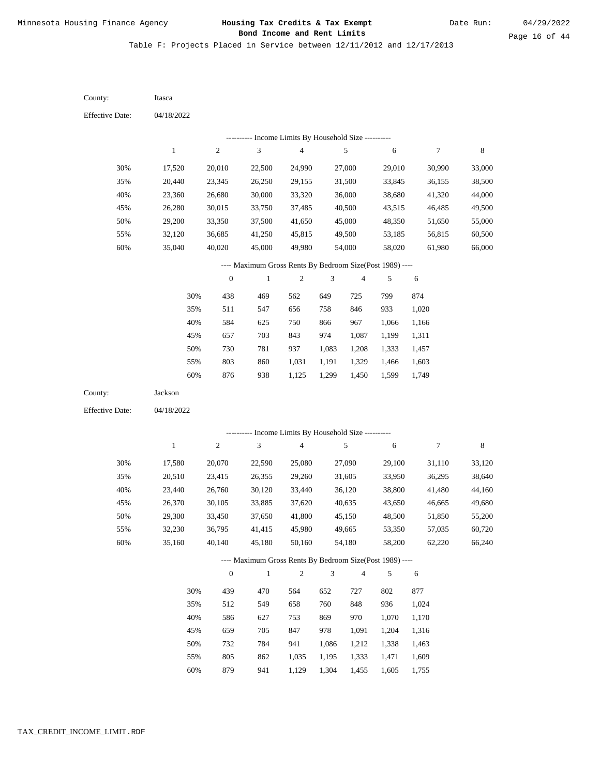Table F: Projects Placed in Service between 12/11/2012 and 12/17/2013

| County:                | Itasca       |                  |                                                          |                         |                |                |            |        |        |
|------------------------|--------------|------------------|----------------------------------------------------------|-------------------------|----------------|----------------|------------|--------|--------|
| <b>Effective Date:</b> | 04/18/2022   |                  |                                                          |                         |                |                |            |        |        |
|                        |              |                  | --------- Income Limits By Household Size ----------     |                         |                |                |            |        |        |
|                        | $\,1$        | $\sqrt{2}$       | 3                                                        | 4                       |                | 5              | 6          | 7      | 8      |
| 30%                    | 17,520       | 20,010           | 22,500                                                   | 24,990                  |                | 27,000         | 29,010     | 30,990 | 33,000 |
| 35%                    | 20,440       | 23,345           | 26,250                                                   | 29,155                  |                | 31,500         | 33,845     | 36,155 | 38,500 |
| 40%                    | 23,360       | 26,680           | 30,000                                                   | 33,320                  |                | 36,000         | 38,680     | 41,320 | 44,000 |
| 45%                    | 26,280       | 30,015           | 33,750                                                   | 37,485                  |                | 40,500         | 43,515     | 46,485 | 49,500 |
| 50%                    | 29,200       | 33,350           | 37,500                                                   | 41,650                  |                | 45,000         | 48,350     | 51,650 | 55,000 |
| 55%                    | 32,120       | 36,685           | 41,250                                                   | 45,815                  |                | 49,500         | 53,185     | 56,815 | 60,500 |
| 60%                    | 35,040       | 40,020           | 45,000                                                   | 49,980                  |                | 54,000         | 58,020     | 61,980 | 66,000 |
|                        |              |                  | ---- Maximum Gross Rents By Bedroom Size(Post 1989) ---- |                         |                |                |            |        |        |
|                        |              | $\boldsymbol{0}$ | $\mathbf{1}$                                             | $\mathfrak{2}$          | 3              | 4              | 5          | 6      |        |
|                        | 30%          | 438              | 469                                                      | 562                     | 649            | 725            | 799        | 874    |        |
|                        | 35%          | 511              | 547                                                      | 656                     | 758            | 846            | 933        | 1,020  |        |
|                        | 40%          | 584              | 625                                                      | 750                     | 866            | 967            | 1,066      | 1,166  |        |
|                        | 45%          | 657              | 703                                                      | 843                     | 974            | 1,087          | 1,199      | 1,311  |        |
|                        | 50%          | 730              | 781                                                      | 937                     | 1,083          | 1,208          | 1,333      | 1,457  |        |
|                        | 55%          | 803              | 860                                                      | 1,031                   | 1,191          | 1,329          | 1,466      | 1,603  |        |
|                        | 60%          | 876              | 938                                                      | 1,125                   | 1,299          | 1,450          | 1,599      | 1,749  |        |
| County:                | Jackson      |                  |                                                          |                         |                |                |            |        |        |
| <b>Effective Date:</b> | 04/18/2022   |                  |                                                          |                         |                |                |            |        |        |
|                        |              |                  | --------- Income Limits By Household Size ----------     |                         |                |                |            |        |        |
|                        | $\mathbf{1}$ | $\sqrt{2}$       | $\sqrt{3}$                                               | $\overline{\mathbf{4}}$ |                | 5              | $\sqrt{6}$ | $\tau$ | 8      |
| 30%                    | 17,580       | 20,070           | 22,590                                                   | 25,080                  |                | 27,090         | 29,100     | 31,110 | 33,120 |
| 35%                    | 20,510       | 23,415           | 26,355                                                   | 29,260                  |                | 31,605         | 33,950     | 36,295 | 38,640 |
| 40%                    | 23,440       | 26,760           | 30,120                                                   | 33,440                  |                | 36,120         | 38,800     | 41,480 | 44,160 |
| 45%                    | 26,370       | 30,105           | 33,885                                                   | 37,620                  |                | 40,635         | 43,650     | 46,665 | 49,680 |
| 50%                    | 29,300       | 33,450           | 37,650                                                   | 41,800                  |                | 45,150         | 48,500     | 51,850 | 55,200 |
| 55%                    | 32,230       | 36,795           | 41,415                                                   | 45,980                  |                | 49,665         | 53,350     | 57,035 | 60,720 |
| 60%                    | 35,160       | 40,140           | 45,180                                                   | 50,160                  |                | 54,180         | 58,200     | 62,220 | 66,240 |
|                        |              |                  | ---- Maximum Gross Rents By Bedroom Size(Post 1989) ---- |                         |                |                |            |        |        |
|                        |              | $\mathbf{0}$     | $\,1\,$                                                  | $\sqrt{2}$              | $\mathfrak{Z}$ | $\overline{4}$ | 5          | 6      |        |
|                        | 30%          | 439              | 470                                                      | 564                     | 652            | 727            | 802        | 877    |        |
|                        | 35%          | 512              | 549                                                      | 658                     | 760            | 848            | 936        | 1,024  |        |
|                        | 40%          | 586              | 627                                                      | 753                     | 869            | 970            | 1,070      | 1,170  |        |
|                        | 45%          | 659              | 705                                                      | 847                     | 978            | 1,091          | 1,204      | 1,316  |        |
|                        | 50%          | 732              | 784                                                      | 941                     | 1,086          | 1,212          | 1,338      | 1,463  |        |
|                        | 55%          | 805              | 862                                                      | 1,035                   | 1,195          | 1,333          | 1,471      | 1,609  |        |

879 941 1,129 1,304 1,455 1,605 1,755 60%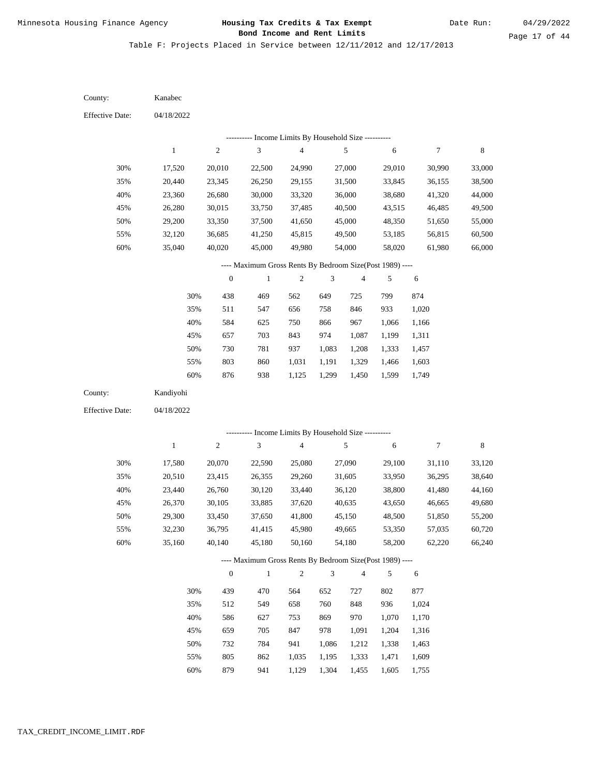Table F: Projects Placed in Service between 12/11/2012 and 12/17/2013

04/18/2022 04/18/2022 Kanabec Kandiyohi 30% 35% 40% 45% 50% 55% 60% 30% 35% 40% 45% 50% 55% 60% 17,520 20,440 23,360 26,280 29,200 32,120 35,040 17,580 20,510 23,440 26,370 29,300 32,230 35,160 20,010 23,345 26,680 30,015 33,350 36,685 40,020 20,070 23,415 26,760 30,105 33,450 36,795 40,140 22,500 26,250 30,000 33,750 37,500 41,250 45,000 22,590 26,355 30,120 33,885 37,650 41,415 45,180 24,990 29,155 33,320 37,485 41,650 45,815 49,980 25,080 29,260 33,440 37,620 41,800 45,980 50,160 27,000 31,500 36,000 40,500 45,000 49,500 54,000 27,090 31,605 36,120 40,635 45,150 49,665 54,180 29,010 33,845 38,680 43,515 48,350 53,185 58,020 29,100 33,950 38,800 43,650 48,500 53,350 58,200 30,990 36,155 41,320 46,485 51,650 56,815 61,980 31,110 36,295 41,480 46,665 51,850 57,035 62,220 33,000 38,500 44,000 49,500 55,000 60,500 66,000 33,120 38,640 44,160 49,680 55,200 60,720 66,240 438 511 584 657 730 803 876 439 512 586 659 732 805 879 469 547 625 703 781 860 938 470 549 627 705 784 862 562 656 750 843 937 1,031 1,125 564 658 753 847 941 1,035 649 758 866 974 1,083 1,191 1,299 652 760 869 978 1,086 1,195 725 846 967 1,087 1,208 1,329 1,450 727 848 970 1,091 1,212 1,333 799 933 1,066 1,199 1,333 1,466 1,599 802 936 1,070 1,204 1,338 1,471 874 1,020 1,166 1,311 1,457 1,603 1,749 877 1,024 1,170 1,316 1,463 1,609 County: County: Effective Date: Effective Date: 1 1 2 2 3 3 4 4 5 5 6 6 7 7 8 8 0 0 1 1 2 2 3 3 4 4 5 5 6 6 ---------- Income Limits By Household Size ---------- ---------- Income Limits By Household Size ---------- ---- Maximum Gross Rents By Bedroom Size(Post 1989) ---- ---- Maximum Gross Rents By Bedroom Size(Post 1989) ---- 30% 35% 40% 45% 50% 55% 60% 30% 35% 40% 45% 50% 55% 60%

941

1,129

1,304

1,455

1,605

1,755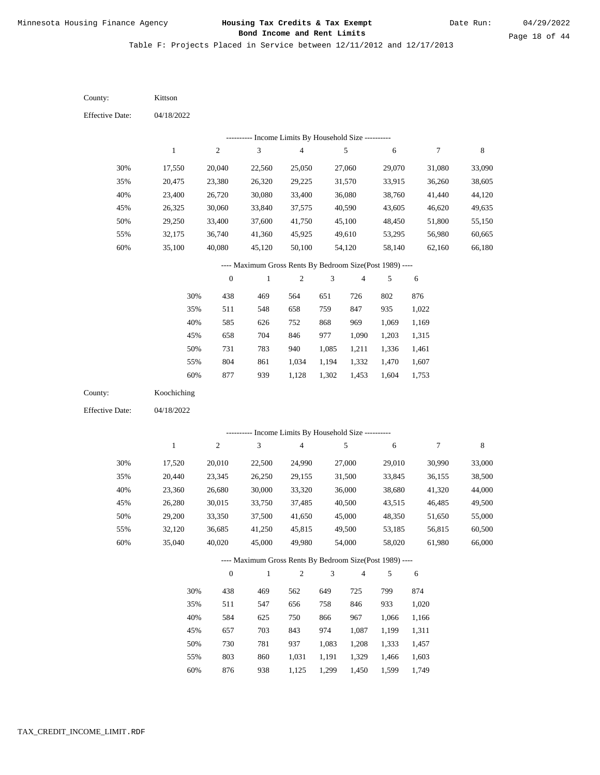Table F: Projects Placed in Service between 12/11/2012 and 12/17/2013

04/18/2022 04/18/2022 Kittson Koochiching 30% 35% 40% 45% 50% 55% 60% 30% 35% 40% 45% 50% 55% 60% 17,550 20,475 23,400 26,325 29,250 32,175 35,100 17,520 20,440 23,360 26,280 29,200 32,120 35,040 20,040 23,380 26,720 30,060 33,400 36,740 40,080 20,010 23,345 26,680 30,015 33,350 36,685 40,020 22,560 26,320 30,080 33,840 37,600 41,360 45,120 22,500 26,250 30,000 33,750 37,500 41,250 45,000 25,050 29,225 33,400 37,575 41,750 45,925 50,100 24,990 29,155 33,320 37,485 41,650 45,815 49,980 27,060 31,570 36,080 40,590 45,100 49,610 54,120 27,000 31,500 36,000 40,500 45,000 49,500 54,000 29,070 33,915 38,760 43,605 48,450 53,295 58,140 29,010 33,845 38,680 43,515 48,350 53,185 58,020 31,080 36,260 41,440 46,620 51,800 56,980 62,160 30,990 36,155 41,320 46,485 51,650 56,815 61,980 33,090 38,605 44,120 49,635 55,150 60,665 66,180 33,000 38,500 44,000 49,500 55,000 60,500 66,000 438 511 585 658 731 804 877 438 511 584 657 730 803 876 469 548 626 704 783 861 939 469 547 625 703 781 860 938 564 658 752 846 940 1,034 1,128 562 656 750 843 937 1,031 1,125 651 759 868 977 1,085 1,194 1,302 649 758 866 974 1,083 1,191 1,299 726 847 969 1,090 1,211 1,332 1,453 725 846 967 1,087 1,208 1,329 1,450 802 935 1,069 1,203 1,336 1,470 1,604 799 933 1,066 1,199 1,333 1,466 1,599 876 1,022 1,169 1,315 1,461 1,607 1,753 874 1,020 1,166 1,311 1,457 1,603 1,749 County: County: Effective Date: Effective Date: 1 1 2 2 3 3 4 4 5 5 6 6 7 7 8 8 0 0 1 1 2 2 3 3 4 4 5 5 6 6 ---------- Income Limits By Household Size ---------- ---------- Income Limits By Household Size ---------- ---- Maximum Gross Rents By Bedroom Size(Post 1989) ---- ---- Maximum Gross Rents By Bedroom Size(Post 1989) ---- 30% 35% 40% 45% 50% 55% 60% 30% 35% 40% 45% 50% 55% 60%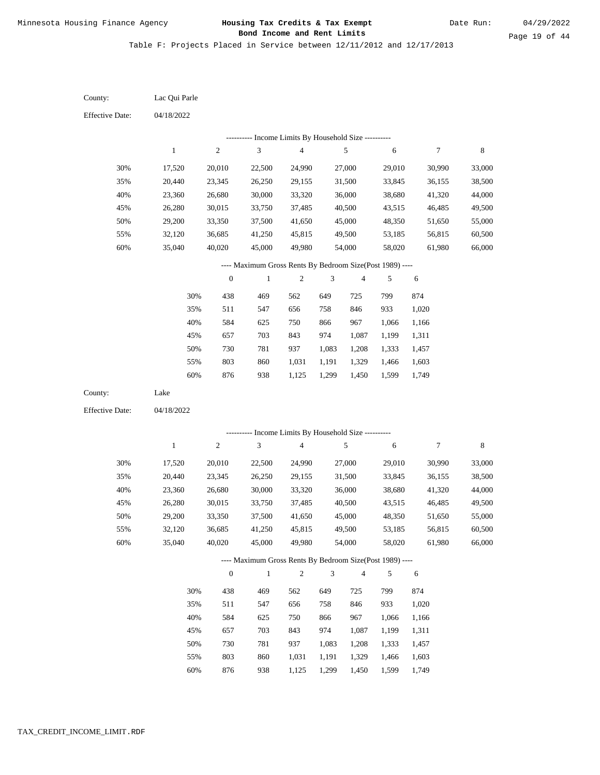Table F: Projects Placed in Service between 12/11/2012 and 12/17/2013

04/18/2022 04/18/2022 Lac Qui Parle Lake 30% 35% 40% 45% 50% 55% 60% 30% 35% 40% 45% 50% 55% 60% 17,520 20,440 23,360 26,280 29,200 32,120 35,040 17,520 20,440 23,360 26,280 29,200 32,120 35,040 20,010 23,345 26,680 30,015 33,350 36,685 40,020 20,010 23,345 26,680 30,015 33,350 36,685 40,020 22,500 26,250 30,000 33,750 37,500 41,250 45,000 22,500 26,250 30,000 33,750 37,500 41,250 45,000 24,990 29,155 33,320 37,485 41,650 45,815 49,980 24,990 29,155 33,320 37,485 41,650 45,815 49,980 27,000 31,500 36,000 40,500 45,000 49,500 54,000 27,000 31,500 36,000 40,500 45,000 49,500 54,000 29,010 33,845 38,680 43,515 48,350 53,185 58,020 29,010 33,845 38,680 43,515 48,350 53,185 58,020 30,990 36,155 41,320 46,485 51,650 56,815 61,980 30,990 36,155 41,320 46,485 51,650 56,815 61,980 33,000 38,500 44,000 49,500 55,000 60,500 66,000 33,000 38,500 44,000 49,500 55,000 60,500 66,000 438 511 584 657 730 803 876 438 511 584 657 730 803 876 469 547 625 703 781 860 938 469 547 625 703 781 860 938 562 656 750 843 937 1,031 1,125 562 656 750 843 937 1,031 1,125 649 758 866 974 1,083 1,191 1,299 649 758 866 974 1,083 1,191 1,299 725 846 967 1,087 1,208 1,329 1,450 725 846 967 1,087 1,208 1,329 1,450 799 933 1,066 1,199 1,333 1,466 1,599 799 933 1,066 1,199 1,333 1,466 1,599 874 1,020 1,166 1,311 1,457 1,603 1,749 874 1,020 1,166 1,311 1,457 1,603 1,749 County: County: Effective Date: Effective Date: 1 1 2 2 3 3 4 4 5 5 6 6 7 7 8 8 0 0 1 1 2 2 3 3 4 4 5 5 6 6 ---------- Income Limits By Household Size ---------- ---------- Income Limits By Household Size ---------- ---- Maximum Gross Rents By Bedroom Size(Post 1989) ---- ---- Maximum Gross Rents By Bedroom Size(Post 1989) ---- 30% 35% 40% 45% 50% 55% 60% 30% 35% 40% 45% 50% 55% 60%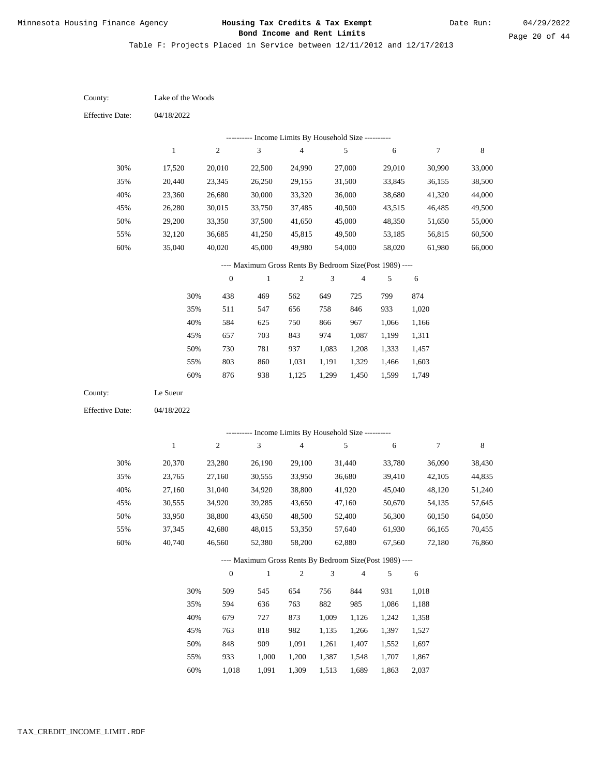Page 20 of 44

| County:                | Lake of the Woods |                  |                                                          |                |                |                |            |                  |         |
|------------------------|-------------------|------------------|----------------------------------------------------------|----------------|----------------|----------------|------------|------------------|---------|
| <b>Effective Date:</b> | 04/18/2022        |                  |                                                          |                |                |                |            |                  |         |
|                        |                   |                  | --------- Income Limits By Household Size ----------     |                |                |                |            |                  |         |
|                        | $\,1$             | $\sqrt{2}$       | 3                                                        | $\overline{4}$ |                | 5              | $\sqrt{6}$ | $\boldsymbol{7}$ | $\,8\,$ |
| 30%                    | 17,520            | 20,010           | 22,500                                                   | 24,990         |                | 27,000         | 29,010     | 30,990           | 33,000  |
| 35%                    | 20,440            | 23,345           | 26,250                                                   | 29,155         |                | 31,500         | 33,845     | 36,155           | 38,500  |
| 40%                    | 23,360            | 26,680           | 30,000                                                   | 33,320         |                | 36,000         | 38,680     | 41,320           | 44,000  |
| 45%                    | 26,280            | 30,015           | 33,750                                                   | 37,485         |                | 40,500         | 43,515     | 46,485           | 49,500  |
| 50%                    | 29,200            | 33,350           | 37,500                                                   | 41,650         |                | 45,000         | 48,350     | 51,650           | 55,000  |
| 55%                    | 32,120            | 36,685           | 41,250                                                   | 45,815         |                | 49,500         | 53,185     | 56,815           | 60,500  |
| 60%                    | 35,040            | 40,020           | 45,000                                                   | 49,980         |                | 54,000         | 58,020     | 61,980           | 66,000  |
|                        |                   |                  | ---- Maximum Gross Rents By Bedroom Size(Post 1989) ---- |                |                |                |            |                  |         |
|                        |                   | $\boldsymbol{0}$ | $\,1$                                                    | $\mathfrak{2}$ | 3              | $\overline{4}$ | 5          | 6                |         |
|                        | 30%               | 438              | 469                                                      | 562            | 649            | 725            | 799        | 874              |         |
|                        | 35%               | 511              | 547                                                      | 656            | 758            | 846            | 933        | 1,020            |         |
|                        | 40%               | 584              | 625                                                      | 750            | 866            | 967            | 1,066      | 1,166            |         |
|                        | 45%               | 657              | 703                                                      | 843            | 974            | 1,087          | 1,199      | 1,311            |         |
|                        | 50%               | 730              | 781                                                      | 937            | 1,083          | 1,208          | 1,333      | 1,457            |         |
|                        | 55%               | 803              | 860                                                      | 1,031          | 1,191          | 1,329          | 1,466      | 1,603            |         |
|                        | 60%               | 876              | 938                                                      | 1,125          | 1,299          | 1,450          | 1,599      | 1,749            |         |
| County:                | Le Sueur          |                  |                                                          |                |                |                |            |                  |         |
| Effective Date:        | 04/18/2022        |                  |                                                          |                |                |                |            |                  |         |
|                        |                   |                  | --------- Income Limits By Household Size ----------     |                |                |                |            |                  |         |
|                        | $\,1$             | $\sqrt{2}$       | 3                                                        | $\overline{4}$ |                | 5              | $\sqrt{6}$ | $\boldsymbol{7}$ | $\,8\,$ |
| 30%                    | 20,370            | 23,280           | 26,190                                                   | 29,100         |                | 31,440         | 33,780     | 36,090           | 38,430  |
| 35%                    | 23,765            | 27,160           | 30,555                                                   | 33,950         |                | 36,680         | 39,410     | 42,105           | 44,835  |
| 40%                    | 27,160            | 31,040           | 34,920                                                   | 38,800         |                | 41,920         | 45,040     | 48,120           | 51,240  |
| 45%                    | 30,555            | 34,920           | 39,285                                                   | 43,650         |                | 47,160         | 50,670     | 54,135           | 57,645  |
| 50%                    | 33,950            | 38,800           | 43,650                                                   | 48,500         |                | 52,400         | 56,300     | 60,150           | 64,050  |
| 55%                    | 37,345            | 42,680           | 48,015                                                   | 53,350         |                | 57,640         | 61,930     | 66,165           | 70,455  |
| 60%                    | 40,740            | 46,560           | 52,380                                                   | 58,200         |                | 62,880         | 67,560     | 72,180           | 76,860  |
|                        |                   |                  | ---- Maximum Gross Rents By Bedroom Size(Post 1989) ---- |                |                |                |            |                  |         |
|                        |                   | $\boldsymbol{0}$ | $\mathbf{1}$                                             | $\sqrt{2}$     | $\mathfrak{Z}$ | $\overline{4}$ | 5          | $\sqrt{6}$       |         |
|                        | 30%               | 509              | 545                                                      | 654            | 756            | 844            | 931        | 1,018            |         |
|                        | 35%               | 594              | 636                                                      | 763            | 882            | 985            | 1,086      | 1,188            |         |
|                        | 40%               | 679              | 727                                                      | 873            | 1,009          | 1,126          | 1,242      | 1,358            |         |
|                        | 45%               | 763              | 818                                                      | 982            | 1,135          | 1,266          | 1,397      | 1,527            |         |
|                        | 50%               | 848              | 909                                                      | 1,091          | 1,261          | 1,407          | 1,552      | 1,697            |         |
|                        | 55%               | 933              | 1,000                                                    | 1,200          | 1,387          | 1,548          | 1,707      | 1,867            |         |
|                        |                   |                  |                                                          |                |                |                |            |                  |         |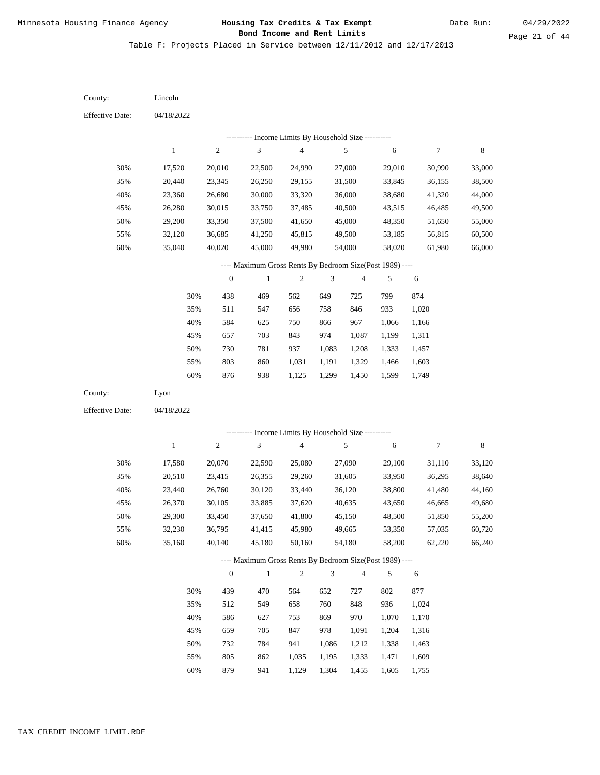Table F: Projects Placed in Service between 12/11/2012 and 12/17/2013

04/18/2022 04/18/2022 Lincoln Lyon 30% 35% 40% 45% 50% 55% 60% 30% 35% 40% 45% 50% 55% 60% 17,520 20,440 23,360 26,280 29,200 32,120 35,040 17,580 20,510 23,440 26,370 29,300 32,230 35,160 20,010 23,345 26,680 30,015 33,350 36,685 40,020 20,070 23,415 26,760 30,105 33,450 36,795 40,140 22,500 26,250 30,000 33,750 37,500 41,250 45,000 22,590 26,355 30,120 33,885 37,650 41,415 45,180 24,990 29,155 33,320 37,485 41,650 45,815 49,980 25,080 29,260 33,440 37,620 41,800 45,980 50,160 27,000 31,500 36,000 40,500 45,000 49,500 54,000 27,090 31,605 36,120 40,635 45,150 49,665 54,180 29,010 33,845 38,680 43,515 48,350 53,185 58,020 29,100 33,950 38,800 43,650 48,500 53,350 58,200 30,990 36,155 41,320 46,485 51,650 56,815 61,980 31,110 36,295 41,480 46,665 51,850 57,035 62,220 33,000 38,500 44,000 49,500 55,000 60,500 66,000 33,120 38,640 44,160 49,680 55,200 60,720 66,240 438 511 584 657 730 803 876 439 512 586 659 732 805 879 469 547 625 703 781 860 938 470 549 627 705 784 862 562 656 750 843 937 1,031 1,125 564 658 753 847 941 1,035 649 758 866 974 1,083 1,191 1,299 652 760 869 978 1,086 1,195 725 846 967 1,087 1,208 1,329 1,450 727 848 970 1,091 1,212 1,333 799 933 1,066 1,199 1,333 1,466 1,599 802 936 1,070 1,204 1,338 1,471 874 1,020 1,166 1,311 1,457 1,603 1,749 877 1,024 1,170 1,316 1,463 1,609 County: County: Effective Date: Effective Date: 1 1 2 2 3 3 4 4 5 5 6 6 7 7 8 8 0 0 1 1 2 2 3 3 4 4 5 5 6 6 ---------- Income Limits By Household Size ---------- ---------- Income Limits By Household Size ---------- ---- Maximum Gross Rents By Bedroom Size(Post 1989) ---- ---- Maximum Gross Rents By Bedroom Size(Post 1989) ---- 30% 35% 40% 45% 50% 55% 60% 30% 35% 40% 45% 50% 55% 60%

941

1,129

1,304

1,455

1,605

1,755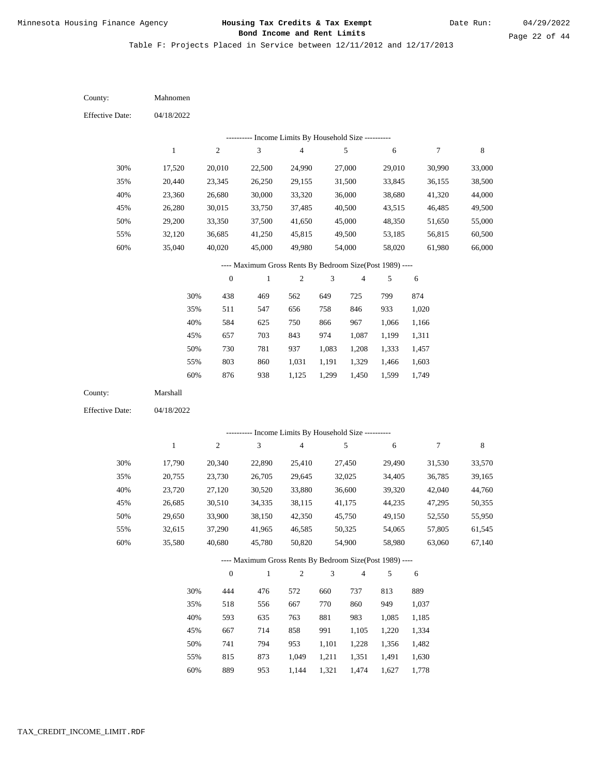Table F: Projects Placed in Service between 12/11/2012 and 12/17/2013

| County:                | Mahnomen     |                  |                                                          |                                            |                |                         |            |        |             |
|------------------------|--------------|------------------|----------------------------------------------------------|--------------------------------------------|----------------|-------------------------|------------|--------|-------------|
| <b>Effective Date:</b> | 04/18/2022   |                  |                                                          |                                            |                |                         |            |        |             |
|                        |              |                  |                                                          | Income Limits By Household Size ---------- |                |                         |            |        |             |
|                        | $\,1$        | $\sqrt{2}$       | 3                                                        | $\sqrt{4}$                                 |                | 5                       | $\sqrt{6}$ | 7      | $\,$ 8 $\,$ |
| 30%                    | 17,520       | 20,010           | 22,500                                                   | 24,990                                     |                | 27,000                  | 29,010     | 30,990 | 33,000      |
| 35%                    | 20,440       | 23,345           | 26,250                                                   | 29,155                                     |                | 31,500                  | 33,845     | 36,155 | 38,500      |
| 40%                    | 23,360       | 26,680           | 30,000                                                   | 33,320                                     |                | 36,000                  | 38,680     | 41,320 | 44,000      |
| 45%                    | 26,280       | 30,015           | 33,750                                                   | 37,485                                     |                | 40,500                  | 43,515     | 46,485 | 49,500      |
| 50%                    | 29,200       | 33,350           | 37,500                                                   | 41,650                                     |                | 45,000                  | 48,350     | 51,650 | 55,000      |
| 55%                    | 32,120       | 36,685           | 41,250                                                   | 45,815                                     |                | 49,500                  | 53,185     | 56,815 | 60,500      |
| $60\%$                 | 35,040       | 40,020           | 45,000                                                   | 49,980                                     |                | 54,000                  | 58,020     | 61,980 | 66,000      |
|                        |              |                  | ---- Maximum Gross Rents By Bedroom Size(Post 1989) ---- |                                            |                |                         |            |        |             |
|                        |              | $\boldsymbol{0}$ | $\,1$                                                    | $\mathfrak{2}$                             | 3              | $\overline{\mathbf{4}}$ | 5          | 6      |             |
|                        | 30%          | 438              | 469                                                      | 562                                        | 649            | 725                     | 799        | 874    |             |
|                        | 35%          | 511              | 547                                                      | 656                                        | 758            | 846                     | 933        | 1,020  |             |
|                        | 40%          | 584              | 625                                                      | 750                                        | 866            | 967                     | 1,066      | 1,166  |             |
|                        | 45%          | 657              | 703                                                      | 843                                        | 974            | 1,087                   | 1,199      | 1,311  |             |
|                        | 50%          | 730              | 781                                                      | 937                                        | 1,083          | 1,208                   | 1,333      | 1,457  |             |
|                        | 55%          | 803              | 860                                                      | 1,031                                      | 1,191          | 1,329                   | 1,466      | 1,603  |             |
|                        | 60%          | 876              | 938                                                      | 1,125                                      | 1,299          | 1,450                   | 1,599      | 1,749  |             |
| County:                | Marshall     |                  |                                                          |                                            |                |                         |            |        |             |
| <b>Effective Date:</b> | 04/18/2022   |                  |                                                          |                                            |                |                         |            |        |             |
|                        |              |                  |                                                          |                                            |                |                         |            |        |             |
|                        |              |                  | ---------- Income Limits By Household Size ----------    |                                            |                |                         |            |        |             |
|                        | $\mathbf{1}$ | $\sqrt{2}$       | 3                                                        | $\overline{4}$                             |                | 5                       | 6          | 7      | $\,$ 8 $\,$ |
| 30%                    | 17,790       | 20,340           | 22,890                                                   | 25,410                                     |                | 27,450                  | 29,490     | 31,530 | 33,570      |
| 35%                    | 20,755       | 23,730           | 26,705                                                   | 29,645                                     |                | 32,025                  | 34,405     | 36,785 | 39,165      |
| 40%                    | 23,720       | 27,120           | 30,520                                                   | 33,880                                     |                | 36,600                  | 39,320     | 42,040 | 44,760      |
| 45%                    | 26,685       | 30,510           | 34,335                                                   | 38,115                                     |                | 41,175                  | 44,235     | 47,295 | 50,355      |
| 50%                    | 29,650       | 33,900           | 38,150                                                   | 42,350                                     |                | 45,750                  | 49,150     | 52,550 | 55,950      |
| 55%                    | 32,615       | 37,290           | 41,965                                                   | 46,585                                     |                | 50,325                  | 54,065     | 57,805 | 61,545      |
| 60%                    | 35,580       | 40,680           | 45,780                                                   | 50,820                                     |                | 54,900                  | 58,980     | 63,060 | 67,140      |
|                        |              |                  | ---- Maximum Gross Rents By Bedroom Size(Post 1989) ---- |                                            |                |                         |            |        |             |
|                        |              | $\boldsymbol{0}$ | $\mathbf{1}$                                             | $\overline{c}$                             | $\mathfrak{Z}$ | $\overline{4}$          | 5          | 6      |             |
|                        | 30%          | 444              | 476                                                      | 572                                        | 660            | 737                     | 813        | 889    |             |
|                        | 35%          | 518              | 556                                                      | 667                                        | 770            | 860                     | 949        | 1,037  |             |
|                        | 40%          | 593              | 635                                                      | 763                                        | 881            | 983                     | 1,085      | 1,185  |             |
|                        | 45%          | 667              | 714                                                      | 858                                        | 991            | 1,105                   | 1,220      | 1,334  |             |
|                        | 50%          | 741              | 794                                                      | 953                                        | 1,101          | 1,228                   | 1,356      | 1,482  |             |
|                        | 55%          | 815              | 873                                                      | 1,049                                      | 1,211          | 1,351                   | 1,491      | 1,630  |             |

889 953 1,144 1,321 1,474 1,627 1,778 60%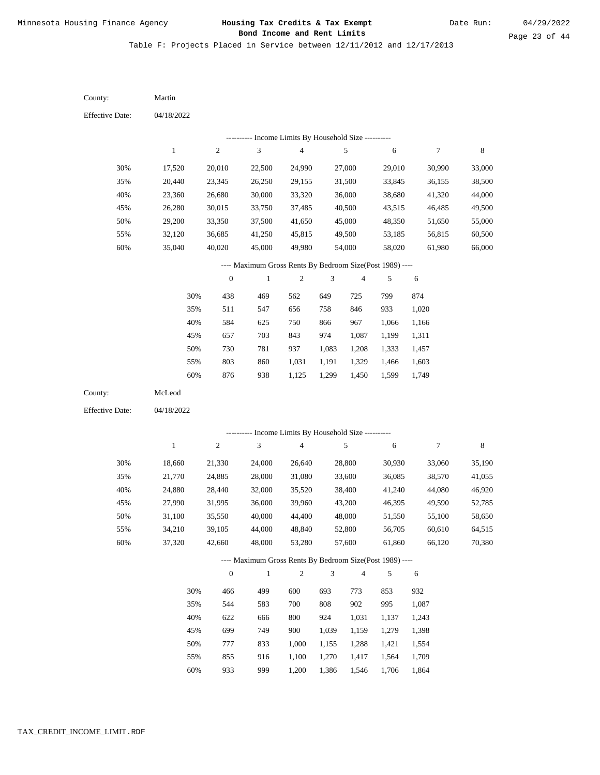Table F: Projects Placed in Service between 12/11/2012 and 12/17/2013

| County:                | Martin       |                  |                                                          |                                            |                |                         |            |                  |             |
|------------------------|--------------|------------------|----------------------------------------------------------|--------------------------------------------|----------------|-------------------------|------------|------------------|-------------|
| <b>Effective Date:</b> | 04/18/2022   |                  |                                                          |                                            |                |                         |            |                  |             |
|                        |              |                  |                                                          | Income Limits By Household Size ---------- |                |                         |            |                  |             |
|                        | $\mathbf{1}$ | $\sqrt{2}$       | $\mathfrak{Z}$                                           | $\overline{\mathcal{L}}$                   |                | $\sqrt{5}$              | 6          | $\boldsymbol{7}$ | $\,$ 8 $\,$ |
| 30%                    | 17,520       | 20,010           | 22,500                                                   | 24,990                                     |                | 27,000                  | 29,010     | 30,990           | 33,000      |
| 35%                    | 20,440       | 23,345           | 26,250                                                   | 29,155                                     |                | 31,500                  | 33,845     | 36,155           | 38,500      |
| 40%                    | 23,360       | 26,680           | 30,000                                                   | 33,320                                     |                | 36,000                  | 38,680     | 41,320           | 44,000      |
| 45%                    | 26,280       | 30,015           | 33,750                                                   | 37,485                                     |                | 40,500                  | 43,515     | 46,485           | 49,500      |
| 50%                    | 29,200       | 33,350           | 37,500                                                   | 41,650                                     |                | 45,000                  | 48,350     | 51,650           | 55,000      |
| 55%                    | 32,120       | 36,685           | 41,250                                                   | 45,815                                     |                | 49,500                  | 53,185     | 56,815           | 60,500      |
| 60%                    | 35,040       | 40,020           | 45,000                                                   | 49,980                                     |                | 54,000                  | 58,020     | 61,980           | 66,000      |
|                        |              |                  | ---- Maximum Gross Rents By Bedroom Size(Post 1989) ---- |                                            |                |                         |            |                  |             |
|                        |              | $\boldsymbol{0}$ | $\mathbf{1}$                                             | 2                                          | 3              | $\overline{\mathbf{4}}$ | 5          | 6                |             |
|                        | 30%          | 438              | 469                                                      | 562                                        | 649            | 725                     | 799        | 874              |             |
|                        | 35%          | 511              | 547                                                      | 656                                        | 758            | 846                     | 933        | 1,020            |             |
|                        | $40\%$       | 584              | 625                                                      | 750                                        | 866            | 967                     | 1,066      | 1,166            |             |
|                        | 45%          | 657              | 703                                                      | 843                                        | 974            | 1,087                   | 1,199      | 1,311            |             |
|                        | 50%          | 730              | 781                                                      | 937                                        | 1,083          | 1,208                   | 1,333      | 1,457            |             |
|                        | 55%          | 803              | 860                                                      | 1,031                                      | 1,191          | 1,329                   | 1,466      | 1,603            |             |
|                        | 60%          | 876              | 938                                                      | 1,125                                      | 1,299          | 1,450                   | 1,599      | 1,749            |             |
| County:                | McLeod       |                  |                                                          |                                            |                |                         |            |                  |             |
| <b>Effective Date:</b> | 04/18/2022   |                  |                                                          |                                            |                |                         |            |                  |             |
|                        |              |                  | --------- Income Limits By Household Size ----------     |                                            |                |                         |            |                  |             |
|                        | $\mathbf{1}$ | $\sqrt{2}$       | 3                                                        | $\overline{\mathbf{4}}$                    |                | $\sqrt{5}$              | 6          | $\boldsymbol{7}$ | $\,$ 8 $\,$ |
| 30%                    | 18,660       | 21,330           | 24,000                                                   | 26,640                                     |                | 28,800                  | 30,930     | 33,060           | 35,190      |
| 35%                    | 21,770       | 24,885           | 28,000                                                   | 31,080                                     |                | 33,600                  | 36,085     | 38,570           | 41,055      |
| 40%                    | 24,880       | 28,440           | 32,000                                                   | 35,520                                     |                | 38,400                  | 41,240     | 44,080           | 46,920      |
| 45%                    | 27,990       | 31,995           | 36,000                                                   | 39,960                                     |                | 43,200                  | 46,395     | 49,590           | 52,785      |
| 50%                    | 31,100       | 35,550           | 40,000                                                   | 44,400                                     |                | 48,000                  | 51,550     | 55,100           | 58,650      |
| 55%                    | 34,210       | 39,105           | 44,000                                                   | 48,840                                     |                | 52,800                  | 56,705     | 60,610           | 64,515      |
| 60%                    | 37,320       | 42,660           | 48,000                                                   | 53,280                                     |                | 57,600                  | 61,860     | 66,120           | 70,380      |
|                        |              |                  | ---- Maximum Gross Rents By Bedroom Size(Post 1989) ---- |                                            |                |                         |            |                  |             |
|                        |              | $\boldsymbol{0}$ | $\mathbf{1}$                                             | $\overline{c}$                             | $\mathfrak{Z}$ | $\sqrt{4}$              | 5          | 6                |             |
|                        |              |                  | 499                                                      | 600                                        |                |                         |            |                  |             |
|                        | 30%<br>35%   | 466<br>544       | 583                                                      | 700                                        | 693<br>$808\,$ | 773<br>902              | 853<br>995 | 932<br>1,087     |             |
|                        | 40%          | 622              | 666                                                      | 800                                        | 924            | 1,031                   | 1,137      | 1,243            |             |
|                        | 45%          | 699              | 749                                                      | 900                                        | 1,039          | 1,159                   | 1,279      | 1,398            |             |
|                        | 50%          | 777              | 833                                                      | 1,000                                      | 1,155          | 1,288                   | 1,421      | 1,554            |             |
|                        | 55%          | 855              | 916                                                      | 1,100                                      | 1,270          | 1,417                   | 1,564      | 1,709            |             |
|                        |              |                  |                                                          |                                            |                |                         |            |                  |             |

933 999 1,200 1,386 1,546 1,706 1,864 60%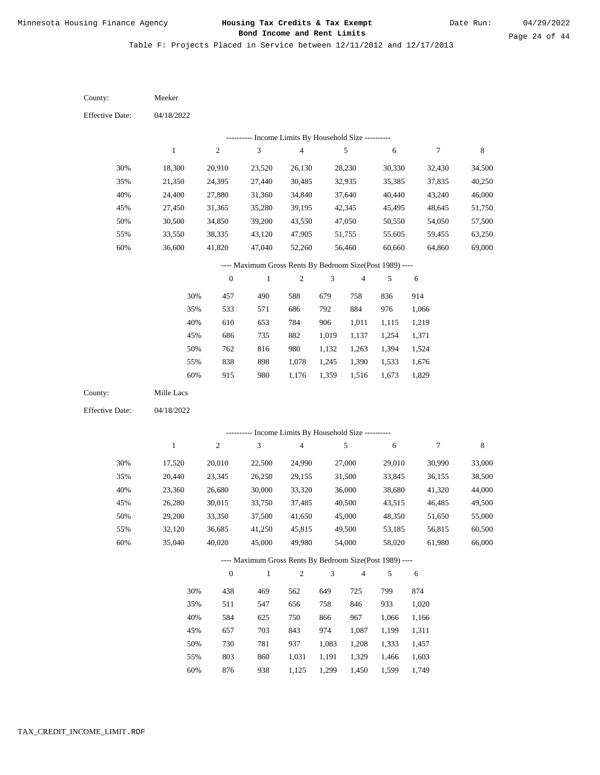Table F: Projects Placed in Service between 12/11/2012 and 12/17/2013

04/18/2022 04/18/2022 Meeker Mille Lacs 30% 35% 40% 45% 50% 55% 60% 30% 35% 40% 45% 50% 55% 60% 18,300 21,350 24,400 27,450 30,500 33,550 36,600 17,520 20,440 23,360 26,280 29,200 32,120 35,040 20,910 24,395 27,880 31,365 34,850 38,335 41,820 20,010 23,345 26,680 30,015 33,350 36,685 40,020 23,520 27,440 31,360 35,280 39,200 43,120 47,040 22,500 26,250 30,000 33,750 37,500 41,250 45,000 26,130 30,485 34,840 39,195 43,550 47,905 52,260 24,990 29,155 33,320 37,485 41,650 45,815 49,980 28,230 32,935 37,640 42,345 47,050 51,755 56,460 27,000 31,500 36,000 40,500 45,000 49,500 54,000 30,330 35,385 40,440 45,495 50,550 55,605 60,660 29,010 33,845 38,680 43,515 48,350 53,185 58,020 32,430 37,835 43,240 48,645 54,050 59,455 64,860 30,990 36,155 41,320 46,485 51,650 56,815 61,980 34,500 40,250 46,000 51,750 57,500 63,250 69,000 33,000 38,500 44,000 49,500 55,000 60,500 66,000 457 533 610 686 762 838 915 438 511 584 657 730 803 876 490 571 653 735 816 898 980 469 547 625 703 781 860 938 588 686 784 882 980 1,078 1,176 562 656 750 843 937 1,031 1,125 679 792 906 1,019 1,132 1,245 1,359 649 758 866 974 1,083 1,191 1,299 758 884 1,011 1,137 1,263 1,390 1,516 725 846 967 1,087 1,208 1,329 1,450 836 976 1,115 1,254 1,394 1,533 1,673 799 933 1,066 1,199 1,333 1,466 1,599 914 1,066 1,219 1,371 1,524 1,676 1,829 874 1,020 1,166 1,311 1,457 1,603 1,749 County: County: Effective Date: Effective Date: 1 1 2 2 3 3 4 4 5 5 6 6 7 7 8 8 0 0 1 1 2 2 3 3 4 4 5 5 6 6 ---------- Income Limits By Household Size ---------- ---------- Income Limits By Household Size ---------- ---- Maximum Gross Rents By Bedroom Size(Post 1989) ---- ---- Maximum Gross Rents By Bedroom Size(Post 1989) ---- 30% 35% 40% 45% 50% 55% 60% 30% 35% 40% 45% 50% 55% 60%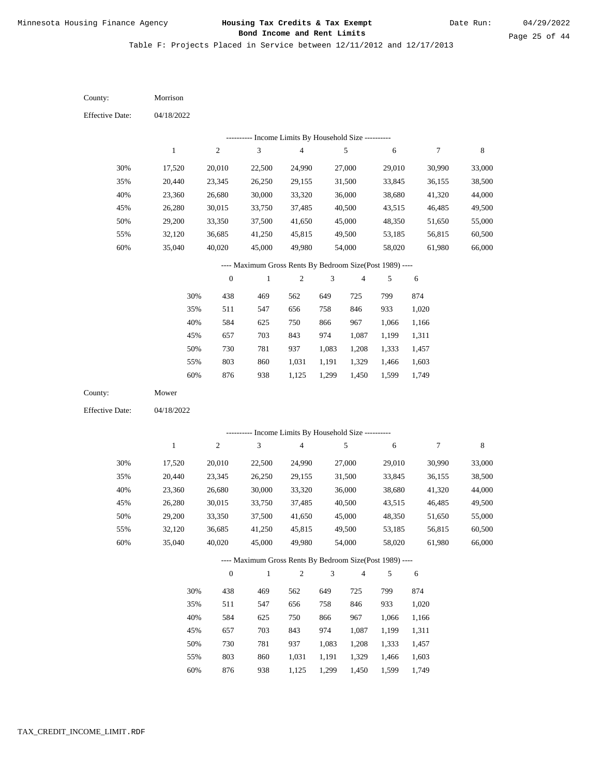Date Run:

Table F: Projects Placed in Service between 12/11/2012 and 12/17/2013

| County:                | Morrison         |                  |                                                          |                         |                             |                  |                  |                  |                  |
|------------------------|------------------|------------------|----------------------------------------------------------|-------------------------|-----------------------------|------------------|------------------|------------------|------------------|
| <b>Effective Date:</b> | 04/18/2022       |                  |                                                          |                         |                             |                  |                  |                  |                  |
|                        |                  |                  | --------- Income Limits By Household Size ----------     |                         |                             |                  |                  |                  |                  |
|                        | $\,1$            | $\sqrt{2}$       | $\sqrt{3}$                                               | $\overline{\mathbf{4}}$ |                             | $\sqrt{5}$       | $\sqrt{6}$       | 7                | 8                |
| 30%                    | 17,520           | 20,010           | 22,500                                                   | 24,990                  |                             | 27,000           | 29,010           | 30,990           | 33,000           |
| 35%                    | 20,440           | 23,345           | 26,250                                                   | 29,155                  |                             | 31,500           | 33,845           | 36,155           | 38,500           |
| 40%                    | 23,360           | 26,680           | 30,000                                                   | 33,320                  |                             | 36,000           | 38,680           | 41,320           | 44,000           |
| 45%                    | 26,280           | 30,015           | 33,750                                                   | 37,485                  |                             | 40,500           | 43,515           | 46,485           | 49,500           |
| 50%                    | 29,200           | 33,350           | 37,500                                                   | 41,650                  |                             | 45,000           | 48,350           | 51,650           | 55,000           |
| 55%                    | 32,120           | 36,685           | 41,250                                                   | 45,815                  |                             | 49,500           | 53,185           | 56,815           | 60,500           |
| 60%                    | 35,040           | 40,020           | 45,000                                                   | 49,980                  |                             | 54,000           | 58,020           | 61,980           | 66,000           |
|                        |                  |                  | ---- Maximum Gross Rents By Bedroom Size(Post 1989) ---- |                         |                             |                  |                  |                  |                  |
|                        |                  | $\boldsymbol{0}$ | $\mathbf{1}$                                             | $\boldsymbol{2}$        | 3                           | $\overline{4}$   | 5                | $\sqrt{6}$       |                  |
|                        | 30%              | 438              | 469                                                      | 562                     | 649                         | 725              | 799              | 874              |                  |
|                        | 35%              | 511              | 547                                                      | 656                     | 758                         | 846              | 933              | 1,020            |                  |
|                        | 40%              | 584              | 625                                                      | 750                     | 866                         | 967              | 1,066            | 1,166            |                  |
|                        | 45%              | 657              | 703                                                      | 843                     | 974                         | 1,087            | 1,199            | 1,311            |                  |
|                        | 50%              | 730              | 781                                                      | 937                     | 1,083                       | 1,208            | 1,333            | 1,457            |                  |
|                        | 55%              | 803              | 860                                                      | 1,031                   | 1,191                       | 1,329            | 1,466            | 1,603            |                  |
|                        | 60%              | 876              | 938                                                      | 1,125                   | 1,299                       | 1,450            | 1,599            | 1,749            |                  |
| County:                | Mower            |                  |                                                          |                         |                             |                  |                  |                  |                  |
| <b>Effective Date:</b> | 04/18/2022       |                  |                                                          |                         |                             |                  |                  |                  |                  |
|                        |                  |                  | --------- Income Limits By Household Size ----------     |                         |                             |                  |                  |                  |                  |
|                        | $\mathbf{1}$     | $\sqrt{2}$       | 3                                                        | $\overline{\mathbf{4}}$ |                             | 5                | 6                | 7                | 8                |
|                        |                  |                  |                                                          |                         |                             |                  |                  |                  |                  |
| 30%                    | 17,520           | 20,010           | 22,500<br>26,250                                         | 24,990                  |                             | 27,000           | 29,010           | 30,990<br>36,155 | 33,000           |
| 35%<br>40%             | 20,440<br>23,360 | 23,345<br>26,680 | 30,000                                                   | 29,155<br>33,320        |                             | 31,500<br>36,000 | 33,845<br>38,680 | 41,320           | 38,500<br>44,000 |
| 45%                    | 26,280           | 30,015           | 33,750                                                   | 37,485                  |                             | 40,500           | 43,515           | 46,485           | 49,500           |
| 50%                    | 29,200           | 33,350           | 37,500                                                   | 41,650                  |                             | 45,000           | 48,350           | 51,650           | 55,000           |
| 55%                    | 32,120           | 36,685           | 41,250                                                   | 45,815                  |                             | 49,500           | 53,185           | 56,815           | 60,500           |
| 60%                    | 35,040           | 40,020           | 45,000                                                   | 49,980                  |                             | 54,000           | 58,020           | 61,980           | 66,000           |
|                        |                  |                  | ---- Maximum Gross Rents By Bedroom Size(Post 1989) ---- |                         |                             |                  |                  |                  |                  |
|                        |                  | $\boldsymbol{0}$ | $\mathbf{1}$                                             | $\overline{c}$          | $\ensuremath{\mathfrak{Z}}$ | $\overline{4}$   | 5                | 6                |                  |
|                        | 30%              | 438              | 469                                                      | 562                     | 649                         | 725              | 799              | 874              |                  |
|                        | 35%              | 511              | 547                                                      | 656                     | 758                         | 846              | 933              | 1,020            |                  |
|                        | 40%              | 584              | 625                                                      | 750                     | 866                         | 967              | 1,066            | 1,166            |                  |
|                        | 45%              | 657              | 703                                                      | 843                     | 974                         | 1,087            | 1,199            | 1,311            |                  |
|                        | 50%              | 730              | 781                                                      | 937                     | 1,083                       | 1,208            | 1,333            | 1,457            |                  |
|                        | 55%              | 803              | 860                                                      | 1,031                   | 1,191                       | 1,329            | 1,466            | 1,603            |                  |
|                        |                  |                  |                                                          |                         |                             |                  |                  |                  |                  |

876 938 1,125 1,299 1,450 1,599 1,749 60%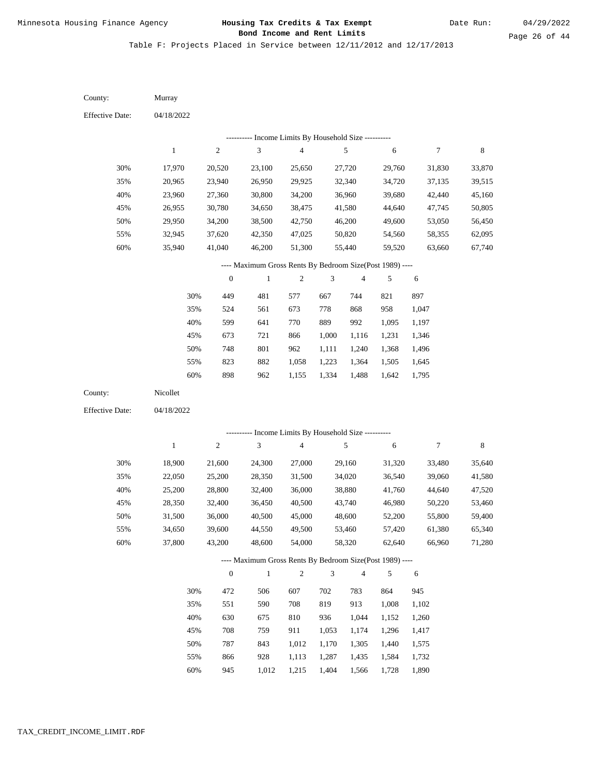Table F: Projects Placed in Service between 12/11/2012 and 12/17/2013

04/18/2022 04/18/2022 Murray Nicollet 30% 35% 40% 45% 50% 55% 60% 30% 35% 40% 45% 50% 55% 60% 17,970 20,965 23,960 26,955 29,950 32,945 35,940 18,900 22,050 25,200 28,350 31,500 34,650 37,800 20,520 23,940 27,360 30,780 34,200 37,620 41,040 21,600 25,200 28,800 32,400 36,000 39,600 43,200 23,100 26,950 30,800 34,650 38,500 42,350 46,200 24,300 28,350 32,400 36,450 40,500 44,550 48,600 25,650 29,925 34,200 38,475 42,750 47,025 51,300 27,000 31,500 36,000 40,500 45,000 49,500 54,000 27,720 32,340 36,960 41,580 46,200 50,820 55,440 29,160 34,020 38,880 43,740 48,600 53,460 58,320 29,760 34,720 39,680 44,640 49,600 54,560 59,520 31,320 36,540 41,760 46,980 52,200 57,420 62,640 31,830 37,135 42,440 47,745 53,050 58,355 63,660 33,480 39,060 44,640 50,220 55,800 61,380 66,960 33,870 39,515 45,160 50,805 56,450 62,095 67,740 35,640 41,580 47,520 53,460 59,400 65,340 71,280 449 524 599 673 748 823 898 472 551 630 708 787 866 945 481 561 641 721 801 882 962 506 590 675 759 843 928 577 673 770 866 962 1,058 1,155 607 708 810 911 1,012 1,113 1,215 667 778 889 1,000 1,111 1,223 1,334 702 819 936 1,053 1,170 1,287 744 868 992 1,116 1,240 1,364 1,488 783 913 1,044 1,174 1,305 1,435 821 958 1,095 1,231 1,368 1,505 1,642 864 1,008 1,152 1,296 1,440 1,584 897 1,047 1,197 1,346 1,496 1,645 1,795 945 1,102 1,260 1,417 1,575 1,732 County: County: Effective Date: Effective Date: 1 1 2 2 3 3 4 4 5 5 6 6 7 7 8 8 0 0 1 1 2 2 3 3 4 4 5 5 6 6 ---------- Income Limits By Household Size ---------- ---------- Income Limits By Household Size ---------- ---- Maximum Gross Rents By Bedroom Size(Post 1989) ---- ---- Maximum Gross Rents By Bedroom Size(Post 1989) ---- 30% 35% 40% 45% 50% 55% 60% 30% 35% 40% 45% 50% 55% 60%

1,012

1,404

1,566

1,728

1,890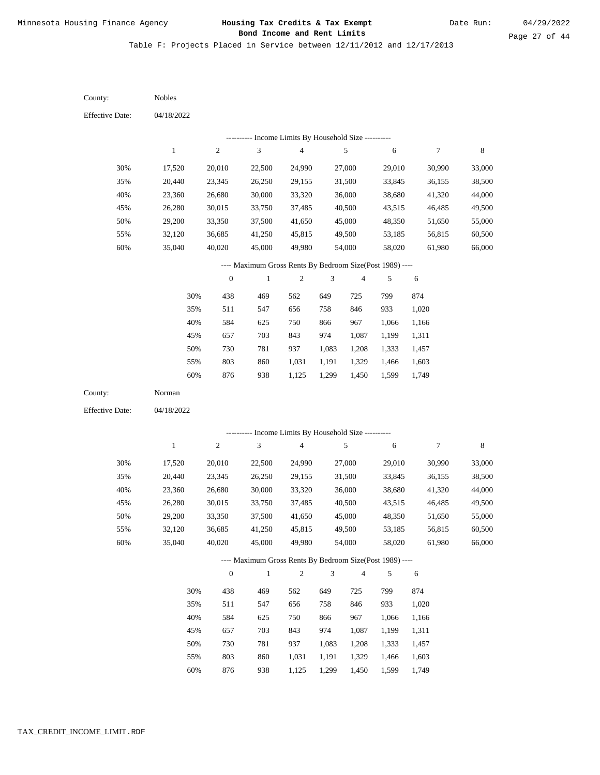Table F: Projects Placed in Service between 12/11/2012 and 12/17/2013

| County:                | Nobles           |                  |                                                          |                          |                |                  |                  |                  |                  |
|------------------------|------------------|------------------|----------------------------------------------------------|--------------------------|----------------|------------------|------------------|------------------|------------------|
| <b>Effective Date:</b> | 04/18/2022       |                  |                                                          |                          |                |                  |                  |                  |                  |
|                        |                  |                  | --------- Income Limits By Household Size ----------     |                          |                |                  |                  |                  |                  |
|                        | $\mathbf{1}$     | $\sqrt{2}$       | $\mathfrak{Z}$                                           | $\overline{\mathcal{L}}$ |                | $\sqrt{5}$       | 6                | $\boldsymbol{7}$ | $\,$ 8 $\,$      |
| 30%                    | 17,520           | 20,010           | 22,500                                                   | 24,990                   |                | 27,000           | 29,010           | 30,990           | 33,000           |
| 35%                    | 20,440           | 23,345           | 26,250                                                   | 29,155                   |                | 31,500           | 33,845           | 36,155           | 38,500           |
| 40%                    | 23,360           | 26,680           | 30,000                                                   | 33,320                   |                | 36,000           | 38,680           | 41,320           | 44,000           |
| 45%                    | 26,280           | 30,015           | 33,750                                                   | 37,485                   |                | 40,500           | 43,515           | 46,485           | 49,500           |
| 50%                    | 29,200           | 33,350           | 37,500                                                   | 41,650                   |                | 45,000           | 48,350           | 51,650           | 55,000           |
| 55%                    | 32,120           | 36,685           | 41,250                                                   | 45,815                   |                | 49,500           | 53,185           | 56,815           | 60,500           |
| 60%                    | 35,040           | 40,020           | 45,000                                                   | 49,980                   |                | 54,000           | 58,020           | 61,980           | 66,000           |
|                        |                  |                  | ---- Maximum Gross Rents By Bedroom Size(Post 1989) ---- |                          |                |                  |                  |                  |                  |
|                        |                  | $\boldsymbol{0}$ | $\,1$                                                    | $\sqrt{2}$               | 3              | 4                | 5                | 6                |                  |
|                        | 30%              | 438              | 469                                                      | 562                      | 649            | 725              | 799              | 874              |                  |
|                        | 35%              | 511              | 547                                                      | 656                      | 758            | 846              | 933              | 1,020            |                  |
|                        | 40%              | 584              | 625                                                      | 750                      | 866            | 967              | 1,066            | 1,166            |                  |
|                        | 45%              | 657              | 703                                                      | 843                      | 974            | 1,087            | 1,199            | 1,311            |                  |
|                        | 50%              | 730              | 781                                                      | 937                      | 1,083          | 1,208            | 1,333            | 1,457            |                  |
|                        | 55%              | 803              | 860                                                      | 1,031                    | 1,191          | 1,329            | 1,466            | 1,603            |                  |
|                        | 60%              | 876              | 938                                                      | 1,125                    | 1,299          | 1,450            | 1,599            | 1,749            |                  |
| County:                | Norman           |                  |                                                          |                          |                |                  |                  |                  |                  |
| <b>Effective Date:</b> | 04/18/2022       |                  |                                                          |                          |                |                  |                  |                  |                  |
|                        |                  |                  | --------- Income Limits By Household Size ----------     |                          |                |                  |                  |                  |                  |
|                        | $\mathbf{1}$     | $\sqrt{2}$       | 3                                                        | $\overline{4}$           |                | $\sqrt{5}$       | 6                | $\boldsymbol{7}$ | $\,$ 8 $\,$      |
|                        |                  |                  |                                                          |                          |                |                  |                  |                  |                  |
| 30%                    | 17,520           | 20,010           | 22,500                                                   | 24,990                   |                | 27,000           | 29,010           | 30,990           | 33,000           |
| 35%                    | 20,440<br>23,360 | 23,345           | 26,250                                                   | 29,155<br>33,320         |                | 31,500<br>36,000 | 33,845           | 36,155           | 38,500           |
| 40%<br>45%             | 26,280           | 26,680<br>30,015 | 30,000<br>33,750                                         | 37,485                   |                | 40,500           | 38,680<br>43,515 | 41,320<br>46,485 | 44,000<br>49,500 |
| 50%                    | 29,200           | 33,350           | 37,500                                                   | 41,650                   |                | 45,000           | 48,350           | 51,650           | 55,000           |
| 55%                    | 32,120           | 36,685           | 41,250                                                   | 45,815                   |                | 49,500           | 53,185           | 56,815           | 60,500           |
| 60%                    | 35,040           | 40,020           | 45,000                                                   | 49,980                   |                | 54,000           | 58,020           | 61,980           | 66,000           |
|                        |                  |                  | ---- Maximum Gross Rents By Bedroom Size(Post 1989) ---- |                          |                |                  |                  |                  |                  |
|                        |                  | $\boldsymbol{0}$ | $\mathbf{1}$                                             | $\sqrt{2}$               | $\mathfrak{Z}$ | $\overline{4}$   | 5                | 6                |                  |
|                        |                  | 438              | 469                                                      |                          | 649            |                  | 799              |                  |                  |
|                        | 30%<br>35%       | 511              | 547                                                      | 562<br>656               | 758            | 725<br>846       | 933              | 874<br>1,020     |                  |
|                        | 40%              | 584              | 625                                                      | 750                      | 866            | 967              | 1,066            | 1,166            |                  |
|                        | 45%              | 657              | 703                                                      | 843                      | 974            | 1,087            | 1,199            | 1,311            |                  |
|                        | 50%              | 730              | 781                                                      | 937                      | 1,083          | 1,208            | 1,333            | 1,457            |                  |
|                        | 55%              | 803              | 860                                                      | 1,031                    | 1,191          | 1,329            | 1,466            | 1,603            |                  |
|                        |                  |                  |                                                          |                          |                |                  |                  |                  |                  |

876 938 1,125 1,299 1,450 1,599 1,749 60%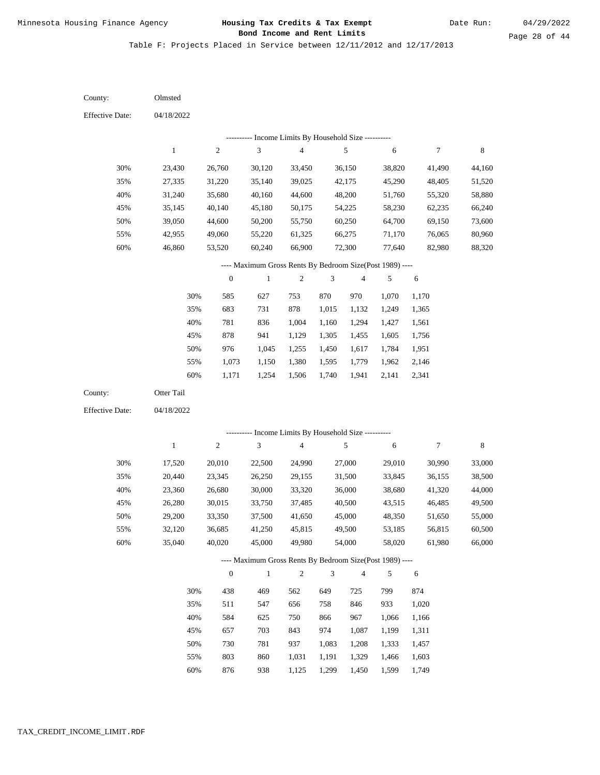Table F: Projects Placed in Service between 12/11/2012 and 12/17/2013

04/18/2022 04/18/2022 Olmsted Otter Tail 30% 35% 40% 45% 50% 55% 60% 30% 35% 40% 45% 50% 55% 60% 23,430 27,335 31,240 35,145 39,050 42,955 46,860 17,520 20,440 23,360 26,280 29,200 32,120 35,040 26,760 31,220 35,680 40,140 44,600 49,060 53,520 20,010 23,345 26,680 30,015 33,350 36,685 40,020 30,120 35,140 40,160 45,180 50,200 55,220 60,240 22,500 26,250 30,000 33,750 37,500 41,250 45,000 33,450 39,025 44,600 50,175 55,750 61,325 66,900 24,990 29,155 33,320 37,485 41,650 45,815 49,980 36,150 42,175 48,200 54,225 60,250 66,275 72,300 27,000 31,500 36,000 40,500 45,000 49,500 54,000 38,820 45,290 51,760 58,230 64,700 71,170 77,640 29,010 33,845 38,680 43,515 48,350 53,185 58,020 41,490 48,405 55,320 62,235 69,150 76,065 82,980 30,990 36,155 41,320 46,485 51,650 56,815 61,980 44,160 51,520 58,880 66,240 73,600 80,960 88,320 33,000 38,500 44,000 49,500 55,000 60,500 66,000 585 683 781 878 976 1,073 1,171 438 511 584 657 730 803 876 627 731 836 941 1,045 1,150 1,254 469 547 625 703 781 860 938 753 878 1,004 1,129 1,255 1,380 1,506 562 656 750 843 937 1,031 1,125 870 1,015 1,160 1,305 1,450 1,595 1,740 649 758 866 974 1,083 1,191 1,299 970 1,132 1,294 1,455 1,617 1,779 1,941 725 846 967 1,087 1,208 1,329 1,450 1,070 1,249 1,427 1,605 1,784 1,962 2,141 799 933 1,066 1,199 1,333 1,466 1,599 1,170 1,365 1,561 1,756 1,951 2,146 2,341 874 1,020 1,166 1,311 1,457 1,603 1,749 County: County: Effective Date: Effective Date: 1 1 2 2 3 3 4 4 5 5 6 6 7 7 8 8 0 0 1 1 2 2 3 3 4 4 5 5 6 6 ---------- Income Limits By Household Size ---------- ---------- Income Limits By Household Size ---------- ---- Maximum Gross Rents By Bedroom Size(Post 1989) ---- ---- Maximum Gross Rents By Bedroom Size(Post 1989) ---- 30% 35% 40% 45% 50% 55% 60% 30% 35% 40% 45% 50% 55% 60%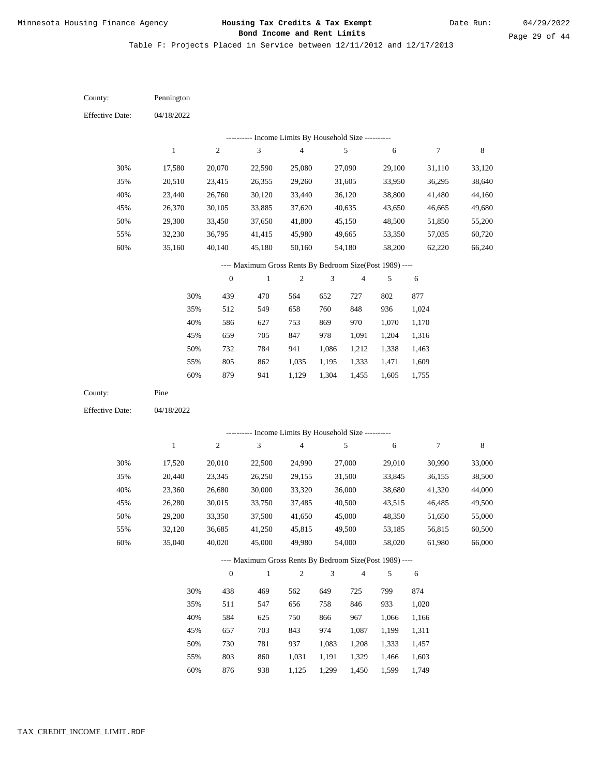| County:                | Pennington  |                  |                                                          |                                            |                |                |        |                  |             |
|------------------------|-------------|------------------|----------------------------------------------------------|--------------------------------------------|----------------|----------------|--------|------------------|-------------|
| <b>Effective Date:</b> | 04/18/2022  |                  |                                                          |                                            |                |                |        |                  |             |
|                        |             |                  |                                                          | Income Limits By Household Size ---------- |                |                |        |                  |             |
|                        | $\mathbf 1$ | $\mathbf{2}$     | $\ensuremath{\mathfrak{Z}}$                              | $\overline{4}$                             |                | $\sqrt{5}$     | 6      | $\boldsymbol{7}$ | 8           |
| 30%                    | 17,580      | 20,070           | 22,590                                                   | 25,080                                     |                | 27,090         | 29,100 | 31,110           | 33,120      |
| 35%                    | 20,510      | 23,415           | 26,355                                                   | 29,260                                     |                | 31,605         | 33,950 | 36,295           | 38,640      |
| 40%                    | 23,440      | 26,760           | 30,120                                                   | 33,440                                     |                | 36,120         | 38,800 | 41,480           | 44,160      |
| 45%                    | 26,370      | 30,105           | 33,885                                                   | 37,620                                     |                | 40,635         | 43,650 | 46,665           | 49,680      |
| 50%                    | 29,300      | 33,450           | 37,650                                                   | 41,800                                     |                | 45,150         | 48,500 | 51,850           | 55,200      |
| 55%                    | 32,230      | 36,795           | 41,415                                                   | 45,980                                     |                | 49,665         | 53,350 | 57,035           | 60,720      |
| 60%                    | 35,160      | 40,140           | 45,180                                                   | 50,160                                     |                | 54,180         | 58,200 | 62,220           | 66,240      |
|                        |             |                  | ---- Maximum Gross Rents By Bedroom Size(Post 1989) ---- |                                            |                |                |        |                  |             |
|                        |             | $\boldsymbol{0}$ | $\,1$                                                    | $\boldsymbol{2}$                           | 3              | 4              | 5      | $\sqrt{6}$       |             |
|                        | 30%         | 439              | 470                                                      | 564                                        | 652            | 727            | 802    | 877              |             |
|                        | 35%         | 512              | 549                                                      | 658                                        | 760            | 848            | 936    | 1,024            |             |
|                        | 40%         | 586              | 627                                                      | 753                                        | 869            | 970            | 1,070  | 1,170            |             |
|                        | 45%         | 659              | $705\,$                                                  | 847                                        | 978            | 1,091          | 1,204  | 1,316            |             |
|                        | 50%         | 732              | 784                                                      | 941                                        | 1,086          | 1,212          | 1,338  | 1,463            |             |
|                        | 55%         | 805              | 862                                                      | 1,035                                      | 1,195          | 1,333          | 1,471  | 1,609            |             |
|                        | 60%         | 879              | 941                                                      | 1,129                                      | 1,304          | 1,455          | 1,605  | 1,755            |             |
|                        |             |                  |                                                          |                                            |                |                |        |                  |             |
| County:                | Pine        |                  |                                                          |                                            |                |                |        |                  |             |
| <b>Effective Date:</b> | 04/18/2022  |                  |                                                          |                                            |                |                |        |                  |             |
|                        |             |                  |                                                          |                                            |                |                |        |                  |             |
|                        |             |                  | --------- Income Limits By Household Size ----------     |                                            |                |                |        |                  |             |
|                        | $\,1$       | $\boldsymbol{2}$ | $\mathfrak{Z}$                                           | $\overline{4}$                             |                | $\sqrt{5}$     | 6      | $\boldsymbol{7}$ | $\,$ 8 $\,$ |
| 30%                    | 17,520      | 20,010           | 22,500                                                   | 24,990                                     |                | 27,000         | 29,010 | 30,990           | 33,000      |
| 35%                    | 20,440      | 23,345           | 26,250                                                   | 29,155                                     |                | 31,500         | 33,845 | 36,155           | 38,500      |
| 40%                    | 23,360      | 26,680           | 30,000                                                   | 33,320                                     |                | 36,000         | 38,680 | 41,320           | 44,000      |
| 45%                    | 26,280      | 30,015           | 33,750                                                   | 37,485                                     |                | 40,500         | 43,515 | 46,485           | 49,500      |
| 50%                    | 29,200      | 33,350           | 37,500                                                   | 41,650                                     |                | 45,000         | 48,350 | 51,650           | 55,000      |
| 55%                    | 32,120      | 36,685           | 41,250                                                   | 45,815                                     |                | 49,500         | 53,185 | 56,815           | 60,500      |
| 60%                    | 35,040      | 40,020           | 45,000                                                   | 49,980                                     |                | 54,000         | 58,020 | 61,980           | 66,000      |
|                        |             |                  | ---- Maximum Gross Rents By Bedroom Size(Post 1989) ---- |                                            |                |                |        |                  |             |
|                        |             | $\boldsymbol{0}$ | $\mathbf{1}$                                             | $\sqrt{2}$                                 | $\mathfrak{Z}$ | $\overline{4}$ | 5      | 6                |             |
|                        | 30%         | 438              | 469                                                      | 562                                        | 649            | 725            | 799    | 874              |             |
|                        | 35%         | 511              | 547                                                      | 656                                        | 758            | 846            | 933    | 1,020            |             |
|                        | 40%         | 584              | 625                                                      | 750                                        | 866            | 967            | 1,066  | 1,166            |             |
|                        | 45%         | 657              | 703                                                      | 843                                        | 974            | 1,087          | 1,199  | 1,311            |             |
|                        | 50%         | 730              | 781                                                      | 937                                        | 1,083          | 1,208          | 1,333  | 1,457            |             |
|                        | 55%         | 803              | 860                                                      | 1,031                                      | 1,191          | 1,329          | 1,466  | 1,603            |             |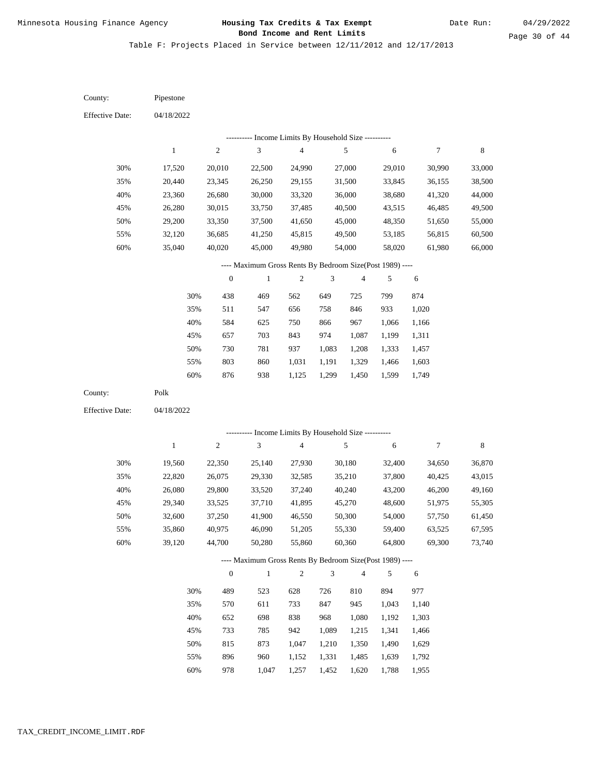Table F: Projects Placed in Service between 12/11/2012 and 12/17/2013

| County:                | Pipestone        |                  |                                                          |                                            |       |                  |                  |                  |                  |
|------------------------|------------------|------------------|----------------------------------------------------------|--------------------------------------------|-------|------------------|------------------|------------------|------------------|
| <b>Effective Date:</b> | 04/18/2022       |                  |                                                          |                                            |       |                  |                  |                  |                  |
|                        |                  |                  | --------- Income Limits By Household Size ----------     |                                            |       |                  |                  |                  |                  |
|                        | $\mathbf{1}$     | $\sqrt{2}$       | $\mathfrak{Z}$                                           | $\overline{\mathbf{4}}$                    |       | $\sqrt{5}$       | $\sqrt{6}$       | $\boldsymbol{7}$ | $\,$ 8 $\,$      |
| 30%                    | 17,520           | 20,010           | 22,500                                                   | 24,990                                     |       | 27,000           | 29,010           | 30,990           | 33,000           |
| 35%                    | 20,440           | 23,345           | 26,250                                                   | 29,155                                     |       | 31,500           | 33,845           | 36,155           | 38,500           |
| 40%                    | 23,360           | 26,680           | 30,000                                                   | 33,320                                     |       | 36,000           | 38,680           | 41,320           | 44,000           |
| 45%                    | 26,280           | 30,015           | 33,750                                                   | 37,485                                     |       | 40,500           | 43,515           | 46,485           | 49,500           |
| 50%                    | 29,200           | 33,350           | 37,500                                                   | 41,650                                     |       | 45,000           | 48,350           | 51,650           | 55,000           |
| 55%                    | 32,120           | 36,685           | 41,250                                                   | 45,815                                     |       | 49,500           | 53,185           | 56,815           | 60,500           |
| 60%                    | 35,040           | 40,020           | 45,000                                                   | 49,980                                     |       | 54,000           | 58,020           | 61,980           | 66,000           |
|                        |                  |                  | ---- Maximum Gross Rents By Bedroom Size(Post 1989) ---- |                                            |       |                  |                  |                  |                  |
|                        |                  | $\boldsymbol{0}$ | $\mathbf{1}$                                             | $\overline{c}$                             | 3     | $\overline{4}$   | 5                | 6                |                  |
|                        | 30%              | 438              | 469                                                      | 562                                        | 649   | 725              | 799              | 874              |                  |
|                        | 35%              | 511              | 547                                                      | 656                                        | 758   | 846              | 933              | 1,020            |                  |
|                        | 40%              | 584              | 625                                                      | 750                                        | 866   | 967              | 1,066            | 1,166            |                  |
|                        | 45%              | 657              | 703                                                      | 843                                        | 974   | 1,087            | 1,199            | 1,311            |                  |
|                        | 50%              | 730              | 781                                                      | 937                                        | 1,083 | 1,208            | 1,333            | 1,457            |                  |
|                        | 55%              | 803              | 860                                                      | 1,031                                      | 1,191 | 1,329            | 1,466            | 1,603            |                  |
|                        | 60%              | 876              | 938                                                      | 1,125                                      | 1,299 | 1,450            | 1,599            | 1,749            |                  |
| County:                | Polk             |                  |                                                          |                                            |       |                  |                  |                  |                  |
| <b>Effective Date:</b> | 04/18/2022       |                  |                                                          |                                            |       |                  |                  |                  |                  |
|                        |                  |                  |                                                          | Income Limits By Household Size ---------- |       |                  |                  |                  |                  |
|                        | $\mathbf{1}$     | $\sqrt{2}$       | 3                                                        | $\overline{\mathbf{4}}$                    |       | 5                | 6                | $\boldsymbol{7}$ | $\,$ 8 $\,$      |
|                        |                  |                  |                                                          |                                            |       |                  |                  |                  |                  |
| 30%                    | 19,560           | 22,350<br>26,075 | 25,140                                                   | 27,930<br>32,585                           |       | 30,180           | 32,400           | 34,650           | 36,870           |
| 35%<br>40%             | 22,820<br>26,080 | 29,800           | 29,330<br>33,520                                         | 37,240                                     |       | 35,210<br>40,240 | 37,800<br>43,200 | 40,425<br>46,200 | 43,015<br>49,160 |
| 45%                    | 29,340           | 33,525           | 37,710                                                   | 41,895                                     |       | 45,270           | 48,600           | 51,975           | 55,305           |
| 50%                    | 32,600           | 37,250           | 41,900                                                   | 46,550                                     |       | 50,300           | 54,000           | 57,750           | 61,450           |
| 55%                    | 35,860           | 40,975           | 46,090                                                   | 51,205                                     |       | 55,330           | 59,400           | 63,525           | 67,595           |
| 60%                    | 39,120           | 44,700           | 50,280                                                   | 55,860                                     |       | 60,360           | 64,800           | 69,300           | 73,740           |
|                        |                  |                  | ---- Maximum Gross Rents By Bedroom Size(Post 1989) ---- |                                            |       |                  |                  |                  |                  |
|                        |                  | $\boldsymbol{0}$ | $\mathbf{1}$                                             | $\mathfrak{2}$                             | 3     | $\overline{4}$   | 5                | 6                |                  |
|                        | 30%              | 489              | 523                                                      | 628                                        | 726   | 810              | 894              | 977              |                  |
|                        | 35%              | 570              | 611                                                      | 733                                        | 847   | 945              | 1,043            | 1,140            |                  |
|                        | 40%              | 652              | 698                                                      | 838                                        | 968   | 1,080            | 1,192            | 1,303            |                  |
|                        | 45%              | 733              | 785                                                      | 942                                        | 1,089 | 1,215            | 1,341            | 1,466            |                  |
|                        | 50%              | 815              | 873                                                      | 1,047                                      | 1,210 | 1,350            | 1,490            | 1,629            |                  |
|                        | 55%              | 896              | 960                                                      | 1,152                                      | 1,331 | 1,485            | 1,639            | 1,792            |                  |
|                        |                  |                  |                                                          |                                            |       |                  |                  |                  |                  |

978 1,047 1,257 1,452 1,620 1,788 1,955 60%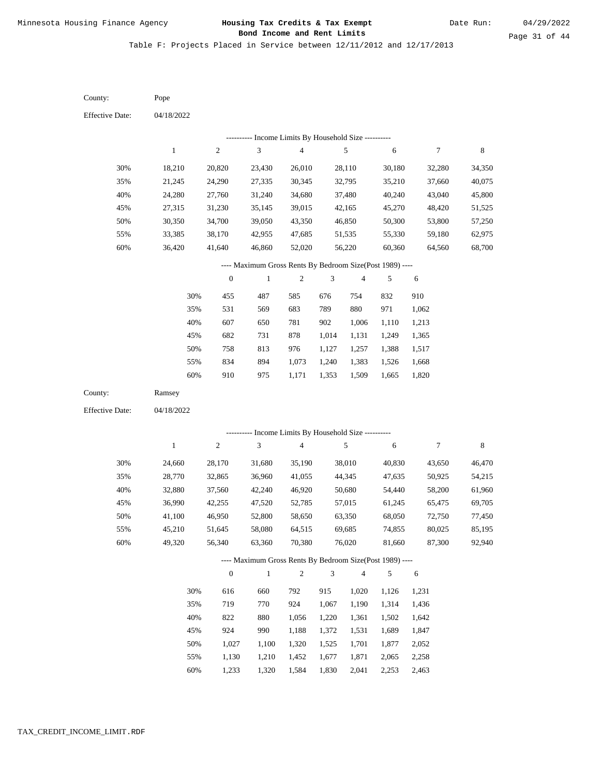Table F: Projects Placed in Service between 12/11/2012 and 12/17/2013

04/18/2022 04/18/2022 Pope Ramsey 30% 35% 40% 45% 50% 55% 60% 30% 35% 40% 45% 50% 55% 60% 18,210 21,245 24,280 27,315 30,350 33,385 36,420 24,660 28,770 32,880 36,990 41,100 45,210 49,320 20,820 24,290 27,760 31,230 34,700 38,170 41,640 28,170 32,865 37,560 42,255 46,950 51,645 56,340 23,430 27,335 31,240 35,145 39,050 42,955 46,860 31,680 36,960 42,240 47,520 52,800 58,080 63,360 26,010 30,345 34,680 39,015 43,350 47,685 52,020 35,190 41,055 46,920 52,785 58,650 64,515 70,380 28,110 32,795 37,480 42,165 46,850 51,535 56,220 38,010 44,345 50,680 57,015 63,350 69,685 76,020 30,180 35,210 40,240 45,270 50,300 55,330 60,360 40,830 47,635 54,440 61,245 68,050 74,855 81,660 32,280 37,660 43,040 48,420 53,800 59,180 64,560 43,650 50,925 58,200 65,475 72,750 80,025 87,300 34,350 40,075 45,800 51,525 57,250 62,975 68,700 46,470 54,215 61,960 69,705 77,450 85,195 92,940 455 531 607 682 758 834 910 616 719 822 924 1,027 1,130 1,233 487 569 650 731 813 894 975 660 770 880 990 1,100 1,210 1,320 585 683 781 878 976 1,073 1,171 792 924 1,056 1,188 1,320 1,452 1,584 676 789 902 1,014 1,127 1,240 1,353 915 1,067 1,220 1,372 1,525 1,677 1,830 754 880 1,006 1,131 1,257 1,383 1,509 1,020 1,190 1,361 1,531 1,701 1,871 2,041 832 971 1,110 1,249 1,388 1,526 1,665 1,126 1,314 1,502 1,689 1,877 2,065 2,253 910 1,062 1,213 1,365 1,517 1,668 1,820 1,231 1,436 1,642 1,847 2,052 2,258 2,463 County: County: Effective Date: Effective Date: 1 1 2 2 3 3 4 4 5 5 6 6 7 7 8 8 0 0 1 1 2 2 3 3 4 4 5 5 6 6 ---------- Income Limits By Household Size ---------- ---------- Income Limits By Household Size ---------- ---- Maximum Gross Rents By Bedroom Size(Post 1989) ---- ---- Maximum Gross Rents By Bedroom Size(Post 1989) ---- 30% 35% 40% 45% 50% 55% 60% 30% 35% 40% 45% 50% 55% 60%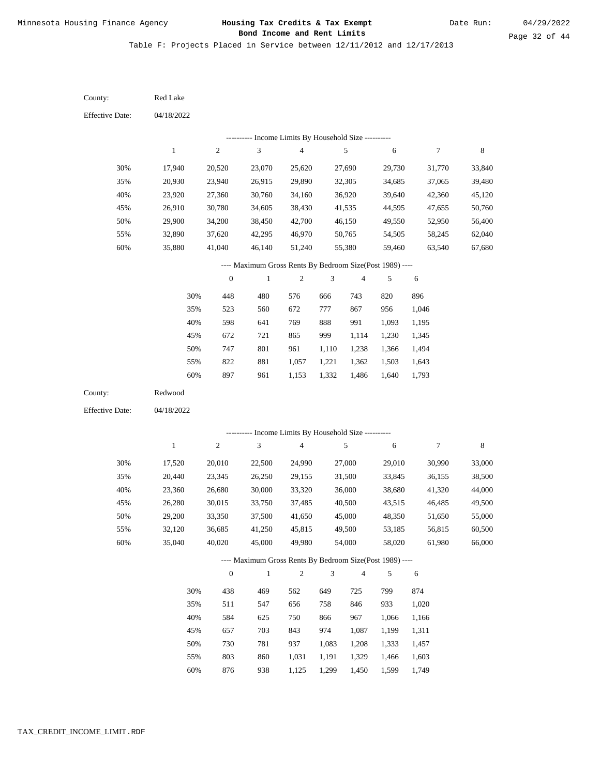| County:                | Red Lake         |                  |                                                                   |                          |                |                  |                  |                  |                  |
|------------------------|------------------|------------------|-------------------------------------------------------------------|--------------------------|----------------|------------------|------------------|------------------|------------------|
| <b>Effective Date:</b> | 04/18/2022       |                  |                                                                   |                          |                |                  |                  |                  |                  |
|                        |                  |                  | --------- Income Limits By Household Size ----------              |                          |                |                  |                  |                  |                  |
|                        | $\mathbf{1}$     | 2                | $\mathfrak{Z}$                                                    | $\overline{\mathcal{L}}$ |                | 5                | 6                | 7                | 8                |
| 30%                    | 17,940           | 20,520           | 23,070                                                            | 25,620                   |                | 27,690           | 29,730           | 31,770           | 33,840           |
| 35%                    | 20,930           | 23,940           | 26,915                                                            | 29,890                   |                | 32,305           | 34,685           | 37,065           | 39,480           |
| 40%                    | 23,920           | 27,360           | 30,760                                                            | 34,160                   |                | 36,920           | 39,640           | 42,360           | 45,120           |
| 45%                    | 26,910           | 30,780           | 34,605                                                            | 38,430                   |                | 41,535           | 44,595           | 47,655           | 50,760           |
| 50%                    | 29,900           | 34,200           | 38,450                                                            | 42,700                   |                | 46,150           | 49,550           | 52,950           | 56,400           |
| 55%                    | 32,890           | 37,620           | 42,295                                                            | 46,970                   |                | 50,765           | 54,505           | 58,245           | 62,040           |
| 60%                    | 35,880           | 41,040           | 46,140                                                            | 51,240                   |                | 55,380           | 59,460           | 63,540           | 67,680           |
|                        |                  |                  | ---- Maximum Gross Rents By Bedroom Size(Post 1989) ----          |                          |                |                  |                  |                  |                  |
|                        |                  | $\boldsymbol{0}$ | $\mathbf{1}$                                                      | $\mathbf{2}$             | 3              | 4                | 5                | 6                |                  |
|                        | 30%              | 448              | 480                                                               | 576                      | 666            | 743              | 820              | 896              |                  |
|                        | 35%              | 523              | 560                                                               | 672                      | 777            | 867              | 956              | 1,046            |                  |
|                        | 40%              | 598              | 641                                                               | 769                      | 888            | 991              | 1,093            | 1,195            |                  |
|                        | 45%              | 672              | 721                                                               | 865                      | 999            | 1,114            | 1,230            | 1,345            |                  |
|                        | 50%              | 747              | 801                                                               | 961                      | 1,110          | 1,238            | 1,366            | 1,494            |                  |
|                        | 55%              | 822              | 881                                                               | 1,057                    | 1,221          | 1,362            | 1,503            | 1,643            |                  |
|                        | 60%              | 897              | 961                                                               | 1,153                    | 1,332          | 1,486            | 1,640            | 1,793            |                  |
| County:                | Redwood          |                  |                                                                   |                          |                |                  |                  |                  |                  |
| <b>Effective Date:</b> | 04/18/2022       |                  |                                                                   |                          |                |                  |                  |                  |                  |
|                        |                  |                  | --------- Income Limits By Household Size ----------              |                          |                |                  |                  |                  |                  |
|                        | $\mathbf{1}$     | 2                | $\sqrt{3}$                                                        | $\overline{4}$           |                | 5                | 6                | 7                | 8                |
|                        |                  |                  |                                                                   |                          |                |                  |                  |                  |                  |
| 30%                    | 17,520           | 20,010           | 22,500                                                            | 24,990                   |                | 27,000           | 29,010           | 30,990           | 33,000           |
| 35%                    | 20,440           | 23,345           | 26,250                                                            | 29,155                   |                | 31,500           | 33,845           | 36,155           | 38,500           |
| 40%                    | 23,360           | 26,680           | 30,000                                                            | 33,320                   |                | 36,000           | 38,680           | 41,320           | 44,000           |
| 45%                    | 26,280           | 30,015           | 33,750                                                            | 37,485                   |                | 40,500<br>45,000 | 43,515           | 46,485           | 49,500           |
| 50%                    | 29,200           | 33,350           | 37,500                                                            | 41,650                   |                |                  | 48,350           | 51,650           | 55,000           |
| 55%<br>$60\%$          | 32,120<br>35,040 | 36,685<br>40,020 | 41,250<br>45,000                                                  | 45,815<br>49,980         |                | 49,500<br>54,000 | 53,185<br>58,020 | 56,815<br>61,980 | 60,500<br>66,000 |
|                        |                  |                  |                                                                   |                          |                |                  |                  |                  |                  |
|                        |                  | $\boldsymbol{0}$ | ---- Maximum Gross Rents By Bedroom Size(Post 1989) ----<br>$\,1$ | $\sqrt{2}$               | $\mathfrak{Z}$ | $\overline{4}$   | 5                | $\sqrt{6}$       |                  |
|                        | 30%              |                  |                                                                   |                          |                |                  |                  |                  |                  |
|                        |                  | 438              | 469                                                               | 562                      | 649            | 725              | 799              | 874              |                  |
|                        |                  |                  |                                                                   |                          |                |                  |                  |                  |                  |
|                        | 35%              | 511              | 547                                                               | 656                      | 758            | 846              | 933              | 1,020            |                  |
|                        | 40%              | 584              | 625                                                               | 750                      | 866            | 967              | 1,066            | 1,166            |                  |
|                        | 45%              | 657              | 703                                                               | 843                      | 974            | 1,087            | 1,199            | 1,311            |                  |
|                        | 50%<br>55%       | 730<br>803       | 781<br>860                                                        | 937<br>1,031             | 1,083<br>1,191 | 1,208<br>1,329   | 1,333<br>1,466   | 1,457<br>1,603   |                  |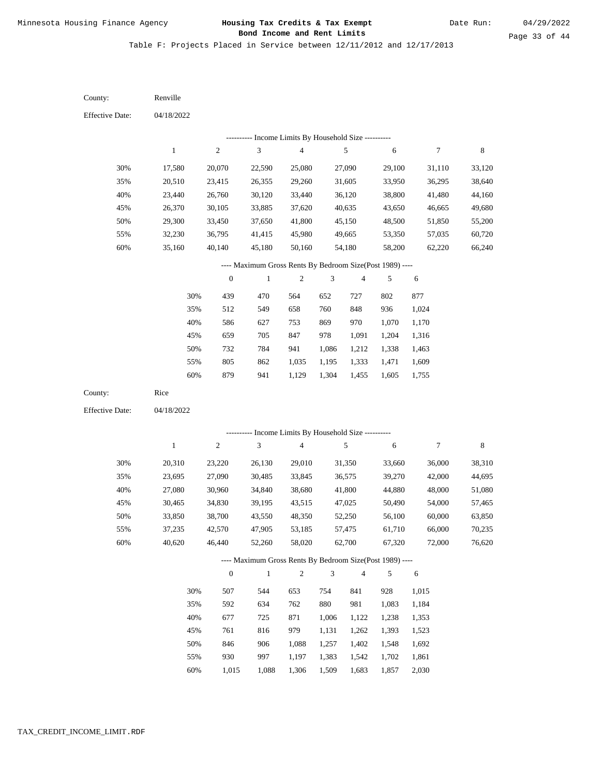Table F: Projects Placed in Service between 12/11/2012 and 12/17/2013

04/18/2022 04/18/2022 Renville Rice 30% 35% 40% 45% 50% 55% 60% 30% 35% 40% 45% 50% 55% 60% 17,580 20,510 23,440 26,370 29,300 32,230 35,160 20,310 23,695 27,080 30,465 33,850 37,235 40,620 20,070 23,415 26,760 30,105 33,450 36,795 40,140 23,220 27,090 30,960 34,830 38,700 42,570 46,440 22,590 26,355 30,120 33,885 37,650 41,415 45,180 26,130 30,485 34,840 39,195 43,550 47,905 52,260 25,080 29,260 33,440 37,620 41,800 45,980 50,160 29,010 33,845 38,680 43,515 48,350 53,185 58,020 27,090 31,605 36,120 40,635 45,150 49,665 54,180 31,350 36,575 41,800 47,025 52,250 57,475 62,700 29,100 33,950 38,800 43,650 48,500 53,350 58,200 33,660 39,270 44,880 50,490 56,100 61,710 67,320 31,110 36,295 41,480 46,665 51,850 57,035 62,220 36,000 42,000 48,000 54,000 60,000 66,000 72,000 33,120 38,640 44,160 49,680 55,200 60,720 66,240 38,310 44,695 51,080 57,465 63,850 70,235 76,620 439 512 586 659 732 805 879 507 592 677 761 846 930 470 549 627 705 784 862 941 544 634 725 816 906 997 564 658 753 847 941 1,035 1,129 653 762 871 979 1,088 1,197 652 760 869 978 1,086 1,195 1,304 754 880 1,006 1,131 1,257 1,383 727 848 970 1,091 1,212 1,333 1,455 841 981 1,122 1,262 1,402 1,542 802 936 1,070 1,204 1,338 1,471 1,605 928 1,083 1,238 1,393 1,548 1,702 1,857 877 1,024 1,170 1,316 1,463 1,609 1,755 1,015 1,184 1,353 1,523 1,692 1,861 2,030 County: County: Effective Date: Effective Date: 1 1 2 2 3 3 4 4 5 5 6 6 7 7 8 8 0 0 1 1 2 2 3 3 4 4 5 5 6 6 ---------- Income Limits By Household Size ---------- ---------- Income Limits By Household Size ---------- ---- Maximum Gross Rents By Bedroom Size(Post 1989) ---- ---- Maximum Gross Rents By Bedroom Size(Post 1989) ---- 30% 35% 40% 45% 50% 55% 60% 30% 35% 40% 45% 50% 55% 60%

1,015

1,088

1,306

1,509

1,683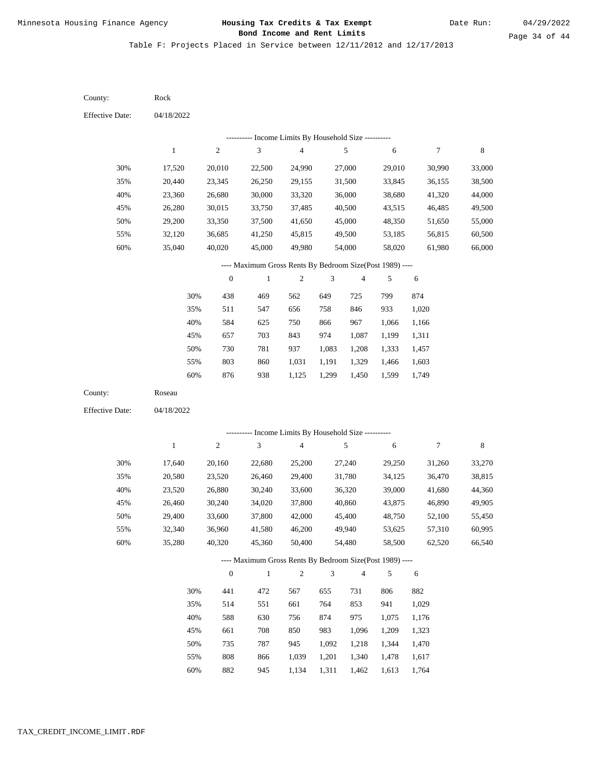Table F: Projects Placed in Service between 12/11/2012 and 12/17/2013

| County:                | Rock             |                  |                                                          |                                            |                |                         |        |                  |             |
|------------------------|------------------|------------------|----------------------------------------------------------|--------------------------------------------|----------------|-------------------------|--------|------------------|-------------|
| <b>Effective Date:</b> | 04/18/2022       |                  |                                                          |                                            |                |                         |        |                  |             |
|                        |                  |                  |                                                          | Income Limits By Household Size ---------- |                |                         |        |                  |             |
|                        | $\mathbf{1}$     | $\sqrt{2}$       | $\ensuremath{\mathfrak{Z}}$                              | $\overline{\mathcal{L}}$                   |                | $\sqrt{5}$              | 6      | 7                | $\,$ 8 $\,$ |
| 30%                    | 17,520           | 20,010           | 22,500                                                   | 24,990                                     |                | 27,000                  | 29,010 | 30,990           | 33,000      |
| 35%                    | 20,440           | 23,345           | 26,250                                                   | 29,155                                     |                | 31,500                  | 33,845 | 36,155           | 38,500      |
| 40%                    | 23,360           | 26,680           | 30,000                                                   | 33,320                                     |                | 36,000                  | 38,680 | 41,320           | 44,000      |
| 45%                    | 26,280           | 30,015           | 33,750                                                   | 37,485                                     |                | 40,500                  | 43,515 | 46,485           | 49,500      |
| 50%                    | 29,200           | 33,350           | 37,500                                                   | 41,650                                     |                | 45,000                  | 48,350 | 51,650           | 55,000      |
| 55%                    | 32,120           | 36,685           | 41,250                                                   | 45,815                                     |                | 49,500                  | 53,185 | 56,815           | 60,500      |
| 60%                    | 35,040           | 40,020           | 45,000                                                   | 49,980                                     |                | 54,000                  | 58,020 | 61,980           | 66,000      |
|                        |                  |                  | ---- Maximum Gross Rents By Bedroom Size(Post 1989) ---- |                                            |                |                         |        |                  |             |
|                        |                  | $\boldsymbol{0}$ | 1                                                        | $\mathfrak{2}$                             | 3              | $\overline{\mathbf{4}}$ | 5      | 6                |             |
|                        | 30%              | 438              | 469                                                      | 562                                        | 649            | 725                     | 799    | 874              |             |
|                        | 35%              | 511              | 547                                                      | 656                                        | 758            | 846                     | 933    | 1,020            |             |
|                        | 40%              | 584              | 625                                                      | 750                                        | 866            | 967                     | 1,066  | 1,166            |             |
|                        | 45%              | 657              | 703                                                      | 843                                        | 974            | 1,087                   | 1,199  | 1,311            |             |
|                        | 50%              | 730              | 781                                                      | 937                                        | 1,083          | 1,208                   | 1,333  | 1,457            |             |
|                        | 55%              | 803              | 860                                                      | 1,031                                      | 1,191          | 1,329                   | 1,466  | 1,603            |             |
|                        | 60%              | 876              | 938                                                      | 1,125                                      | 1,299          | 1,450                   | 1,599  | 1,749            |             |
| County:                | Roseau           |                  |                                                          |                                            |                |                         |        |                  |             |
| <b>Effective Date:</b> | 04/18/2022       |                  |                                                          |                                            |                |                         |        |                  |             |
|                        |                  |                  | ---------- Income Limits By Household Size ----------    |                                            |                |                         |        |                  |             |
|                        | $\,1$            | $\sqrt{2}$       | 3                                                        | $\overline{\mathbf{4}}$                    |                | $\sqrt{5}$              | 6      | $\boldsymbol{7}$ | $\,$ 8 $\,$ |
|                        |                  |                  |                                                          |                                            |                |                         |        |                  |             |
| 30%                    | 17,640           | 20,160           | 22,680                                                   | 25,200                                     |                | 27,240                  | 29,250 | 31,260           | 33,270      |
| 35%                    | 20,580           | 23,520           | 26,460                                                   | 29,400                                     |                | 31,780                  | 34,125 | 36,470           | 38,815      |
| 40%                    | 23,520           | 26,880           | 30,240                                                   | 33,600                                     |                | 36,320                  | 39,000 | 41,680           | 44,360      |
| 45%                    | 26,460           | 30,240           | 34,020                                                   | 37,800                                     |                | 40,860                  | 43,875 | 46,890           | 49,905      |
| 50%                    | 29,400           | 33,600           | 37,800                                                   | 42,000                                     |                | 45,400                  | 48,750 | 52,100           | 55,450      |
| 55%                    | 32,340<br>35,280 | 36,960           | 41,580                                                   | 46,200<br>50,400                           |                | 49,940                  | 53,625 | 57,310<br>62,520 | 60,995      |
| 60%                    |                  | 40,320           | 45,360                                                   |                                            |                | 54,480                  | 58,500 |                  | 66,540      |
|                        |                  |                  | ---- Maximum Gross Rents By Bedroom Size(Post 1989) ---- |                                            |                |                         |        |                  |             |
|                        |                  | $\boldsymbol{0}$ | $\mathbf{1}$                                             | $\overline{c}$                             | $\mathfrak{Z}$ | $\overline{4}$          | 5      | 6                |             |
|                        | 30%              | 441              | 472                                                      | 567                                        | 655            | 731                     | 806    | 882              |             |
|                        | 35%              | 514              | 551                                                      | 661                                        | 764            | 853                     | 941    | 1,029            |             |
|                        | 40%              | 588              | 630                                                      | 756                                        | 874            | 975                     | 1,075  | 1,176            |             |
|                        | 45%              | 661              | 708                                                      | 850                                        | 983            | 1,096                   | 1,209  | 1,323            |             |
|                        | 50%              | 735              | 787                                                      | 945                                        | 1,092          | 1,218                   | 1,344  | 1,470            |             |
|                        | 55%              | $808\,$          | 866                                                      | 1,039                                      | 1,201          | 1,340                   | 1,478  | 1,617            |             |

60% 882 945 1,134 1,311 1,462 1,613 1,764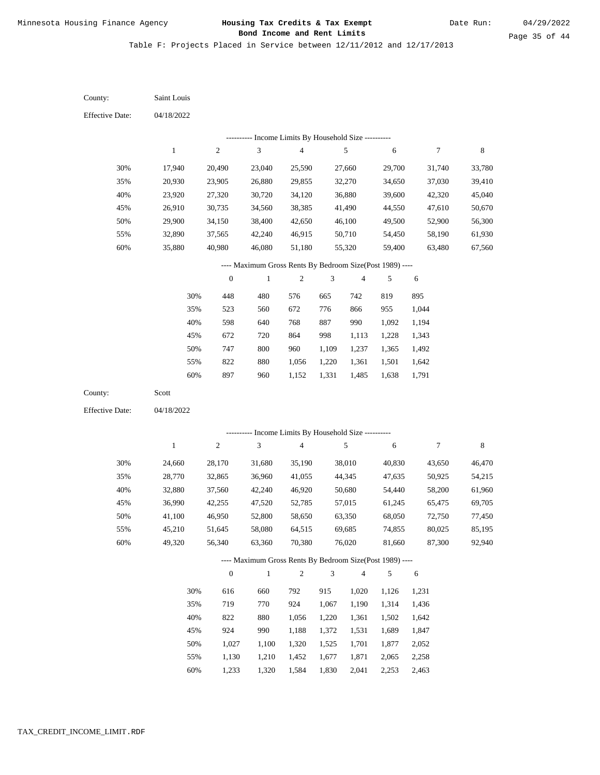Date Run:

Page 35 of 44

Table F: Projects Placed in Service between 12/11/2012 and 12/17/2013

| County:                | Saint Louis      |                  |                                                                          |                  |                |                  |                  |                  |                  |
|------------------------|------------------|------------------|--------------------------------------------------------------------------|------------------|----------------|------------------|------------------|------------------|------------------|
| <b>Effective Date:</b> | 04/18/2022       |                  |                                                                          |                  |                |                  |                  |                  |                  |
|                        |                  |                  | --------- Income Limits By Household Size ----------                     |                  |                |                  |                  |                  |                  |
|                        | $\mathbf{1}$     | $\boldsymbol{2}$ | $\ensuremath{\mathfrak{Z}}$                                              | $\overline{4}$   |                | 5                | 6                | $\boldsymbol{7}$ | 8                |
| 30%                    | 17,940           | 20,490           | 23,040                                                                   | 25,590           |                | 27,660           | 29,700           | 31,740           | 33,780           |
| 35%                    | 20,930           | 23,905           | 26,880                                                                   | 29,855           |                | 32,270           | 34,650           | 37,030           | 39,410           |
| 40%                    | 23,920           | 27,320           | 30,720                                                                   | 34,120           |                | 36,880           | 39,600           | 42,320           | 45,040           |
| 45%                    | 26,910           | 30,735           | 34,560                                                                   | 38,385           |                | 41,490           | 44,550           | 47,610           | 50,670           |
| 50%                    | 29,900           | 34,150           | 38,400                                                                   | 42,650           |                | 46,100           | 49,500           | 52,900           | 56,300           |
| 55%                    | 32,890           | 37,565           | 42,240                                                                   | 46,915           |                | 50,710           | 54,450           | 58,190           | 61,930           |
| 60%                    | 35,880           | 40,980           | 46,080                                                                   | 51,180           |                | 55,320           | 59,400           | 63,480           | 67,560           |
|                        |                  |                  | ---- Maximum Gross Rents By Bedroom Size(Post 1989) ----                 |                  |                |                  |                  |                  |                  |
|                        |                  | $\boldsymbol{0}$ | $\mathbf{1}$                                                             | $\sqrt{2}$       | $\mathfrak{Z}$ | $\overline{4}$   | 5                | 6                |                  |
|                        | 30%              | 448              | 480                                                                      | 576              | 665            | 742              | 819              | 895              |                  |
|                        | 35%              | 523              | 560                                                                      | 672              | 776            | 866              | 955              | 1,044            |                  |
|                        | 40%              | 598              | 640                                                                      | 768              | 887            | 990              | 1,092            | 1,194            |                  |
|                        | 45%              | 672              | 720                                                                      | 864              | 998            | 1,113            | 1,228            | 1,343            |                  |
|                        | 50%              | 747              | $800\,$                                                                  | 960              | 1,109          | 1,237            | 1,365            | 1,492            |                  |
|                        | 55%              | 822              | 880                                                                      | 1,056            | 1,220          | 1,361            | 1,501            | 1,642            |                  |
|                        | 60%              | 897              | 960                                                                      | 1,152            | 1,331          | 1,485            | 1,638            | 1,791            |                  |
| County:                | Scott            |                  |                                                                          |                  |                |                  |                  |                  |                  |
| <b>Effective Date:</b> | 04/18/2022       |                  |                                                                          |                  |                |                  |                  |                  |                  |
|                        |                  |                  | --------- Income Limits By Household Size ----------                     |                  |                |                  |                  |                  |                  |
|                        | 1                | $\boldsymbol{2}$ | $\ensuremath{\mathfrak{Z}}$                                              | $\overline{4}$   |                | 5                | 6                | $\boldsymbol{7}$ | 8                |
|                        |                  |                  |                                                                          |                  |                |                  |                  |                  |                  |
| 30%                    | 24,660           | 28,170           | 31,680                                                                   | 35,190           |                | 38,010           | 40,830           | 43,650           | 46,470           |
| 35%                    | 28,770           | 32,865           | 36,960                                                                   | 41,055           |                | 44,345           | 47,635           | 50,925           | 54,215           |
| 40%                    | 32,880           | 37,560           | 42,240                                                                   | 46,920           |                | 50,680           | 54,440           | 58,200           | 61,960           |
| 45%<br>50%             | 36,990<br>41,100 | 42,255           | 47,520                                                                   | 52,785           |                | 57,015           | 61,245           | 65,475           | 69,705           |
|                        |                  | 46,950           | 52,800                                                                   | 58,650           |                | 63,350           | 68,050           | 72,750<br>80,025 | 77,450           |
| 55%<br>60%             | 45,210<br>49,320 | 51,645<br>56,340 | 58,080<br>63,360                                                         | 64,515<br>70,380 |                | 69,685<br>76,020 | 74,855<br>81,660 | 87,300           | 85,195<br>92,940 |
|                        |                  |                  |                                                                          |                  |                |                  |                  |                  |                  |
|                        |                  | $\boldsymbol{0}$ | ---- Maximum Gross Rents By Bedroom Size(Post 1989) ----<br>$\mathbf{1}$ | $\sqrt{2}$       | $\mathfrak{Z}$ | $\sqrt{4}$       | $\sqrt{5}$       | 6                |                  |
|                        | 30%              |                  |                                                                          | 792              |                |                  |                  |                  |                  |
|                        | 35%              | 616<br>719       | 660<br>770                                                               | 924              | 915<br>1,067   | 1,020<br>1,190   | 1,126<br>1,314   | 1,231<br>1,436   |                  |
|                        | 40%              | 822              | 880                                                                      | 1,056            | 1,220          | 1,361            | 1,502            | 1,642            |                  |
|                        | 45%              | 924              | 990                                                                      | 1,188            | 1,372          | 1,531            | 1,689            | 1,847            |                  |
|                        | 50%              | 1,027            | 1,100                                                                    | 1,320            | 1,525          | 1,701            | 1,877            | 2,052            |                  |
|                        | 55%              | 1,130            | 1,210                                                                    | 1,452            | 1,677          | 1,871            | 2,065            | 2,258            |                  |
|                        |                  |                  |                                                                          |                  |                |                  |                  |                  |                  |

1,233 1,320 1,584 1,830 2,041 2,253 2,463 60%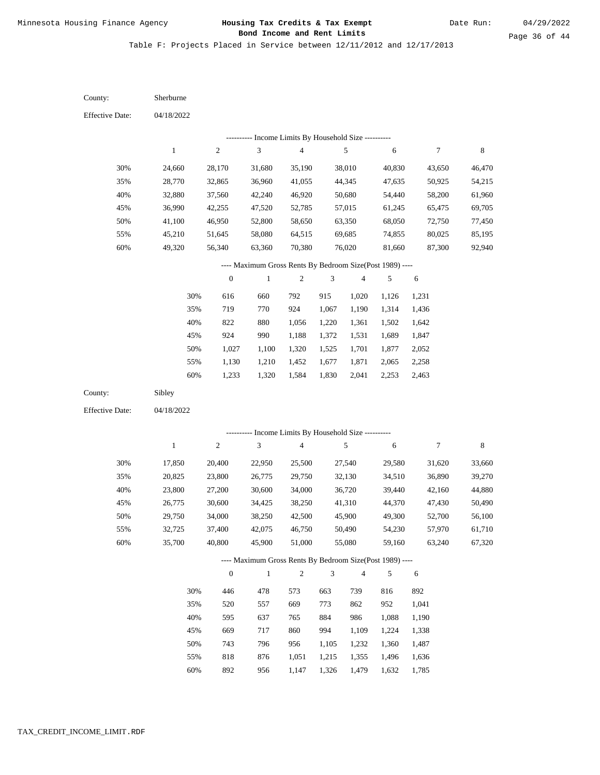Date Run:

Table F: Projects Placed in Service between 12/11/2012 and 12/17/2013

| County:                | Sherburne        |                  |                                                          |                                            |                |                         |                  |                  |                  |
|------------------------|------------------|------------------|----------------------------------------------------------|--------------------------------------------|----------------|-------------------------|------------------|------------------|------------------|
| <b>Effective Date:</b> | 04/18/2022       |                  |                                                          |                                            |                |                         |                  |                  |                  |
|                        |                  |                  |                                                          | Income Limits By Household Size ---------- |                |                         |                  |                  |                  |
|                        | $\,1$            | $\sqrt{2}$       | $\sqrt{3}$                                               | $\overline{\mathbf{4}}$                    |                | $\sqrt{5}$              | 6                | $\boldsymbol{7}$ | $\,$ 8 $\,$      |
| 30%                    | 24,660           | 28,170           | 31,680                                                   | 35,190                                     |                | 38,010                  | 40,830           | 43,650           | 46,470           |
| 35%                    | 28,770           | 32,865           | 36,960                                                   | 41,055                                     |                | 44,345                  | 47,635           | 50,925           | 54,215           |
| 40%                    | 32,880           | 37,560           | 42,240                                                   | 46,920                                     |                | 50,680                  | 54,440           | 58,200           | 61,960           |
| 45%                    | 36,990           | 42,255           | 47,520                                                   | 52,785                                     |                | 57,015                  | 61,245           | 65,475           | 69,705           |
| 50%                    | 41,100           | 46,950           | 52,800                                                   | 58,650                                     |                | 63,350                  | 68,050           | 72,750           | 77,450           |
| 55%                    | 45,210           | 51,645           | 58,080                                                   | 64,515                                     |                | 69,685                  | 74,855           | 80,025           | 85,195           |
| $60\%$                 | 49,320           | 56,340           | 63,360                                                   | 70,380                                     |                | 76,020                  | 81,660           | 87,300           | 92,940           |
|                        |                  |                  | ---- Maximum Gross Rents By Bedroom Size(Post 1989) ---- |                                            |                |                         |                  |                  |                  |
|                        |                  | $\boldsymbol{0}$ | 1                                                        | $\mathbf{2}$                               | 3              | $\overline{\mathbf{4}}$ | 5                | $\sqrt{6}$       |                  |
|                        | 30%              | 616              | 660                                                      | 792                                        | 915            | 1,020                   | 1,126            | 1,231            |                  |
|                        | 35%              | 719              | 770                                                      | 924                                        | 1,067          | 1,190                   | 1,314            | 1,436            |                  |
|                        | 40%              | 822              | 880                                                      | 1,056                                      | 1,220          | 1,361                   | 1,502            | 1,642            |                  |
|                        | 45%              | 924              | 990                                                      | 1,188                                      | 1,372          | 1,531                   | 1,689            | 1,847            |                  |
|                        | 50%              | 1,027            | 1,100                                                    | 1,320                                      | 1,525          | 1,701                   | 1,877            | 2,052            |                  |
|                        | 55%              | 1,130            | 1,210                                                    | 1,452                                      | 1,677          | 1,871                   | 2,065            | 2,258            |                  |
|                        | 60%              | 1,233            | 1,320                                                    | 1,584                                      | 1,830          | 2,041                   | 2,253            | 2,463            |                  |
| County:                | Sibley           |                  |                                                          |                                            |                |                         |                  |                  |                  |
| <b>Effective Date:</b> | 04/18/2022       |                  |                                                          |                                            |                |                         |                  |                  |                  |
|                        |                  |                  |                                                          |                                            |                |                         |                  |                  |                  |
|                        | $\,1\,$          | $\sqrt{2}$       | --------- Income Limits By Household Size ---------<br>3 | $\overline{4}$                             |                | $\sqrt{5}$              |                  | $\boldsymbol{7}$ | $\,$ 8 $\,$      |
|                        |                  |                  |                                                          |                                            |                |                         | 6                |                  |                  |
| 30%                    | 17,850           | 20,400           | 22,950                                                   | 25,500                                     |                | 27,540                  | 29,580           | 31,620           | 33,660           |
| 35%                    | 20,825           | 23,800           | 26,775                                                   | 29,750                                     |                | 32,130                  | 34,510           | 36,890           | 39,270           |
| 40%                    | 23,800           | 27,200           | 30,600                                                   | 34,000                                     |                | 36,720                  | 39,440           | 42,160           | 44,880           |
| 45%                    | 26,775           | 30,600           | 34,425                                                   | 38,250                                     |                | 41,310                  | 44,370           | 47,430           | 50,490           |
| 50%                    | 29,750           | 34,000           | 38,250                                                   | 42,500                                     |                | 45,900                  | 49,300<br>54,230 | 52,700           | 56,100           |
| 55%<br>60%             | 32,725<br>35,700 | 37,400<br>40,800 | 42,075<br>45,900                                         | 46,750<br>51,000                           |                | 50,490<br>55,080        | 59,160           | 57,970<br>63,240 | 61,710<br>67,320 |
|                        |                  |                  |                                                          |                                            |                |                         |                  |                  |                  |
|                        |                  |                  | ---- Maximum Gross Rents By Bedroom Size(Post 1989) ---- |                                            |                | $\overline{4}$          |                  |                  |                  |
|                        |                  | $\boldsymbol{0}$ | $\mathbf{1}$                                             | $\sqrt{2}$                                 | $\mathfrak{Z}$ |                         | 5                | 6                |                  |
|                        | 30%              | 446              | 478                                                      | 573                                        | 663            | 739                     | 816              | 892              |                  |
|                        | 35%              | 520              | 557                                                      | 669                                        | 773            | 862                     | 952              | 1,041            |                  |
|                        | 40%              | 595              | 637                                                      | 765                                        | 884            | 986                     | 1,088            | 1,190            |                  |
|                        | 45%              | 669              | 717                                                      | 860                                        | 994            | 1,109                   | 1,224            | 1,338            |                  |
|                        | 50%              | 743              | 796                                                      | 956                                        | 1,105          | 1,232                   | 1,360            | 1,487            |                  |
|                        | 55%              | 818              | 876                                                      | 1,051                                      | 1,215          | 1,355                   | 1,496            | 1,636            |                  |

892 956 1,147 1,326 1,479 1,632 1,785 60%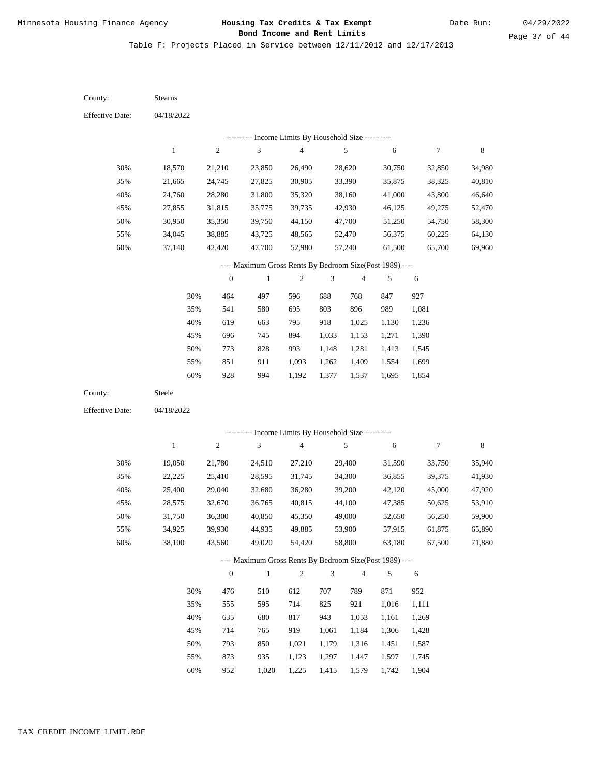Table F: Projects Placed in Service between 12/11/2012 and 12/17/2013

04/18/2022 04/18/2022 Stearns Steele 30% 35% 40% 45% 50% 55% 60% 30% 35% 40% 45% 50% 55% 60% 18,570 21,665 24,760 27,855 30,950 34,045 37,140 19,050 22,225 25,400 28,575 31,750 34,925 38,100 21,210 24,745 28,280 31,815 35,350 38,885 42,420 21,780 25,410 29,040 32,670 36,300 39,930 43,560 23,850 27,825 31,800 35,775 39,750 43,725 47,700 24,510 28,595 32,680 36,765 40,850 44,935 49,020 26,490 30,905 35,320 39,735 44,150 48,565 52,980 27,210 31,745 36,280 40,815 45,350 49,885 54,420 28,620 33,390 38,160 42,930 47,700 52,470 57,240 29,400 34,300 39,200 44,100 49,000 53,900 58,800 30,750 35,875 41,000 46,125 51,250 56,375 61,500 31,590 36,855 42,120 47,385 52,650 57,915 63,180 32,850 38,325 43,800 49,275 54,750 60,225 65,700 33,750 39,375 45,000 50,625 56,250 61,875 67,500 34,980 40,810 46,640 52,470 58,300 64,130 69,960 35,940 41,930 47,920 53,910 59,900 65,890 71,880 464 541 619 696 773 851 928 476 555 635 714 793 873 952 497 580 663 745 828 911 994 510 595 680 765 850 935 1,020 596 695 795 894 993 1,093 1,192 612 714 817 919 1,021 1,123 1,225 688 803 918 1,033 1,148 1,262 1,377 707 825 943 1,061 1,179 1,297 1,415 768 896 1,025 1,153 1,281 1,409 1,537 789 921 1,053 1,184 1,316 1,447 1,579 847 989 1,130 1,271 1,413 1,554 1,695 871 1,016 1,161 1,306 1,451 1,597 1,742 927 1,081 1,236 1,390 1,545 1,699 1,854 952 1,111 1,269 1,428 1,587 1,745 1,904 County: County: Effective Date: Effective Date: 1 1 2 2 3 3 4 4 5 5 6 6 7 7 8 8 0 0 1 1 2 2 3 3 4 4 5 5 6 6 ---------- Income Limits By Household Size ---------- ---------- Income Limits By Household Size ---------- ---- Maximum Gross Rents By Bedroom Size(Post 1989) ---- ---- Maximum Gross Rents By Bedroom Size(Post 1989) ---- 30% 35% 40% 45% 50% 55% 60% 30% 35% 40% 45% 50% 55% 60%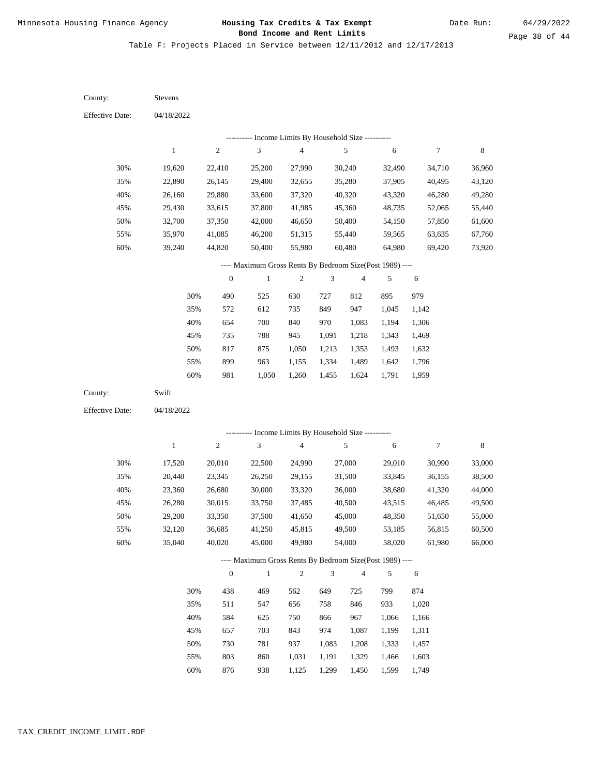Table F: Projects Placed in Service between 12/11/2012 and 12/17/2013

| County:                | Stevens          |                  |                                                                     |                          |                |                  |                  |                  |                  |
|------------------------|------------------|------------------|---------------------------------------------------------------------|--------------------------|----------------|------------------|------------------|------------------|------------------|
| <b>Effective Date:</b> | 04/18/2022       |                  |                                                                     |                          |                |                  |                  |                  |                  |
|                        |                  |                  | ---------- Income Limits By Household Size ----------               |                          |                |                  |                  |                  |                  |
|                        | $\mathbf{1}$     | $\sqrt{2}$       | $\sqrt{3}$                                                          | $\overline{\mathcal{L}}$ |                | $\sqrt{5}$       | 6                | $\boldsymbol{7}$ | $\,$ 8 $\,$      |
| 30%                    | 19,620           | 22,410           | 25,200                                                              | 27,990                   |                | 30,240           | 32,490           | 34,710           | 36,960           |
| 35%                    | 22,890           | 26,145           | 29,400                                                              | 32,655                   |                | 35,280           | 37,905           | 40,495           | 43,120           |
| 40%                    | 26,160           | 29,880           | 33,600                                                              | 37,320                   |                | 40,320           | 43,320           | 46,280           | 49,280           |
| 45%                    | 29,430           | 33,615           | 37,800                                                              | 41,985                   |                | 45,360           | 48,735           | 52,065           | 55,440           |
| 50%                    | 32,700           | 37,350           | 42,000                                                              | 46,650                   |                | 50,400           | 54,150           | 57,850           | 61,600           |
| 55%                    | 35,970           | 41,085           | 46,200                                                              | 51,315                   |                | 55,440           | 59,565           | 63,635           | 67,760           |
| 60%                    | 39,240           | 44,820           | 50,400                                                              | 55,980                   |                | 60,480           | 64,980           | 69,420           | 73,920           |
|                        |                  |                  | ---- Maximum Gross Rents By Bedroom Size(Post 1989) ----            |                          |                |                  |                  |                  |                  |
|                        |                  | $\boldsymbol{0}$ | $\,1$                                                               | $\boldsymbol{2}$         | 3              | 4                | 5                | 6                |                  |
|                        | 30%              | 490              | 525                                                                 | 630                      | 727            | 812              | 895              | 979              |                  |
|                        | 35%              | 572              | 612                                                                 | 735                      | 849            | 947              | 1,045            | 1,142            |                  |
|                        | 40%              | 654              | 700                                                                 | 840                      | 970            | 1,083            | 1,194            | 1,306            |                  |
|                        | 45%              | 735              | 788                                                                 | 945                      | 1,091          | 1,218            | 1,343            | 1,469            |                  |
|                        | 50%              | 817              | 875                                                                 | 1,050                    | 1,213          | 1,353            | 1,493            | 1,632            |                  |
|                        | 55%              | 899              | 963                                                                 | 1,155                    | 1,334          | 1,489            | 1,642            | 1,796            |                  |
|                        | 60%              | 981              | 1,050                                                               | 1,260                    | 1,455          | 1,624            | 1,791            | 1,959            |                  |
| County:                | Swift            |                  |                                                                     |                          |                |                  |                  |                  |                  |
| <b>Effective Date:</b> | 04/18/2022       |                  |                                                                     |                          |                |                  |                  |                  |                  |
|                        |                  |                  |                                                                     |                          |                |                  |                  |                  |                  |
|                        | $\mathbf{1}$     | $\sqrt{2}$       | ---------- Income Limits By Household Size ----------<br>$\sqrt{3}$ | $\overline{\mathcal{L}}$ |                | $\sqrt{5}$       | 6                | $\boldsymbol{7}$ | $\,$ 8 $\,$      |
|                        |                  |                  |                                                                     |                          |                |                  |                  |                  |                  |
| 30%                    | 17,520           | 20,010           | 22,500                                                              | 24,990                   |                | 27,000           | 29,010           | 30,990           | 33,000           |
| 35%                    | 20,440           | 23,345           | 26,250                                                              | 29,155                   |                | 31,500           | 33,845           | 36,155           | 38,500           |
| 40%                    | 23,360           | 26,680           | 30,000                                                              | 33,320                   |                | 36,000           | 38,680           | 41,320           | 44,000           |
| 45%                    | 26,280           | 30,015<br>33,350 | 33,750                                                              | 37,485                   |                | 40,500           | 43,515           | 46,485           | 49,500           |
| 50%                    | 29,200           |                  | 37,500                                                              | 41,650                   |                | 45,000           | 48,350           | 51,650           | 55,000           |
| 55%<br>60%             | 32,120<br>35,040 | 36,685<br>40,020 | 41,250<br>45,000                                                    | 45,815<br>49,980         |                | 49,500<br>54,000 | 53,185<br>58,020 | 56,815<br>61,980 | 60,500<br>66,000 |
|                        |                  |                  |                                                                     |                          |                |                  |                  |                  |                  |
|                        |                  |                  | ---- Maximum Gross Rents By Bedroom Size(Post 1989) ----            |                          |                |                  |                  |                  |                  |
|                        |                  | $\mathbf{0}$     | $\,1\,$                                                             | $\sqrt{2}$               | $\mathfrak{Z}$ | 4                | 5                | 6                |                  |
|                        | 30%              | 438              | 469                                                                 | 562                      | 649            | 725              | 799              | 874              |                  |
|                        | 35%              | 511              | 547                                                                 | 656                      | 758            | 846              | 933              | 1,020            |                  |
|                        | 40%              | 584              | 625                                                                 | 750                      | 866            | 967              | 1,066            | 1,166            |                  |
|                        | 45%              | 657              | 703                                                                 | 843                      | 974            | 1,087            | 1,199            | 1,311            |                  |
|                        | 50%              | 730              | 781                                                                 | 937                      | 1,083          | 1,208            | 1,333            | 1,457            |                  |
|                        | 55%              | 803              | 860                                                                 | 1,031                    | 1,191          | 1,329            | 1,466            | 1,603            |                  |

876 938 1,125 1,299 1,450 1,599 1,749 60%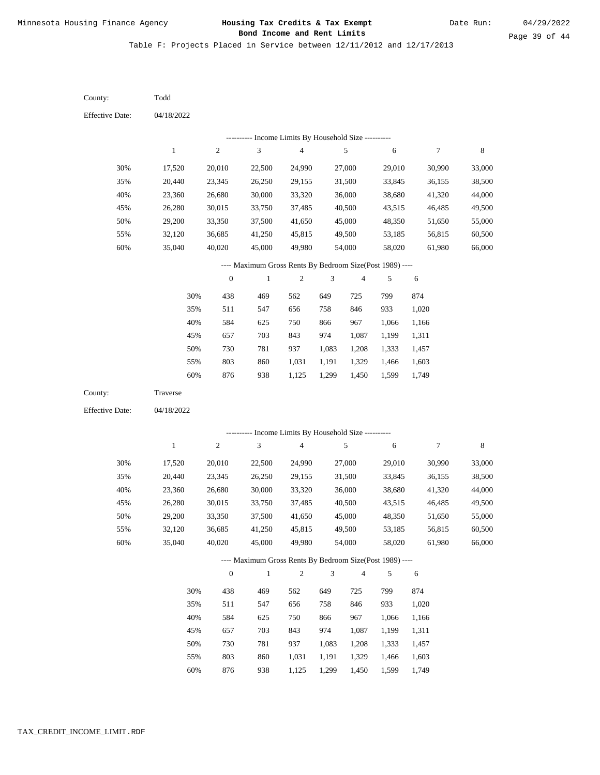Table F: Projects Placed in Service between 12/11/2012 and 12/17/2013

| County:                                                  | Todd                                                                                                                                                    |                  |                                                      |                  |        |                  |                  |                  |                  |  |
|----------------------------------------------------------|---------------------------------------------------------------------------------------------------------------------------------------------------------|------------------|------------------------------------------------------|------------------|--------|------------------|------------------|------------------|------------------|--|
| <b>Effective Date:</b>                                   | 04/18/2022                                                                                                                                              |                  |                                                      |                  |        |                  |                  |                  |                  |  |
|                                                          |                                                                                                                                                         |                  | --------- Income Limits By Household Size ---------- |                  |        |                  |                  |                  |                  |  |
|                                                          | $\,1$                                                                                                                                                   | $\sqrt{2}$       | 3                                                    | 4                |        | 5                | 6                | 7                | 8                |  |
| 30%                                                      | 17,520                                                                                                                                                  | 20,010           | 22,500                                               | 24,990           |        | 27,000           | 29,010           | 30,990           | 33,000           |  |
| 35%                                                      | 20,440                                                                                                                                                  | 23,345           | 26,250                                               | 29,155           |        | 31,500           | 33,845           | 36,155           | 38,500           |  |
| 40%                                                      | 23,360                                                                                                                                                  | 26,680           | 30,000                                               | 33,320           |        | 36,000           | 38,680           | 41,320           | 44,000           |  |
| 45%                                                      | 26,280                                                                                                                                                  | 30,015           | 33,750                                               | 37,485           |        | 40,500           | 43,515           | 46,485           | 49,500           |  |
| 50%                                                      | 29,200                                                                                                                                                  | 33,350           | 37,500                                               | 41,650           |        | 45,000           | 48,350           | 51,650           | 55,000           |  |
| 55%                                                      | 32,120                                                                                                                                                  | 36,685           | 41,250                                               | 45,815           |        | 49,500           | 53,185           | 56,815           | 60,500           |  |
| 60%                                                      | 35,040                                                                                                                                                  | 40,020           | 45,000                                               | 49,980           | 54,000 |                  | 58,020           | 61,980           | 66,000           |  |
| ---- Maximum Gross Rents By Bedroom Size(Post 1989) ---- |                                                                                                                                                         |                  |                                                      |                  |        |                  |                  |                  |                  |  |
|                                                          |                                                                                                                                                         | $\boldsymbol{0}$ | $\mathbf{1}$                                         | $\boldsymbol{2}$ | 3      | 4                | 5                | 6                |                  |  |
|                                                          | 30%                                                                                                                                                     | 438              | 469                                                  | 562              | 649    | 725              | 799              | 874              |                  |  |
|                                                          | 35%                                                                                                                                                     | 511              | 547                                                  | 656              | 758    | 846              | 933              | 1,020            |                  |  |
|                                                          | 40%                                                                                                                                                     | 584              | 625                                                  | 750              | 866    | 967              | 1,066            | 1,166            |                  |  |
|                                                          | 45%                                                                                                                                                     | 657              | 703                                                  | 843              | 974    | 1,087            | 1,199            | 1,311            |                  |  |
|                                                          | 50%                                                                                                                                                     | 730              | 781                                                  | 937              | 1,083  | 1,208            | 1,333            | 1,457            |                  |  |
|                                                          | 55%                                                                                                                                                     | 803              | 860                                                  | 1,031            | 1,191  | 1,329            | 1,466            | 1,603            |                  |  |
|                                                          | 60%                                                                                                                                                     | 876              | 938                                                  | 1,125            | 1,299  | 1,450            | 1,599            | 1,749            |                  |  |
| County:                                                  | Traverse                                                                                                                                                |                  |                                                      |                  |        |                  |                  |                  |                  |  |
| <b>Effective Date:</b>                                   | 04/18/2022                                                                                                                                              |                  |                                                      |                  |        |                  |                  |                  |                  |  |
|                                                          |                                                                                                                                                         |                  |                                                      |                  |        |                  |                  |                  |                  |  |
|                                                          | --------- Income Limits By Household Size ----------<br>$\sqrt{3}$<br>$\sqrt{2}$<br>$\overline{\mathbf{4}}$<br>5<br>8<br>$\mathbf{1}$<br>$\tau$<br>6    |                  |                                                      |                  |        |                  |                  |                  |                  |  |
|                                                          |                                                                                                                                                         |                  |                                                      |                  |        |                  |                  |                  |                  |  |
| 30%                                                      | 17,520                                                                                                                                                  | 20,010           | 22,500                                               | 24,990           |        | 27,000           | 29,010           | 30,990           | 33,000           |  |
| 35%                                                      | 20,440                                                                                                                                                  | 23,345           | 26,250                                               | 29,155           |        | 31,500           | 33,845           | 36,155           | 38,500           |  |
| 40%<br>45%                                               | 23,360                                                                                                                                                  | 26,680           | 30,000                                               | 33,320           |        | 36,000           | 38,680           | 41,320           | 44,000           |  |
| 50%                                                      | 26,280<br>29,200                                                                                                                                        | 30,015<br>33,350 | 33,750<br>37,500                                     | 37,485<br>41,650 |        | 40,500<br>45,000 | 43,515<br>48,350 | 46,485<br>51,650 | 49,500<br>55,000 |  |
|                                                          | 32,120                                                                                                                                                  | 36,685           | 41,250                                               | 45,815           |        | 49,500           | 53,185           | 56,815           |                  |  |
| 55%<br>60%                                               | 35,040                                                                                                                                                  | 40,020           | 45,000                                               | 49,980           |        |                  | 58,020           | 61,980           | 60,500<br>66,000 |  |
|                                                          | 54,000                                                                                                                                                  |                  |                                                      |                  |        |                  |                  |                  |                  |  |
|                                                          | ---- Maximum Gross Rents By Bedroom Size(Post 1989) ----<br>$\sqrt{2}$<br>$\mathbf{0}$<br>$\,1\,$<br>$\ensuremath{\mathfrak{Z}}$<br>$\overline{4}$<br>5 |                  |                                                      |                  |        |                  |                  |                  |                  |  |
|                                                          |                                                                                                                                                         |                  |                                                      |                  |        |                  |                  | 6                |                  |  |
|                                                          | 30%                                                                                                                                                     | 438              | 469                                                  | 562              | 649    | 725              | 799              | 874              |                  |  |
|                                                          | 35%                                                                                                                                                     | 511              | 547                                                  | 656              | 758    | 846              | 933              | 1,020            |                  |  |
|                                                          | 40%                                                                                                                                                     | 584              | 625                                                  | 750              | 866    | 967              | 1,066            | 1,166            |                  |  |
|                                                          | 45%                                                                                                                                                     | 657              | 703                                                  | 843              | 974    | 1,087            | 1,199            | 1,311            |                  |  |
|                                                          | 50%                                                                                                                                                     | 730              | 781                                                  | 937              | 1,083  | 1,208            | 1,333            | 1,457            |                  |  |
|                                                          | 55%                                                                                                                                                     | 803              | 860                                                  | 1,031            | 1,191  | 1,329            | 1,466            | 1,603            |                  |  |

876 938 1,125 1,299 1,450 1,599 1,749 60%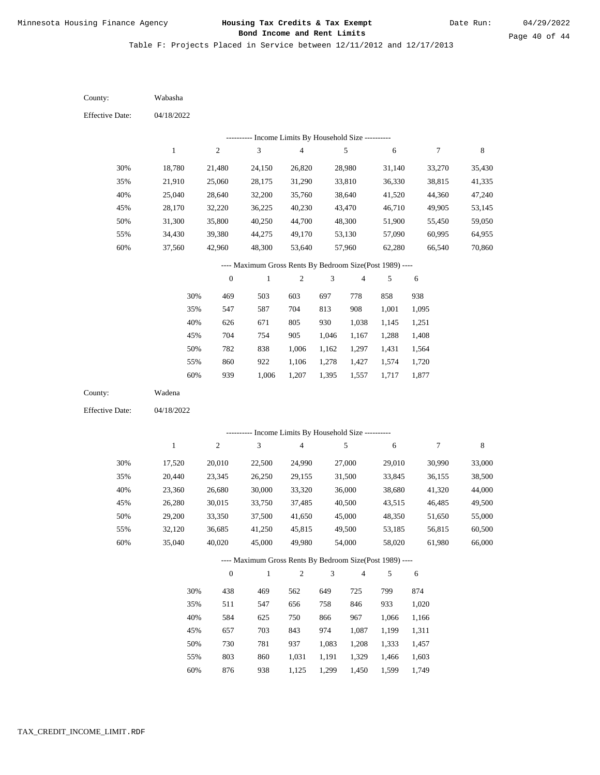Table F: Projects Placed in Service between 12/11/2012 and 12/17/2013

04/18/2022 04/18/2022 Wabasha Wadena 30% 35% 40% 45% 50% 55% 60% 30% 35% 40% 45% 50% 55% 60% 18,780 21,910 25,040 28,170 31,300 34,430 37,560 17,520 20,440 23,360 26,280 29,200 32,120 35,040 21,480 25,060 28,640 32,220 35,800 39,380 42,960 20,010 23,345 26,680 30,015 33,350 36,685 40,020 24,150 28,175 32,200 36,225 40,250 44,275 48,300 22,500 26,250 30,000 33,750 37,500 41,250 45,000 26,820 31,290 35,760 40,230 44,700 49,170 53,640 24,990 29,155 33,320 37,485 41,650 45,815 49,980 28,980 33,810 38,640 43,470 48,300 53,130 57,960 27,000 31,500 36,000 40,500 45,000 49,500 54,000 31,140 36,330 41,520 46,710 51,900 57,090 62,280 29,010 33,845 38,680 43,515 48,350 53,185 58,020 33,270 38,815 44,360 49,905 55,450 60,995 66,540 30,990 36,155 41,320 46,485 51,650 56,815 61,980 35,430 41,335 47,240 53,145 59,050 64,955 70,860 33,000 38,500 44,000 49,500 55,000 60,500 66,000 469 547 626 704 782 860 939 438 511 584 657 730 803 876 503 587 671 754 838 922 1,006 469 547 625 703 781 860 938 603 704 805 905 1,006 1,106 1,207 562 656 750 843 937 1,031 1,125 697 813 930 1,046 1,162 1,278 1,395 649 758 866 974 1,083 1,191 1,299 778 908 1,038 1,167 1,297 1,427 1,557 725 846 967 1,087 1,208 1,329 1,450 858 1,001 1,145 1,288 1,431 1,574 1,717 799 933 1,066 1,199 1,333 1,466 1,599 938 1,095 1,251 1,408 1,564 1,720 1,877 874 1,020 1,166 1,311 1,457 1,603 1,749 County: County: Effective Date: Effective Date: 1 1 2 2 3 3 4 4 5 5 6 6 7 7 8 8 0 0 1 1 2 2 3 3 4 4 5 5 6 6 ---------- Income Limits By Household Size ---------- ---------- Income Limits By Household Size ---------- ---- Maximum Gross Rents By Bedroom Size(Post 1989) ---- ---- Maximum Gross Rents By Bedroom Size(Post 1989) ---- 30% 35% 40% 45% 50% 55% 60% 30% 35% 40% 45% 50% 55% 60%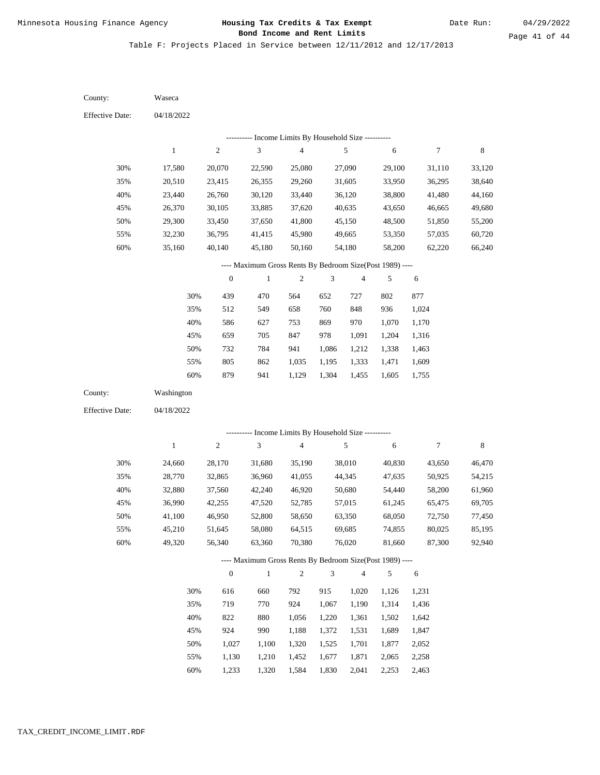Table F: Projects Placed in Service between 12/11/2012 and 12/17/2013

04/18/2022 04/18/2022 Waseca Washington 30% 35% 40% 45% 50% 55% 60% 30% 35% 40% 45% 50% 55% 60% 17,580 20,510 23,440 26,370 29,300 32,230 35,160 24,660 28,770 32,880 36,990 41,100 45,210 49,320 20,070 23,415 26,760 30,105 33,450 36,795 40,140 28,170 32,865 37,560 42,255 46,950 51,645 56,340 22,590 26,355 30,120 33,885 37,650 41,415 45,180 31,680 36,960 42,240 47,520 52,800 58,080 63,360 25,080 29,260 33,440 37,620 41,800 45,980 50,160 35,190 41,055 46,920 52,785 58,650 64,515 70,380 27,090 31,605 36,120 40,635 45,150 49,665 54,180 38,010 44,345 50,680 57,015 63,350 69,685 76,020 29,100 33,950 38,800 43,650 48,500 53,350 58,200 40,830 47,635 54,440 61,245 68,050 74,855 81,660 31,110 36,295 41,480 46,665 51,850 57,035 62,220 43,650 50,925 58,200 65,475 72,750 80,025 87,300 33,120 38,640 44,160 49,680 55,200 60,720 66,240 46,470 54,215 61,960 69,705 77,450 85,195 92,940 439 512 586 659 732 805 879 616 719 822 924 1,027 1,130 1,233 470 549 627 705 784 862 941 660 770 880 990 1,100 1,210 1,320 564 658 753 847 941 1,035 1,129 792 924 1,056 1,188 1,320 1,452 1,584 652 760 869 978 1,086 1,195 1,304 915 1,067 1,220 1,372 1,525 1,677 1,830 727 848 970 1,091 1,212 1,333 1,455 1,020 1,190 1,361 1,531 1,701 1,871 2,041 802 936 1,070 1,204 1,338 1,471 1,605 1,126 1,314 1,502 1,689 1,877 2,065 2,253 877 1,024 1,170 1,316 1,463 1,609 1,755 1,231 1,436 1,642 1,847 2,052 2,258 2,463 County: County: Effective Date: Effective Date: 1 1 2 2 3 3 4 4 5 5 6 6 7 7 8 8 0 0 1 1 2 2 3 3 4 4 5 5 6 6 ---------- Income Limits By Household Size ---------- ---------- Income Limits By Household Size ---------- ---- Maximum Gross Rents By Bedroom Size(Post 1989) ---- ---- Maximum Gross Rents By Bedroom Size(Post 1989) ---- 30% 35% 40% 45% 50% 55% 60% 30% 35% 40% 45% 50% 55% 60%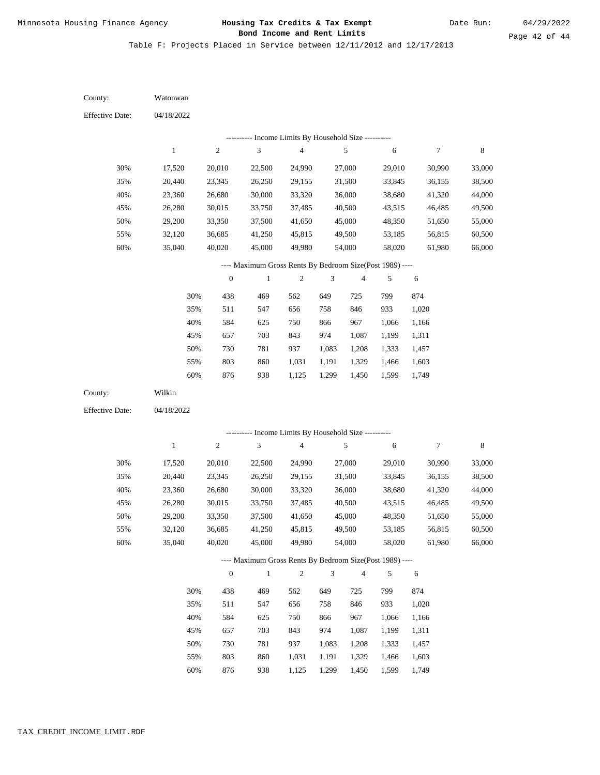Date Run:

Table F: Projects Placed in Service between 12/11/2012 and 12/17/2013

04/18/2022 04/18/2022 Watonwan Wilkin 30% 35% 40% 45% 50% 55% 60% 30% 35% 40% 45% 50% 55% 60% 17,520 20,440 23,360 26,280 29,200 32,120 35,040 17,520 20,440 23,360 26,280 29,200 32,120 35,040 20,010 23,345 26,680 30,015 33,350 36,685 40,020 20,010 23,345 26,680 30,015 33,350 36,685 40,020 22,500 26,250 30,000 33,750 37,500 41,250 45,000 22,500 26,250 30,000 33,750 37,500 41,250 45,000 24,990 29,155 33,320 37,485 41,650 45,815 49,980 24,990 29,155 33,320 37,485 41,650 45,815 49,980 27,000 31,500 36,000 40,500 45,000 49,500 54,000 27,000 31,500 36,000 40,500 45,000 49,500 54,000 29,010 33,845 38,680 43,515 48,350 53,185 58,020 29,010 33,845 38,680 43,515 48,350 53,185 58,020 30,990 36,155 41,320 46,485 51,650 56,815 61,980 30,990 36,155 41,320 46,485 51,650 56,815 61,980 33,000 38,500 44,000 49,500 55,000 60,500 66,000 33,000 38,500 44,000 49,500 55,000 60,500 66,000 438 511 584 657 730 803 876 438 511 584 657 730 803 876 469 547 625 703 781 860 938 469 547 625 703 781 860 562 656 750 843 937 1,031 1,125 562 656 750 843 937 1,031 649 758 866 974 1,083 1,191 1,299 649 758 866 974 1,083 1,191 725 846 967 1,087 1,208 1,329 1,450 725 846 967 1,087 1,208 1,329 799 933 1,066 1,199 1,333 1,466 1,599 799 933 1,066 1,199 1,333 1,466 1,599 874 1,020 1,166 1,311 1,457 1,603 1,749 874 1,020 1,166 1,311 1,457 1,603 County: County: Effective Date: Effective Date: 1 1 2 2 3 3 4 4 5 5 6 6 7 7 8 8 0 0 1 1 2 2 3 3 4 4 5 5 6 6 ---------- Income Limits By Household Size ---------- ---------- Income Limits By Household Size ---------- ---- Maximum Gross Rents By Bedroom Size(Post 1989) ---- ---- Maximum Gross Rents By Bedroom Size(Post 1989) ---- 30% 35% 40% 45% 50% 55% 60% 30% 35% 40% 45% 50% 55% 60%

938

1,125

1,299

1,450

1,749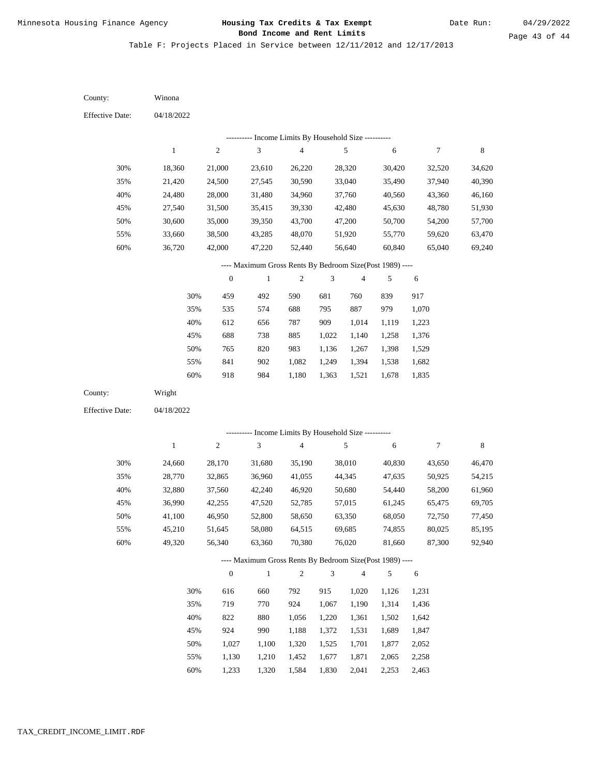Table F: Projects Placed in Service between 12/11/2012 and 12/17/2013

04/18/2022 04/18/2022 Winona Wright 30% 35% 40% 45% 50% 55% 60% 30% 35% 40% 45% 50% 55% 60% 18,360 21,420 24,480 27,540 30,600 33,660 36,720 24,660 28,770 32,880 36,990 41,100 45,210 49,320 21,000 24,500 28,000 31,500 35,000 38,500 42,000 28,170 32,865 37,560 42,255 46,950 51,645 56,340 23,610 27,545 31,480 35,415 39,350 43,285 47,220 31,680 36,960 42,240 47,520 52,800 58,080 63,360 26,220 30,590 34,960 39,330 43,700 48,070 52,440 35,190 41,055 46,920 52,785 58,650 64,515 70,380 28,320 33,040 37,760 42,480 47,200 51,920 56,640 38,010 44,345 50,680 57,015 63,350 69,685 76,020 30,420 35,490 40,560 45,630 50,700 55,770 60,840 40,830 47,635 54,440 61,245 68,050 74,855 81,660 32,520 37,940 43,360 48,780 54,200 59,620 65,040 43,650 50,925 58,200 65,475 72,750 80,025 87,300 34,620 40,390 46,160 51,930 57,700 63,470 69,240 46,470 54,215 61,960 69,705 77,450 85,195 92,940 459 535 612 688 765 841 918 616 719 822 924 1,027 1,130 1,233 492 574 656 738 820 902 984 660 770 880 990 1,100 1,210 1,320 590 688 787 885 983 1,082 1,180 792 924 1,056 1,188 1,320 1,452 1,584 681 795 909 1,022 1,136 1,249 1,363 915 1,067 1,220 1,372 1,525 1,677 1,830 760 887 1,014 1,140 1,267 1,394 1,521 1,020 1,190 1,361 1,531 1,701 1,871 2,041 839 979 1,119 1,258 1,398 1,538 1,678 1,126 1,314 1,502 1,689 1,877 2,065 2,253 917 1,070 1,223 1,376 1,529 1,682 1,835 1,231 1,436 1,642 1,847 2,052 2,258 2,463 County: County: Effective Date: Effective Date: 1 1 2 2 3 3 4 4 5 5 6 6 7 7 8 8 0 0 1 1 2 2 3 3 4 4 5 5 6 6 ---------- Income Limits By Household Size ---------- ---------- Income Limits By Household Size ---------- ---- Maximum Gross Rents By Bedroom Size(Post 1989) ---- ---- Maximum Gross Rents By Bedroom Size(Post 1989) ---- 30% 35% 40% 45% 50% 55% 60% 30% 35% 40% 45% 50% 55% 60%